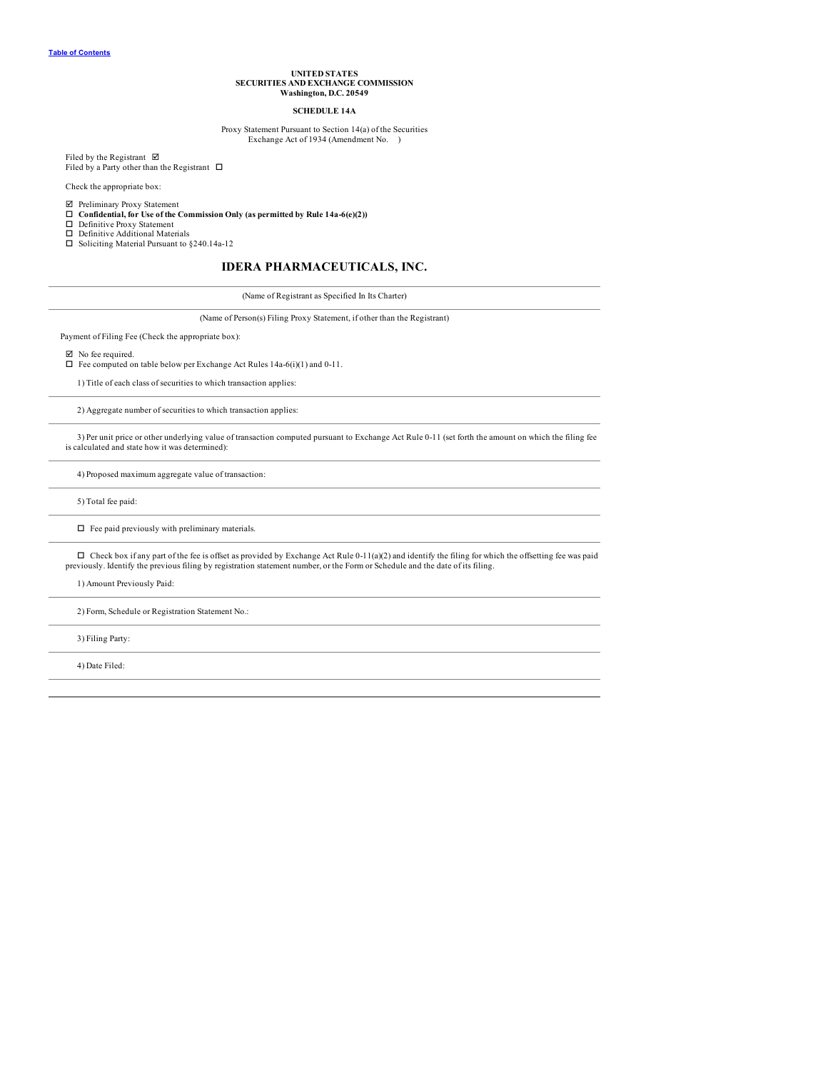### **UNITED STATES SECURITIES AND EXCHANGE COMMISSION Washington, D.C. 20549**

### **SCHEDULE 14A**

#### Proxy Statement Pursuant to Section 14(a) of the Securities Exchange Act of 1934 (Amendment No. )

Filed by the Registrant  $\quadboxtimes$ 

Filed by a Party other than the Registrant  $\Box$ 

Check the appropriate box:

þ Preliminary Proxy Statement o **Confidential, for Use of the Commission Only (as permitted by Rule 14a-6(e)(2))**

- $\Box$  Definitive Proxy Statement
- □ Definitive Additional Materials<br>□ Soliciting Material Pursuant to §240.14a-12

### **IDERA PHARMACEUTICALS, INC.**

(Name of Registrant as Specified In Its Charter)

(Name of Person(s) Filing Proxy Statement, if other than the Registrant)

Payment of Filing Fee (Check the appropriate box):

 $□$  No fee required.<br>□ Fee computed on table below per Exchange Act Rules 14a-6(i)(1) and 0-11.

1) Title of each class of securities to which transaction applies:

2) Aggregate number of securities to which transaction applies:

3) Per unit price or other underlying value of transaction computed pursuant to Exchange Act Rule 0-11 (set forth the amount on which the filing fee is calculated and state how it was determined):

4) Proposed maximum aggregate value of transaction:

5) Total fee paid:

 $\Box$  Fee paid previously with preliminary materials.

 $\Box$  Check box if any part of the fee is offset as provided by Exchange Act Rule 0-11(a)(2) and identify the filing for which the offsetting fee was paid previously. Identify the previous filing by registration statement number, or the Form or Schedule and the date of its filing.

1) Amount Previously Paid:

2) Form, Schedule or Registration Statement No.:

3) Filing Party:

4) Date Filed: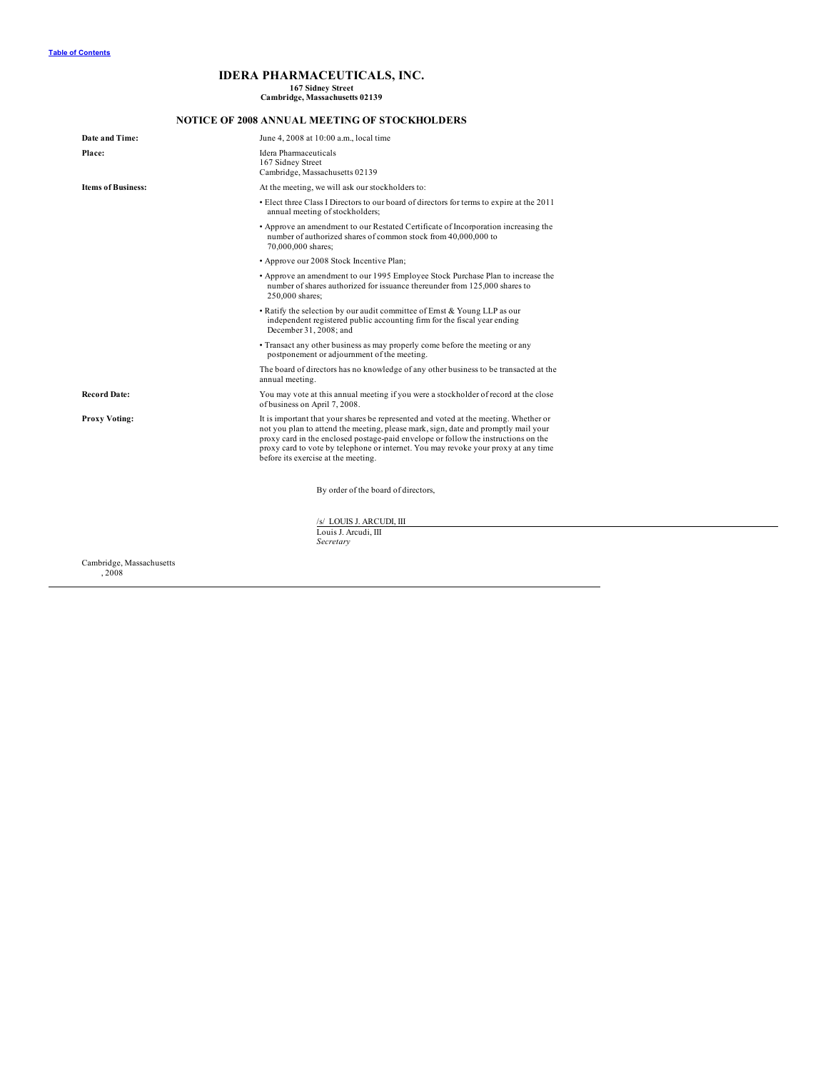# **IDERA PHARMACEUTICALS, INC.**

**167 Sidney Street Cambridge, Massachusetts 02139**

## **NOTICE OF 2008 ANNUAL MEETING OF STOCKHOLDERS**

| Date and Time:            | June 4, 2008 at 10:00 a.m., local time                                                                                                                                                                                                                                                                                                                                                        |  |  |  |  |  |
|---------------------------|-----------------------------------------------------------------------------------------------------------------------------------------------------------------------------------------------------------------------------------------------------------------------------------------------------------------------------------------------------------------------------------------------|--|--|--|--|--|
| Place:                    | Idera Pharmaceuticals<br>167 Sidney Street<br>Cambridge, Massachusetts 02139                                                                                                                                                                                                                                                                                                                  |  |  |  |  |  |
| <b>Items of Business:</b> | At the meeting, we will ask our stockholders to:                                                                                                                                                                                                                                                                                                                                              |  |  |  |  |  |
|                           | • Elect three Class I Directors to our board of directors for terms to expire at the 2011<br>annual meeting of stockholders;                                                                                                                                                                                                                                                                  |  |  |  |  |  |
|                           | • Approve an amendment to our Restated Certificate of Incorporation increasing the<br>number of authorized shares of common stock from 40,000,000 to<br>70,000,000 shares;                                                                                                                                                                                                                    |  |  |  |  |  |
|                           | • Approve our 2008 Stock Incentive Plan;                                                                                                                                                                                                                                                                                                                                                      |  |  |  |  |  |
|                           | • Approve an amendment to our 1995 Employee Stock Purchase Plan to increase the<br>number of shares authorized for issuance thereunder from 125,000 shares to<br>250,000 shares;                                                                                                                                                                                                              |  |  |  |  |  |
|                           | • Ratify the selection by our audit committee of Ernst & Young LLP as our<br>independent registered public accounting firm for the fiscal year ending<br>December 31, 2008; and                                                                                                                                                                                                               |  |  |  |  |  |
|                           | • Transact any other business as may properly come before the meeting or any<br>postponement or adjournment of the meeting.                                                                                                                                                                                                                                                                   |  |  |  |  |  |
|                           | The board of directors has no knowledge of any other business to be transacted at the<br>annual meeting.                                                                                                                                                                                                                                                                                      |  |  |  |  |  |
| <b>Record Date:</b>       | You may vote at this annual meeting if you were a stockholder of record at the close<br>of business on April 7, 2008.                                                                                                                                                                                                                                                                         |  |  |  |  |  |
| <b>Proxy Voting:</b>      | It is important that your shares be represented and voted at the meeting. Whether or<br>not you plan to attend the meeting, please mark, sign, date and promptly mail your<br>proxy card in the enclosed postage-paid envelope or follow the instructions on the<br>proxy card to vote by telephone or internet. You may revoke your proxy at any time<br>before its exercise at the meeting. |  |  |  |  |  |
|                           | By order of the board of directors,                                                                                                                                                                                                                                                                                                                                                           |  |  |  |  |  |
|                           | /s/ LOUIS J. ARCUDI, III<br>Louis J. Arcudi, III<br>Secretary                                                                                                                                                                                                                                                                                                                                 |  |  |  |  |  |
|                           |                                                                                                                                                                                                                                                                                                                                                                                               |  |  |  |  |  |

Cambridge, Massachusetts , 2008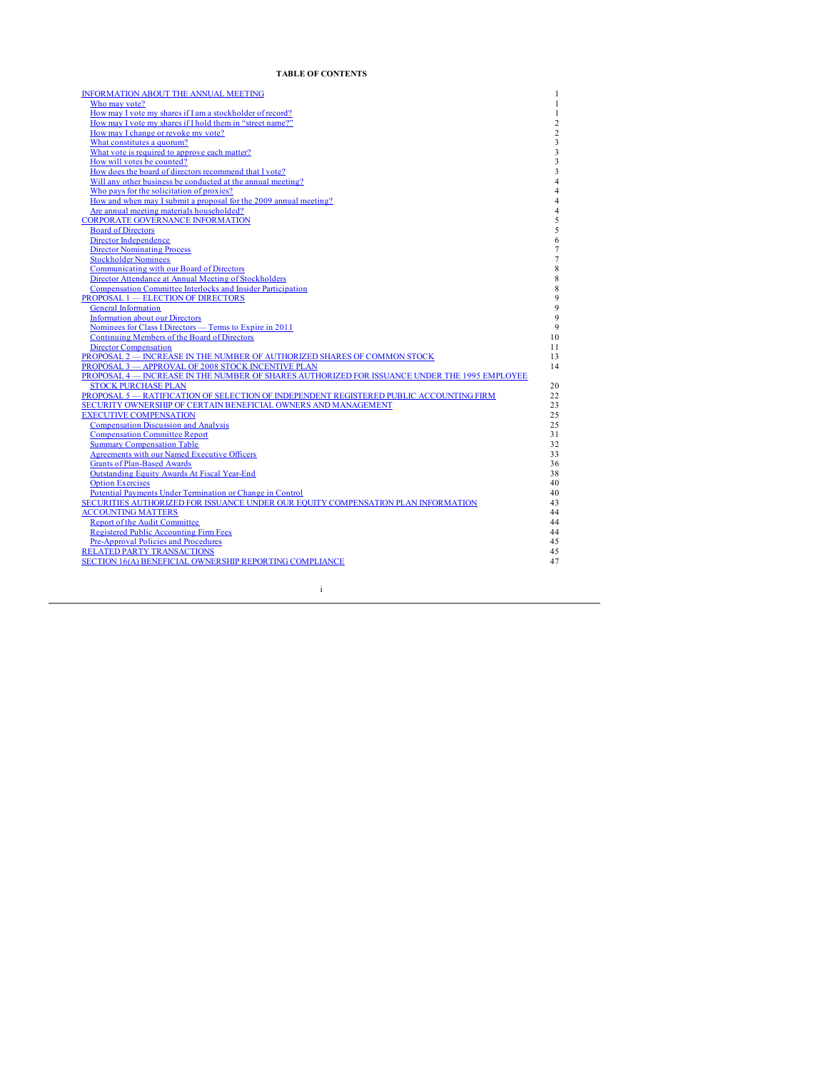## **TABLE OF CONTENTS**

<span id="page-2-0"></span>

| INFORMATION ABOUT THE ANNUAL MEETING                                                                                                                | 1              |
|-----------------------------------------------------------------------------------------------------------------------------------------------------|----------------|
| Who may vote?                                                                                                                                       | $\mathbf{1}$   |
| How may I vote my shares if I am a stockholder of record?                                                                                           | 1              |
| How may I vote my shares if I hold them in "street name?"                                                                                           | $\overline{c}$ |
| How may I change or revoke my vote?                                                                                                                 | $\overline{c}$ |
| What constitutes a quorum?                                                                                                                          | 3              |
| What vote is required to approve each matter?                                                                                                       | 3              |
| How will votes be counted?                                                                                                                          | 3              |
| How does the board of directors recommend that I vote?                                                                                              | 3              |
| Will any other business be conducted at the annual meeting?                                                                                         | $\overline{4}$ |
| Who pays for the solicitation of proxies?                                                                                                           | $\overline{4}$ |
| How and when may I submit a proposal for the 2009 annual meeting?                                                                                   | $\overline{4}$ |
| Are annual meeting materials householded?                                                                                                           | $\overline{4}$ |
| <b>CORPORATE GOVERNANCE INFORMATION</b>                                                                                                             | 5              |
| <b>Board of Directors</b>                                                                                                                           | 5              |
| Director Independence                                                                                                                               | 6              |
| <b>Director Nominating Process</b>                                                                                                                  | 7              |
| <b>Stockholder Nominees</b>                                                                                                                         | $\overline{7}$ |
| Communicating with our Board of Directors                                                                                                           | 8              |
| Director Attendance at Annual Meeting of Stockholders                                                                                               | 8              |
| Compensation Committee Interlocks and Insider Participation                                                                                         | 8              |
| <b>PROPOSAL 1 - ELECTION OF DIRECTORS</b>                                                                                                           | 9              |
| <b>General Information</b>                                                                                                                          | 9              |
| <b>Information about our Directors</b>                                                                                                              | 9              |
| Nominees for Class I Directors — Terms to Expire in 2011                                                                                            | 9              |
| Continuing Members of the Board of Directors                                                                                                        | 10             |
| <b>Director Compensation</b>                                                                                                                        | 11<br>13       |
| PROPOSAL 2 - INCREASE IN THE NUMBER OF AUTHORIZED SHARES OF COMMON STOCK                                                                            | 14             |
| PROPOSAL 3 - APPROVAL OF 2008 STOCK INCENTIVE PLAN<br>PROPOSAL 4 - INCREASE IN THE NUMBER OF SHARES AUTHORIZED FOR ISSUANCE UNDER THE 1995 EMPLOYEE |                |
| <b>STOCK PURCHASE PLAN</b>                                                                                                                          | 20             |
| PROPOSAL 5 - RATIFICATION OF SELECTION OF INDEPENDENT REGISTERED PUBLIC ACCOUNTING FIRM                                                             | 22             |
| SECURITY OWNERSHIP OF CERTAIN BENEFICIAL OWNERS AND MANAGEMENT                                                                                      | 23             |
| <b>EXECUTIVE COMPENSATION</b>                                                                                                                       | 25             |
| <b>Compensation Discussion and Analysis</b>                                                                                                         | 25             |
| <b>Compensation Committee Report</b>                                                                                                                | 31             |
| <b>Summary Compensation Table</b>                                                                                                                   | 32             |
| <b>Agreements with our Named Executive Officers</b>                                                                                                 | 33             |
| <b>Grants of Plan-Based Awards</b>                                                                                                                  | 36             |
| <b>Outstanding Equity Awards At Fiscal Year-End</b>                                                                                                 | 38             |
| <b>Option Exercises</b>                                                                                                                             | 40             |
| Potential Payments Under Termination or Change in Control                                                                                           | 40             |
| SECURITIES AUTHORIZED FOR ISSUANCE UNDER OUR EQUITY COMPENSATION PLAN INFORMATION                                                                   | 43             |
| <b>ACCOUNTING MATTERS</b>                                                                                                                           | 44             |
| <b>Report of the Audit Committee</b>                                                                                                                | 44             |
| <b>Registered Public Accounting Firm Fees</b>                                                                                                       | 44             |
| Pre-Approval Policies and Procedures                                                                                                                | 45             |
| <b>RELATED PARTY TRANSACTIONS</b>                                                                                                                   | 45             |
| SECTION 16(A) BENEFICIAL OWNERSHIP REPORTING COMPLIANCE                                                                                             | 47             |
|                                                                                                                                                     |                |

i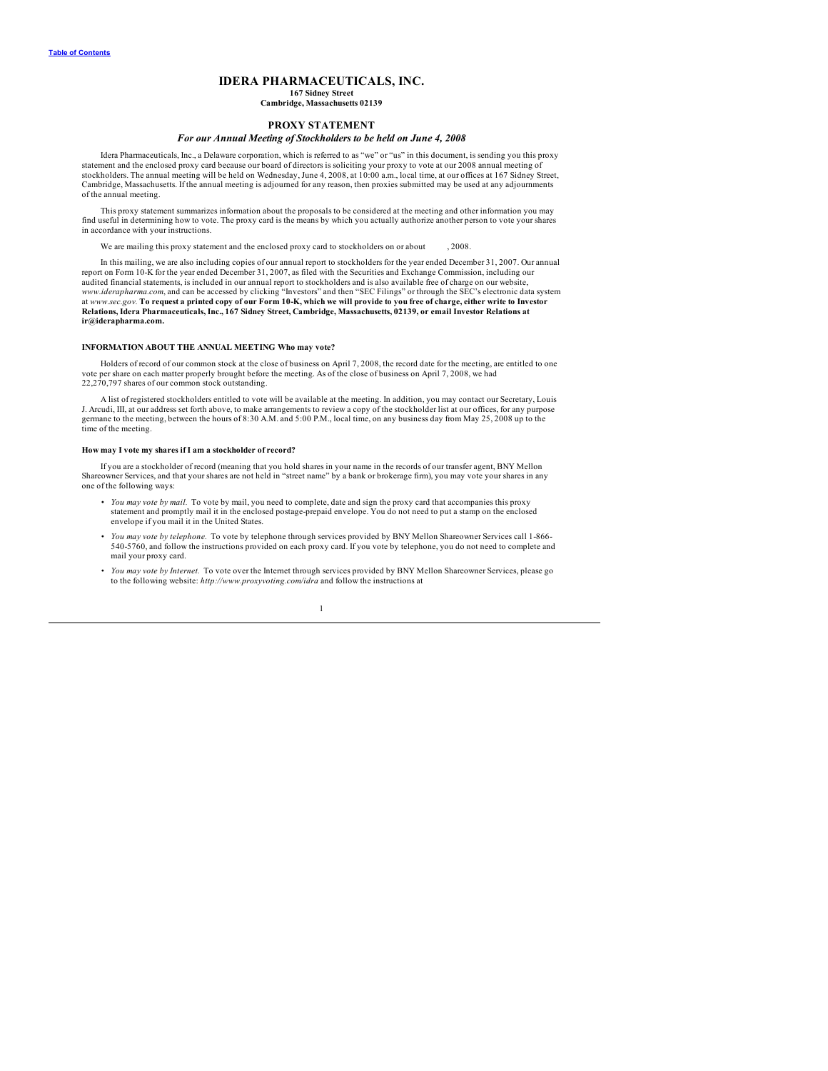### **IDERA PHARMACEUTICALS, INC.**

#### **167 Sidney Street Cambridge, Massachusetts 02139**

### **PROXY STATEMENT**

### *For our Annual Meeting of Stockholders to be held on June 4, 2008*

<span id="page-3-0"></span>Idera Pharmaceuticals, Inc., a Delaware corporation, which is referred to as "we" or "us" in this document, is sending you this proxy statement and the enclosed proxy card because our board of directors is soliciting your proxy to vote at our 2008 annual meeting of<br>stockholders. The annual meeting will be held on Wednesday, June 4, 2008, at 10:00 a.m., l Cambridge, Massachusetts. If the annual meeting is adjourned for any reason, then proxies submitted may be used at any adjournments of the annual meeting.

This proxy statement summarizes information about the proposals to be considered at the meeting and other information you may<br>find useful in determining how to vote. The proxy card is the means by which you actually author in accordance with your instructions.

We are mailing this proxy statement and the enclosed proxy card to stockholders on or about , 2008.

In this mailing, we are also including copies of our annual report to stockholders for the year ended December 31, 2007. Our annual<br>report on Form 10-K for the year ended December 31, 2007, as filed with the Securities and audited financial statements, is included in our annual report to stockholders and is also available free of charge on our website, www.iderapharma.com, and can be accessed by clicking "Investors" and then "SEC Filings" or through the SEC's electronic data system<br>at www.sec.gov. To request a printed copy of our Form 10-K, which we will provide to you f Relations, Idera Pharmaceuticals, Inc., 167 Sidney Street, Cambridge, Massachusetts, 02139, or email Investor Relations at **ir@iderapharma.com.**

#### **INFORMATION ABOUT THE ANNUAL MEETING Who may vote?**

Holders of record of our common stock at the close of business on April 7, 2008, the record date for the meeting, are entitled to one vote per share on each matter properly brought before the meeting. As of the close of business on April 7, 2008, we had 22,270,797 shares of our common stock outstanding.

A list of registered stockholders entitled to vote will be available at the meeting. In addition, you may contact our Secretary, Louis J. Arcudi, III, at our address set forth above, to make arrangements to review a copy of the stockholder list at our offices, for any purpose<br>germane to the meeting, between the hours of 8:30 A.M. and 5:00 P.M., local time time of the meeting.

### **How may I vote my shares if I am a stockholder of record?**

If you are a stockholder of record (meaning that you hold shares in your name in the records of our transfer agent, BNY Mellon<br>Shareowner Services, and that your shares are not held in "street name" by a bank or brokerage one of the following ways:

- *You may vote by mail.* To vote by mail, you need to complete, date and sign the proxy card that accompanies this proxy statement and promptly mail it in the enclosed postage-prepaid envelope. You do not need to put a stamp on the enclosed envelope if you mail it in the United States.
- You may vote by telephone. To vote by telephone through services provided by BNY Mellon Shareowner Services call 1-866-<br>540-5760, and follow the instructions provided on each proxy card. If you vote by telephone, you do mail your proxy card.
- *You may vote by Internet.* To vote over the Internet through services provided by BNY Mellon Shareowner Services, please go to the following website: *http://www.proxyvoting.com/idra* and follow the instructions at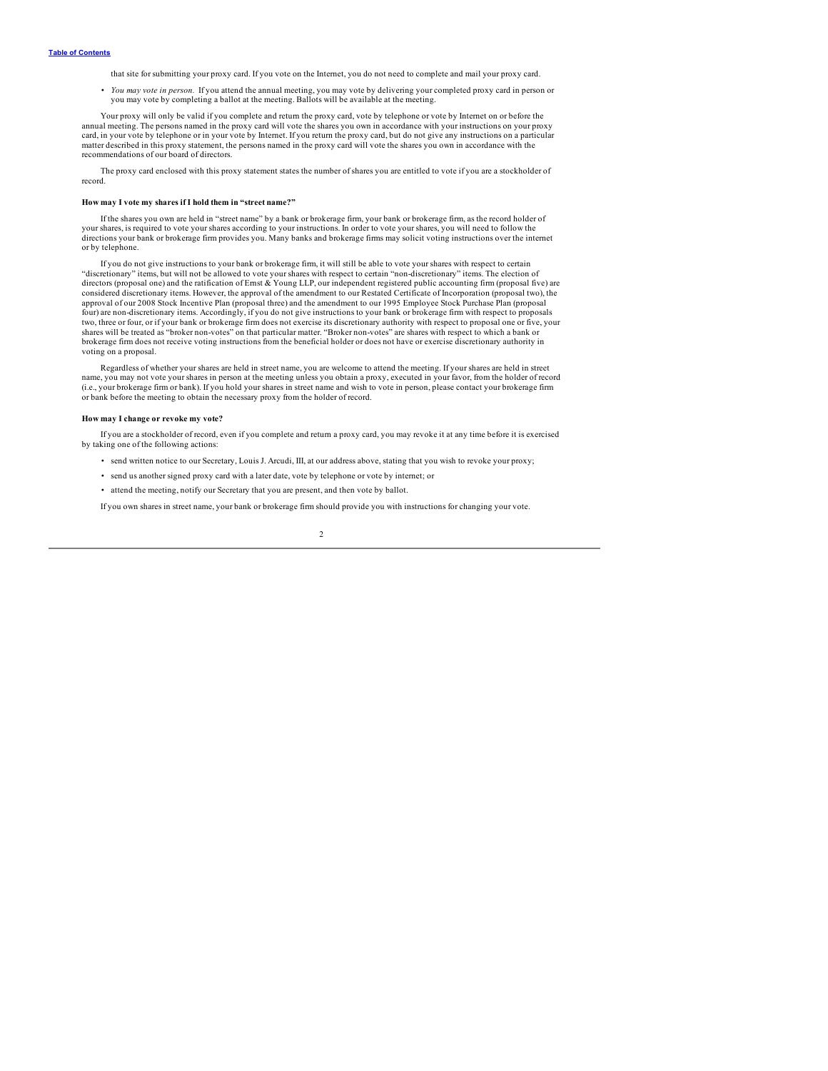<span id="page-4-0"></span>that site for submitting your proxy card. If you vote on the Internet, you do not need to complete and mail your proxy card.

• You may vote in person. If you attend the annual meeting, you may vote by delivering your completed proxy card in person or you may vote by completing a ballot at the meeting. Ballots will be available at the meeting.

Your proxy will only be valid if you complete and return the proxy card, vote by telephone or vote by Internet on or before the annual meeting. The persons named in the proxy card will vote the shares you own in accordance with your instructions on your proxy card, in your vote by telephone or in your vote by Internet. If you return the proxy card, but do not give any instructions on a particular matter described in this proxy statement, the persons named in the proxy card will vote the shares you own in accordance with the recommendations of our board of directors.

The proxy card enclosed with this proxy statement states the number of shares you are entitled to vote if you are a stockholder of record.

#### **How may I vote my shares if I hold them in "street name?"**

If the shares you own are held in "street name" by a bank or brokerage firm, your bank or brokerage firm, as the record holder of your shares, is required to vote your shares according to your instructions. In order to vote your shares, you will need to follow the directions your bank or brokerage firm provides you. Many banks and brokerage firms may solicit voting instructions over the internet or by telephone.

If you do not give instructions to your bank or brokerage firm, it will still be able to vote your shares with respect to certain "discretionary" items, but will not be allowed to vote your shares with respect to certain "non-discretionary" items. The election of<br>directors (proposal one) and the ratification of Emst & Young LLP, our independent regis considered discretionary items. However, the approval of the amendment to our Restated Certificate of Incorporation (proposal two), the approval of our 2008 Stock Incentive Plan (proposal three) and the amendment to our 1995 Employee Stock Purchase Plan (proposal four) are non-discretionary items. Accordingly, if you do not give instructions to your bank or brokerage firm with respect to proposals two, three or four, or if your bank or brokerage firm does not exercise its discretionary authority with respect to proposal one or five, your<br>shares will be treated as "broker non-votes" on that particular matter. "Broker brokerage firm does not receive voting instructions from the beneficial holder or does not have or exercise discretionary authority in voting on a proposal.

Regardless of whether your shares are held in street name, you are welcome to attend the meeting. If your shares are held in street name, you may not vote your shares in person at the meeting unless you obtain a proxy, executed in your favor, from the holder of record (i.e., your brokerage firm or bank). If you hold your shares in street name and wish to vote in person, please contact your brokerage firm or bank before the meeting to obtain the necessary proxy from the holder of record.

### **How may I change or revoke my vote?**

If you are a stockholder of record, even if you complete and return a proxy card, you may revoke it at any time before it is exercised by taking one of the following actions:

- send written notice to our Secretary, Louis J. Arcudi, III, at our address above, stating that you wish to revoke your proxy;
- send us another signed proxy card with a later date, vote by telephone or vote by internet; or
- attend the meeting, notify our Secretary that you are present, and then vote by ballot.

If you own shares in street name, your bank or brokerage firm should provide you with instructions for changing your vote.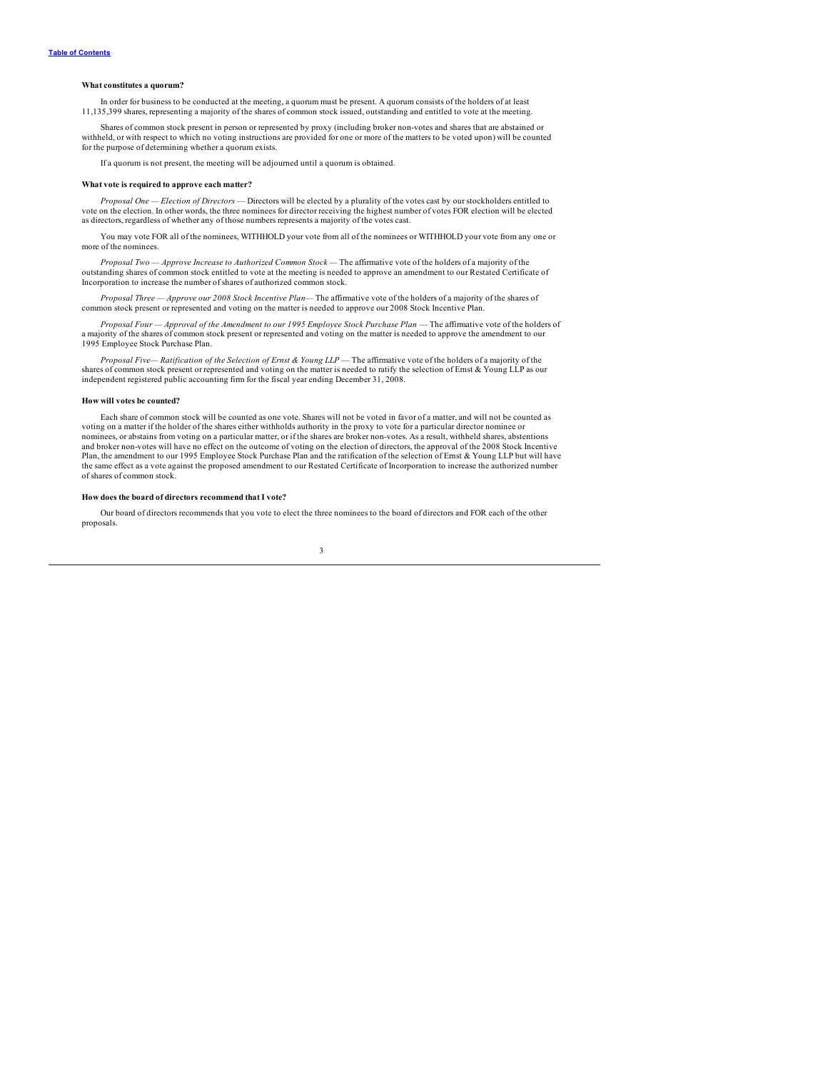#### <span id="page-5-0"></span>**What constitutes a quorum?**

In order for business to be conducted at the meeting, a quorum must be present. A quorum consists of the holders of at least 11,135,399 shares, representing a majority of the shares of common stock issued, outstanding and entitled to vote at the meeting.

Shares of common stock present in person or represented by proxy (including broker non-votes and shares that are abstained or withheld, or with respect to which no voting instructions are provided for one or more of the matters to be voted upon) will be counted for the purpose of determining whether a quorum exists.

If a quorum is not present, the meeting will be adjourned until a quorum is obtained.

### **What vote is required to approve each matter?**

*Proposal One — Election of Directors* — Directors will be elected by a plurality of the votes cast by our stockholders entitled to vote on the election. In other words, the three nominees for director receiving the highest number of votes FOR election will be elected as directors, regardless of whether any of those numbers represents a majority of the votes cast.

You may vote FOR all of the nominees, WITHHOLD your vote from all of the nominees or WITHHOLD your vote from any one or more of the nominees.

*Proposal Two — Approve Increase to Authorized Common Stock* — The affirmative vote of the holders of a majority of the outstanding shares of common stock entitled to vote at the meeting is needed to approve an amendment Incorporation to increase the number of shares of authorized common stock.

*Proposal Three — Approve our 2008 Stock Incentive Plan—* The affirmative vote of the holders of a majority of the shares of common stock present or represented and voting on the matter is needed to approve our 2008 Stock Incentive Plan.

*Proposal Four — Approval of the Amendment to our 1995 Employee Stock Purchase Plan* — The affirmative vote of the holders of a majority of the shares of common stock present or represented and voting on the matter is needed to approve the amendment to our 1995 Employee Stock Purchase Plan.

*Proposal Five— Ratification of the Selection of Ernst & Young LLP* — The affirmative vote of the holders of a majority of the shares of common stock present or represented and voting on the matter is needed to ratify the selection of Ernst & Young LLP as our independent registered public accounting firm for the fiscal year ending December 31, 2008.

### **How will votes be counted?**

Each share of common stock will be counted as one vote. Shares will not be voted in favor of a matter, and will not be counted as voting on a matter if the holder of the shares either withholds authority in the proxy to vote for a particular director nominee or<br>nominees, or abstains from voting on a particular matter, or if the shares are broker nonand broker non-votes will have no effect on the outcome of voting on the election of directors, the approval of the 2008 Stock Incentive Plan, the amendment to our 1995 Employee Stock Purchase Plan and the ratification of the selection of Ernst & Young LLP but will have the same effect as a vote against the proposed amendment to our Restated Certificate of Incorporation to increase the authorized number of shares of common stock.

### **How does the board of directors recommend that I vote?**

Our board of directors recommends that you vote to elect the three nominees to the board of directors and FOR each of the other proposals.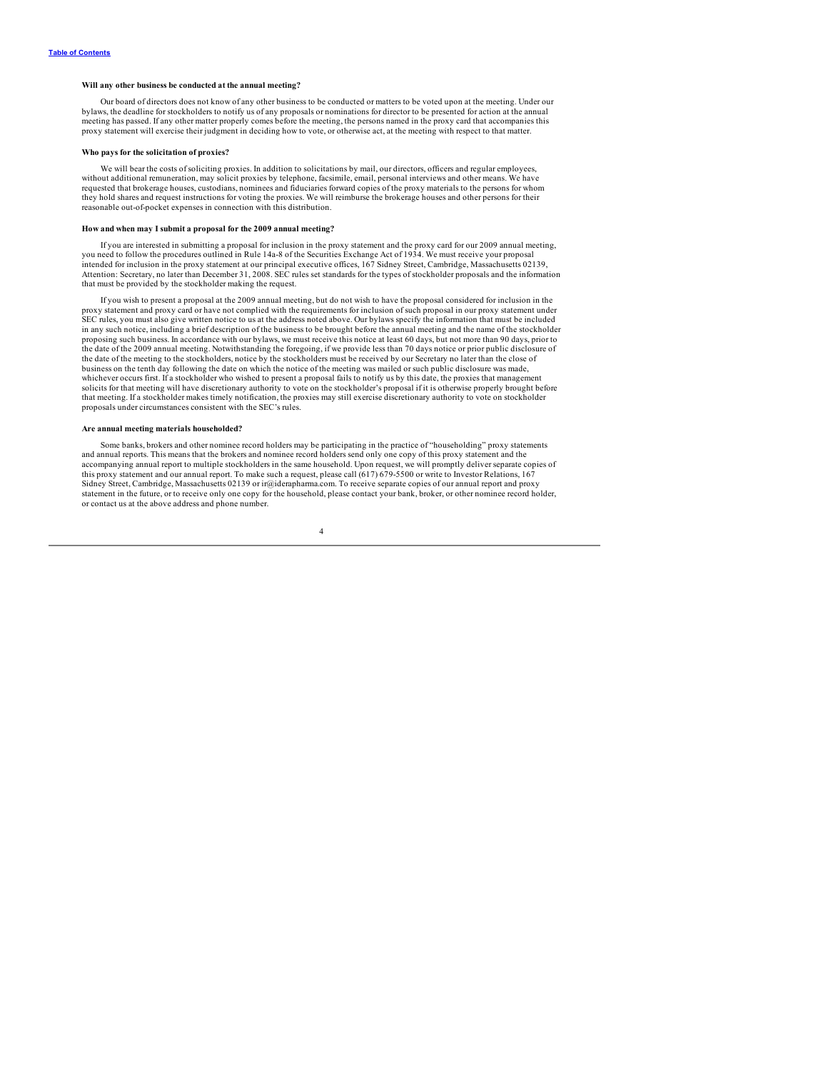#### <span id="page-6-0"></span>**Will any other business be conducted at the annual meeting?**

Our board of directors does not know of any other business to be conducted or matters to be voted upon at the meeting. Under our bylaws, the deadline for stockholders to notify us of any proposals or nominations for director to be presented for action at the annual<br>meeting has passed. If any other matter properly comes before the meeting, the person proxy statement will exercise their judgment in deciding how to vote, or otherwise act, at the meeting with respect to that matter.

#### **Who pays for the solicitation of proxies?**

We will bear the costs of soliciting proxies. In addition to solicitations by mail, our directors, officers and regular employees, without additional remuneration, may solicit proxies by telephone, facsimile, email, personal interviews and other means. We have requested that brokerage houses, custodians, nominees and fiduciaries forward copies of the proxy materials to the persons for whom they hold shares and request instructions for voting the proxies. We will reimburse the brokerage houses and other persons for their reasonable out-of-pocket expenses in connection with this distribution.

### **How and when may I submit a proposal for the 2009 annual meeting?**

If you are interested in submitting a proposal for inclusion in the proxy statement and the proxy card for our 2009 annual meeting,<br>you need to follow the procedures outlined in Rule 14a-8 of the Securities Exchange Act of intended for inclusion in the proxy statement at our principal executive offices, 167 Sidney Street, Cambridge, Massachusetts 02139, Attention: Secretary, no later than December 31, 2008. SEC rules set standards for the types of stockholder proposals and the information that must be provided by the stockholder making the request.

If you wish to present a proposal at the 2009 annual meeting, but do not wish to have the proposal considered for inclusion in the proxy statement and proxy card or have not complied with the requirements for inclusion of such proposal in our proxy statement under SEC rules, you must also give written notice to us at the address noted above. Our bylaws specify the information that must be included in any such notice, including a brief description of the business to be brought before the annual meeting and the name of the stockholder<br>proposing such business. In accordance with our bylaws, we must receive this notice the date of the 2009 annual meeting. Notwithstanding the foregoing, if we provide less than 70 days notice or prior public disclosure of the date of the meeting to the stockholders, notice by the stockholders must be received by our Secretary no later than the close of<br>business on the tenth day following the date on which the notice of the meeting was maile whichever occurs first. If a stockholder who wished to present a proposal fails to notify us by this date, the proxies that management solicits for that meeting will have discretionary authority to vote on the stockholder's proposal if it is otherwise properly brought before that meeting. If a stockholder makes timely notification, the proxies may still exercise discretionary authority to vote on stockholder proposals under circumstances consistent with the SEC's rules.

### **Are annual meeting materials householded?**

Some banks, brokers and other nominee record holders may be participating in the practice of "householding" proxy statements and annual reports. This means that the brokers and nominee record holders send only one copy of this proxy statement and the accompanying annual report to multiple stockholders in the same household. Upon request, we will promptly deliver separate copies of this proxy statement and our annual report. To make such a request, please call (617) 679-5500 or write to Investor Relations, 167 Sidney Street, Cambridge, Massachusetts 02139 or ir@iderapharma.com. To receive separate copies of our annual report and proxy statement in the future, or to receive only one copy for the household, please contact your bank, broker, or other nominee record holder, or contact us at the above address and phone number.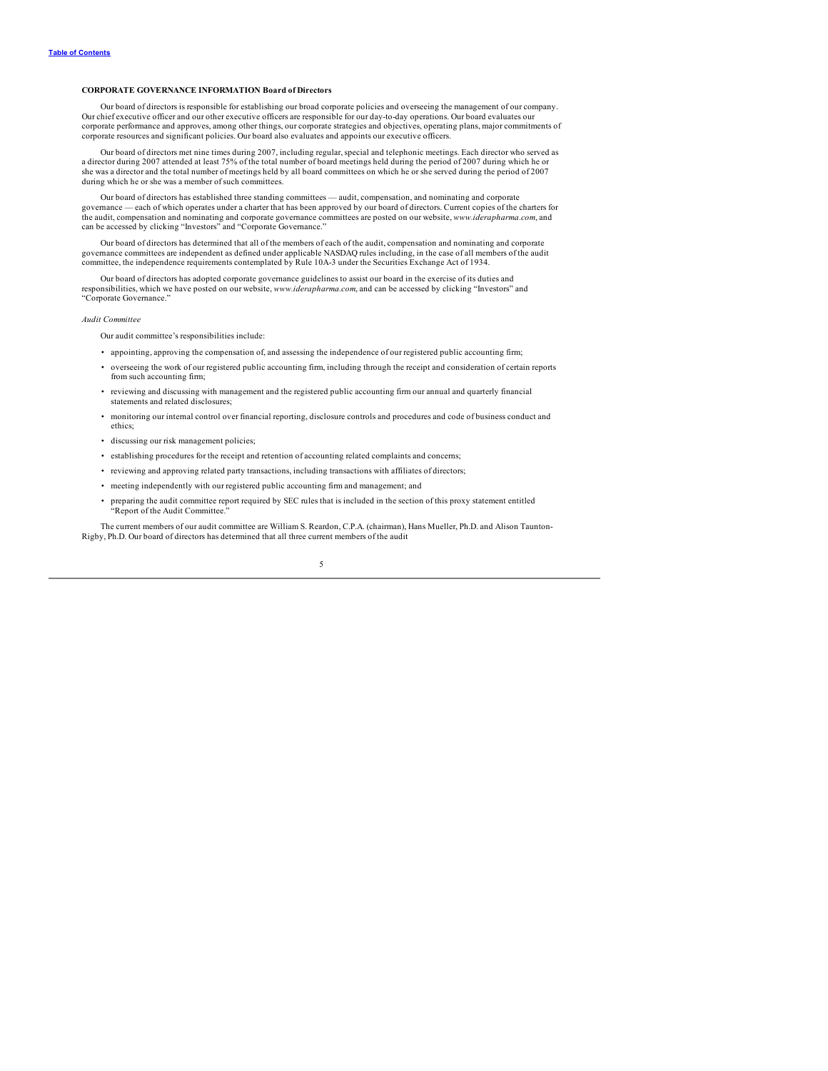### <span id="page-7-0"></span>**CORPORATE GOVERNANCE INFORMATION Board of Directors**

Our board of directors is responsible for establishing our broad corporate policies and overseeing the management of our company. Our chief executive officer and our other executive officers are responsible for our day-to-day operations. Our board evaluates our corporate performance and approves, among other things, our corporate strategies and objectives, operating plans, major commitments of corporate resources and significant policies. Our board also evaluates and appoints our executive officers.

Our board of directors met nine times during 2007, including regular, special and telephonic meetings. Each director who served as a director during 2007 attended at least 75% of the total number of board meetings held during the period of 2007 during which he or<br>she was a director and the total number of meetings held by all board committees on which during which he or she was a member of such committees.

Our board of directors has established three standing committees — audit, compensation, and nominating and corporate<br>governance — each of which operates under a charter that has been approved by our board of directors. Cur the audit, compensation and nominating and corporate governance committees are posted on our website, *www.iderapharma.com*, and can be accessed by clicking "Investors" and "Corporate Governance."

Our board of directors has determined that all of the members of each of the audit, compensation and nominating and corporate governance committees are independent as defined under applicable NASDAQ rules including, in the case of all members of the audit committee, the independence requirements contemplated by Rule 10A-3 under the Securities Exchange Act of 1934.

Our board of directors has adopted corporate governance guidelines to assist our board in the exercise of its duties and responsibilities, which we have posted on our website, *www.iderapharma.com*, and can be accessed by clicking "Investors" and "Corporate Governance."

#### *Audit Committee*

- Our audit committee's responsibilities include:
- appointing, approving the compensation of, and assessing the independence of our registered public accounting firm;
- overseeing the work of our registered public accounting firm, including through the receipt and consideration of certain reports from such accounting firm;
- reviewing and discussing with management and the registered public accounting firm our annual and quarterly financial statements and related disclosures;
- monitoring our internal control over financial reporting, disclosure controls and procedures and code of business conduct and ethics;
- discussing our risk management policies;
- establishing procedures for the receipt and retention of accounting related complaints and concerns;
- reviewing and approving related party transactions, including transactions with affiliates of directors;
- meeting independently with our registered public accounting firm and management; and
- preparing the audit committee report required by SEC rules that is included in the section of this proxy statement entitled "Report of the Audit Committee."

The current members of our audit committee are William S. Reardon, C.P.A. (chairman), Hans Mueller, Ph.D. and Alison Taunton-Rigby, Ph.D. Our board of directors has determined that all three current members of the audit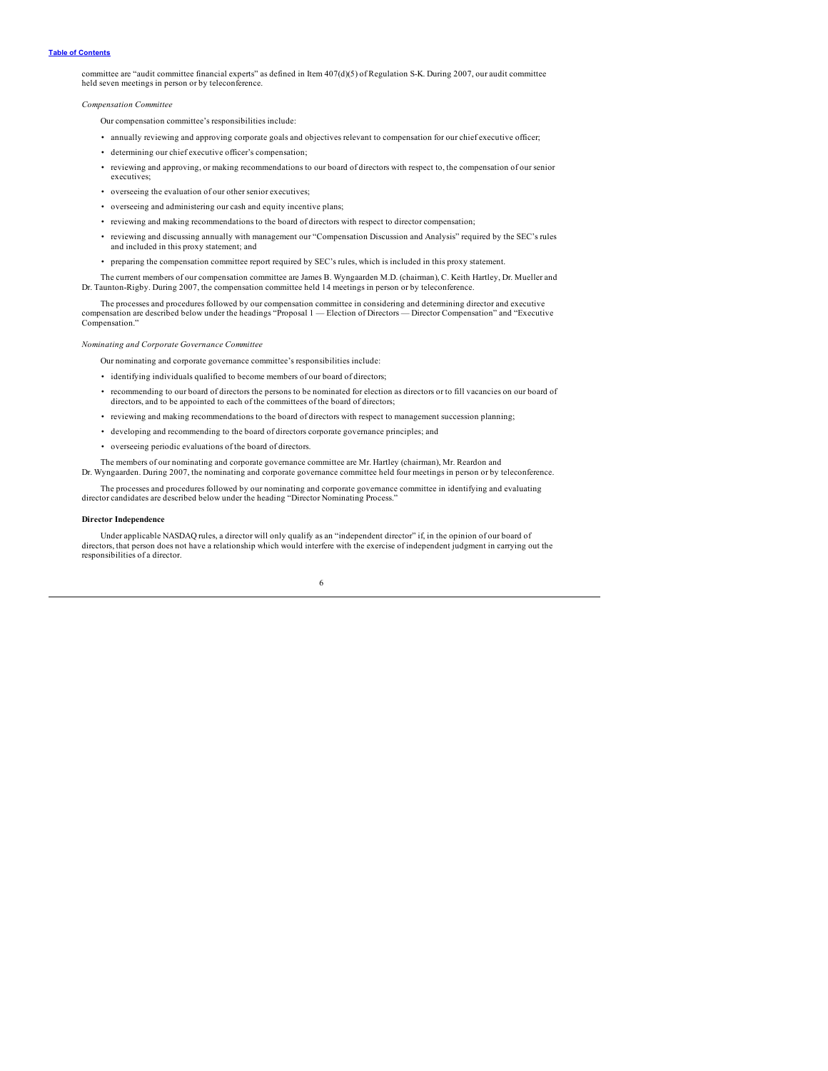<span id="page-8-0"></span>committee are "audit committee financial experts" as defined in Item 407(d)(5) of Regulation S-K. During 2007, our audit committee held seven meetings in person or by teleconference.

*Compensation Committee*

Our compensation committee's responsibilities include:

- annually reviewing and approving corporate goals and objectives relevant to compensation for our chief executive officer;
- determining our chief executive officer's compensation;
- reviewing and approving, or making recommendations to our board of directors with respect to, the compensation of our senior executives;
- overseeing the evaluation of our other senior executives;
- overseeing and administering our cash and equity incentive plans;
- reviewing and making recommendations to the board of directors with respect to director compensation;
- reviewing and discussing annually with management our "Compensation Discussion and Analysis" required by the SEC's rules and included in this proxy statement; and
- preparing the compensation committee report required by SEC's rules, which is included in this proxy statement.

The current members of our compensation committee are James B. Wyngaarden M.D. (chairman), C. Keith Hartley, Dr. Mueller and Dr. Taunton-Rigby. During 2007, the compensation committee held 14 meetings in person or by teleconference.

The processes and procedures followed by our compensation committee in considering and determining director and executive compensation are described below under the headings "Proposal 1 — Election of Directors — Director Compensation" and "Executive Compensation."

### *Nominating and Corporate Governance Committee*

Our nominating and corporate governance committee's responsibilities include:

- identifying individuals qualified to become members of our board of directors;
- recommending to our board of directors the persons to be nominated for election as directors or to fill vacancies on our board of directors, and to be appointed to each of the committees of the board of directors;
- reviewing and making recommendations to the board of directors with respect to management succession planning;
- developing and recommending to the board of directors corporate governance principles; and
- overseeing periodic evaluations of the board of directors.

The members of our nominating and corporate governance committee are Mr. Hartley (chairman), Mr. Reardon and Dr. Wyngaarden. During 2007, the nominating and corporate governance committee held four meetings in person or by teleconference.

The processes and procedures followed by our nominating and corporate governance committee in identifying and evaluating director candidates are described below under the heading "Director Nominating Process."

#### **Director Independence**

Under applicable NASDAQ rules, a director will only qualify as an "independent director" if, in the opinion of our board of directors, that person does not have a relationship which would interfere with the exercise of independent judgment in carrying out the responsibilities of a director.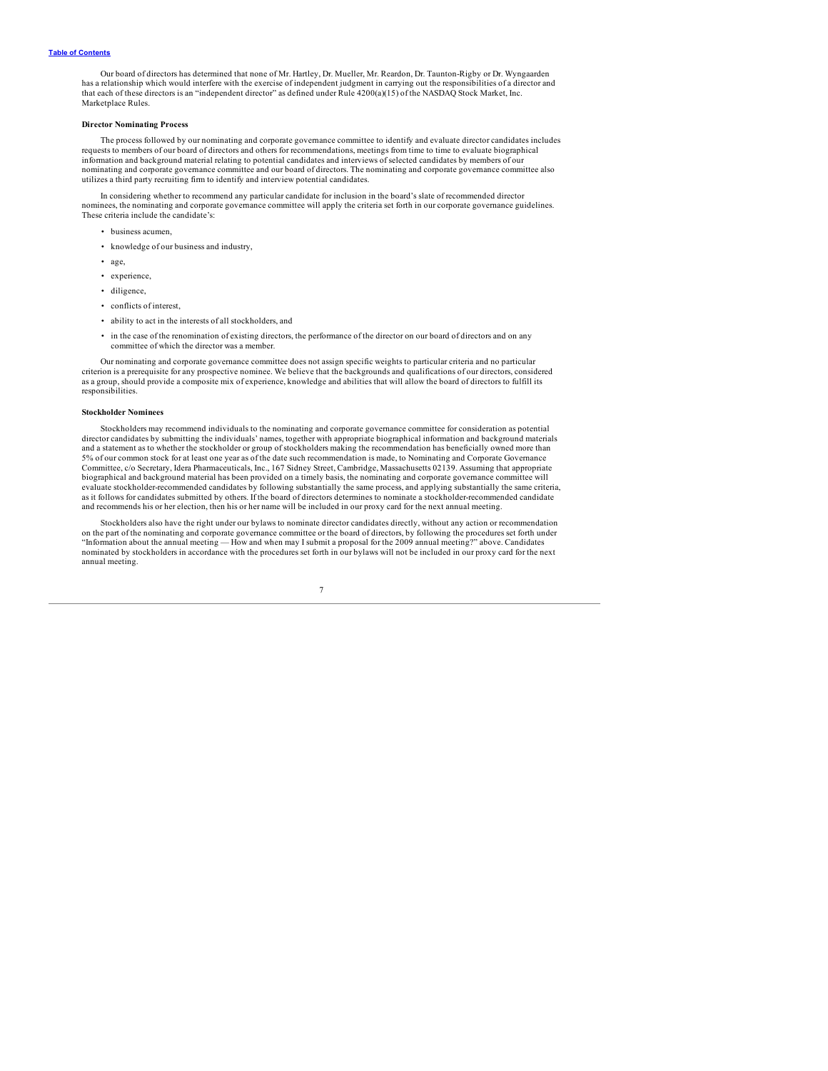<span id="page-9-0"></span>Our board of directors has determined that none of Mr. Hartley, Dr. Mueller, Mr. Reardon, Dr. Taunton-Rigby or Dr. Wyngaarden has a relationship which would interfere with the exercise of independent judgment in carrying out the responsibilities of a director and<br>that each of these directors is an "independent director" as defined under Rule 4200 Marketplace Rules.

### **Director Nominating Process**

The process followed by our nominating and corporate governance committee to identify and evaluate director candidates includes requests to members of our board of directors and others for recommendations, meetings from time to time to evaluate biographical information and background material relating to potential candidates and interviews of selected candidates by members of our nominating and corporate governance committee and our board of directors. The nominating and corporate governance committee also utilizes a third party recruiting firm to identify and interview potential candidates.

In considering whether to recommend any particular candidate for inclusion in the board's slate of recommended director nominees, the nominating and corporate governance committee will apply the criteria set forth in our corporate governance guidelines. These criteria include the candidate's:

- business acumen,
- knowledge of our business and industry,
- age,
- experience,
- diligence,
- conflicts of interest,
- ability to act in the interests of all stockholders, and
- in the case of the renomination of existing directors, the performance of the director on our board of directors and on any committee of which the director was a member.

Our nominating and corporate governance committee does not assign specific weights to particular criteria and no particular<br>criterion is a prerequisite for any prospective nominee. We believe that the backgrounds and quali as a group, should provide a composite mix of experience, knowledge and abilities that will allow the board of directors to fulfill its responsibilities.

#### **Stockholder Nominees**

Stockholders may recommend individuals to the nominating and corporate governance committee for consideration as potential director candidates by submitting the individuals' names, together with appropriate biographical information and background materials and a statement as to whether the stockholder or group of stockholders making the recommendation has beneficially owned more than<br>5% of our common stock for at least one year as of the date such recommendation is made, to Committee, c/o Secretary, Idera Pharmaceuticals, Inc., 167 Sidney Street, Cambridge, Massachusetts 02139. Assuming that appropriate biographical and background material has been provided on a timely basis, the nominating and corporate governance committee will evaluate stockholder-recommended candidates by following substantially the same process, and applying substantially the same criteria,<br>as it follows for candidates submitted by others. If the board of directors determines and recommends his or her election, then his or her name will be included in our proxy card for the next annual meeting.

Stockholders also have the right under our bylaws to nominate director candidates directly, without any action or recommendation on the part of the nominating and corporate governance committee or the board of directors, by following the procedures set forth under "Information about the annual meeting — How and when may I submit a proposal for the 2009 annual meeting?" above. Candidates nominated by stockholders in accordance with the procedures set forth in our bylaws will not be included in our proxy card for the next annual meeting.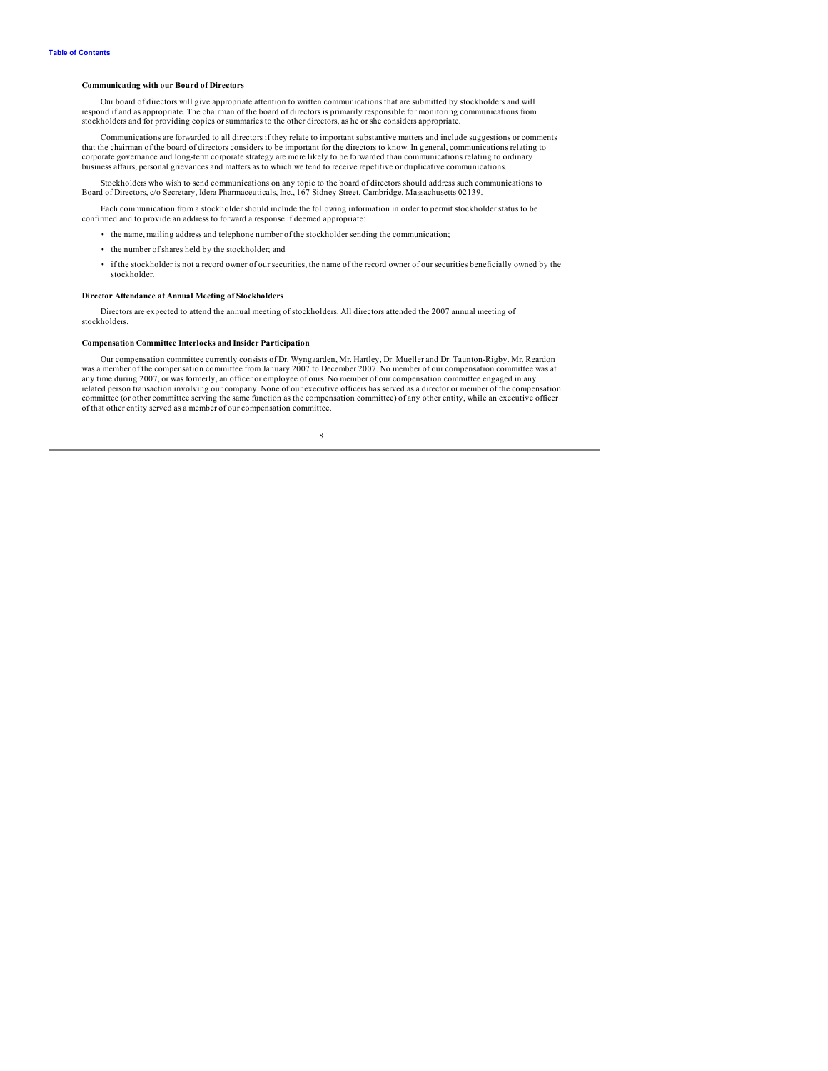### <span id="page-10-0"></span>**Communicating with our Board of Directors**

Our board of directors will give appropriate attention to written communications that are submitted by stockholders and will respond if and as appropriate. The chairman of the board of directors is primarily responsible for monitoring communications from stockholders and for providing copies or summaries to the other directors, as he or she considers appropriate.

Communications are forwarded to all directors if they relate to important substantive matters and include suggestions or comments that the chairman of the board of directors considers to be important for the directors to know. In general, communications relating to corporate governance and long-term corporate strategy are more likely to be forwarded than communications relating to ordinary business affairs, personal grievances and matters as to which we tend to receive repetitive or duplicative communications.

Stockholders who wish to send communications on any topic to the board of directors should address such communications to Board of Directors, c/o Secretary, Idera Pharmaceuticals, Inc., 167 Sidney Street, Cambridge, Massachusetts 02139.

Each communication from a stockholder should include the following information in order to permit stockholder status to be confirmed and to provide an address to forward a response if deemed appropriate:

- the name, mailing address and telephone number of the stockholder sending the communication;
- the number of shares held by the stockholder; and
- if the stockholder is not a record owner of our securities, the name of the record owner of our securities beneficially owned by the stockholder.

### **Director Attendance at Annual Meeting of Stockholders**

Directors are expected to attend the annual meeting of stockholders. All directors attended the 2007 annual meeting of stockholders.

### **Compensation Committee Interlocks and Insider Participation**

Our compensation committee currently consists of Dr. Wyngaarden, Mr. Hartley, Dr. Mueller and Dr. Taunton-Rigby. Mr. Reardon was a member of the compensation committee from January 2007 to December 2007. No member of our compensation committee was at any time during 2007, or was formerly, an officer or employee of ours. No member of our compensation committee engaged in any related person transaction involving our company. None of our executive officers has served as a director or member of the compensation committee (or other committee serving the same function as the compensation committee) of any other entity, while an executive officer of that other entity served as a member of our compensation committee.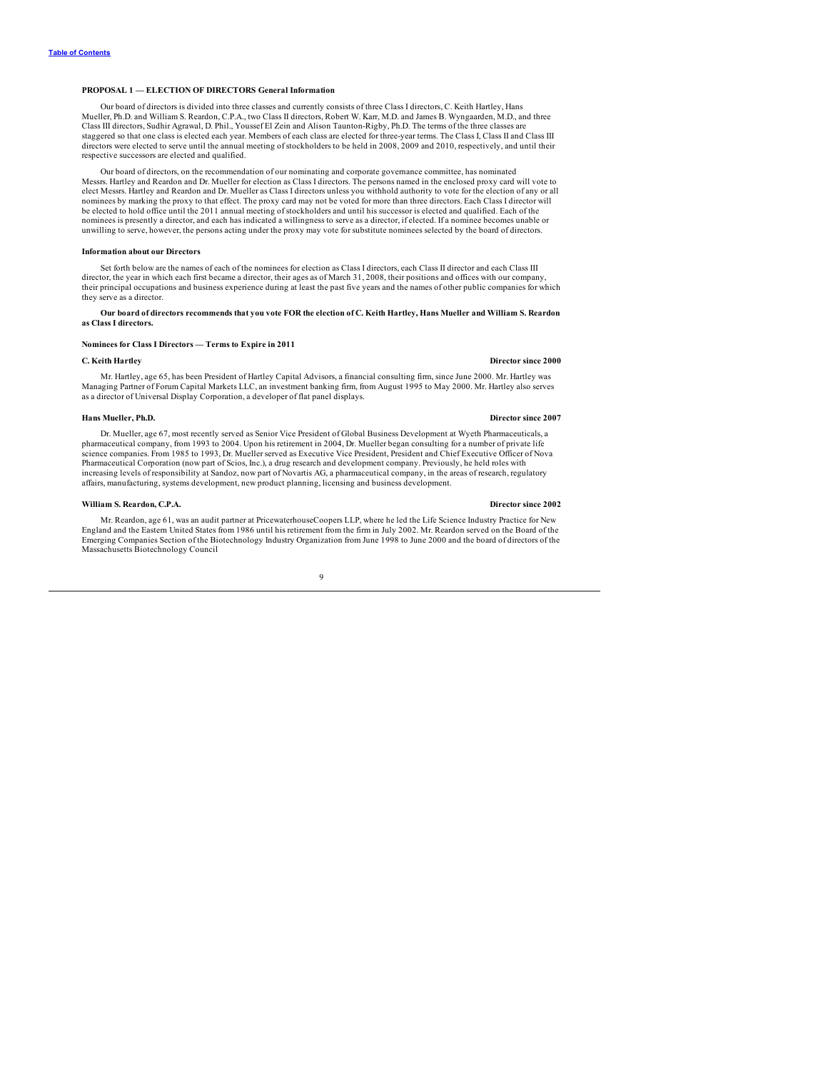### <span id="page-11-0"></span>**PROPOSAL 1 — ELECTION OF DIRECTORS General Information**

Our board of directors is divided into three classes and currently consists of three Class I directors, C. Keith Hartley, Hans Mueller, Ph.D. and William S. Reardon, C.P.A., two Class II directors, Robert W. Karr, M.D. and James B. Wyngaarden, M.D., and three<br>Class III directors, Sudhir Agrawal, D. Phil., Youssef El Zein and Alison Taunton-Rigby, staggered so that one class is elected each year. Members of each class are elected for three-year terms. The Class I, Class II and Class III directors were elected to serve until the annual meeting of stockholders to be held in 2008, 2009 and 2010, respectively, and until their respective successors are elected and qualified.

Our board of directors, on the recommendation of our nominating and corporate governance committee, has nominated Messrs. Hartley and Reardon and Dr. Mueller for election as Class I directors. The persons named in the enclosed proxy card will vote to elect Messrs. Hartley and Reardon and Dr. Mueller as Class I directors unless you withhold authority to vote for the election of any or all nominees by marking the proxy to that effect. The proxy card may not be voted for more than three directors. Each Class I director will be elected to hold office until the 2011 annual meeting of stockholders and until his successor is elected and qualified. Each of the nominees is presently a director, and each has indicated a willingness to serve as a director, if elected. If a nominee becomes unable or unwilling to serve, however, the persons acting under the proxy may vote for substitute nominees selected by the board of directors.

#### **Information about our Directors**

Set forth below are the names of each of the nominees for election as Class I directors, each Class II director and each Class III director, the year in which each first became a director, their ages as of March 31, 2008, their positions and offices with our company, their principal occupations and business experience during at least the past five years and the names of other public companies for which they serve as a director.

### Our board of directors recommends that you vote FOR the election of C. Keith Hartley, Hans Mueller and William S. Reardon **as Class I directors.**

### **Nominees for Class I Directors — Terms to Expire in 2011**

### **C. Keith Hartley Director since 2000**

Mr. Hartley, age 65, has been President of Hartley Capital Advisors, a financial consulting firm, since June 2000. Mr. Hartley was Managing Partner of Forum Capital Markets LLC, an investment banking firm, from August 1995 to May 2000. Mr. Hartley also serves as a director of Universal Display Corporation, a developer of flat panel displays.

#### **Hans Mueller, Ph.D. Director since 2007**

Dr. Mueller, age 67, most recently served as Senior Vice President of Global Business Development at Wyeth Pharmaceuticals, a<br>pharmaceutical company, from 1993 to 2004. Upon his retirement in 2004, Dr. Mueller began consul science companies. From 1985 to 1993, Dr. Mueller served as Executive Vice President, President and Chief Executive Officer of Nova Pharmaceutical Corporation (now part of Scios, Inc.), a drug research and development company. Previously, he held roles with increasing levels of responsibility at Sandoz, now part of Novartis AG, a pharmaceutical company, in the areas of research, regulatory affairs, manufacturing, systems development, new product planning, licensing and business development.

### **William S. Reardon, C.P.A. Director since 2002**

Mr. Reardon, age 61, was an audit partner at PricewaterhouseCoopers LLP, where he led the Life Science Industry Practice for New England and the Eastern United States from 1986 until his retirement from the firm in July 2002. Mr. Reardon served on the Board of the Emerging Companies Section of the Biotechnology Industry Organization from June 1998 to June 2000 and the board of directors of the Massachusetts Biotechnology Council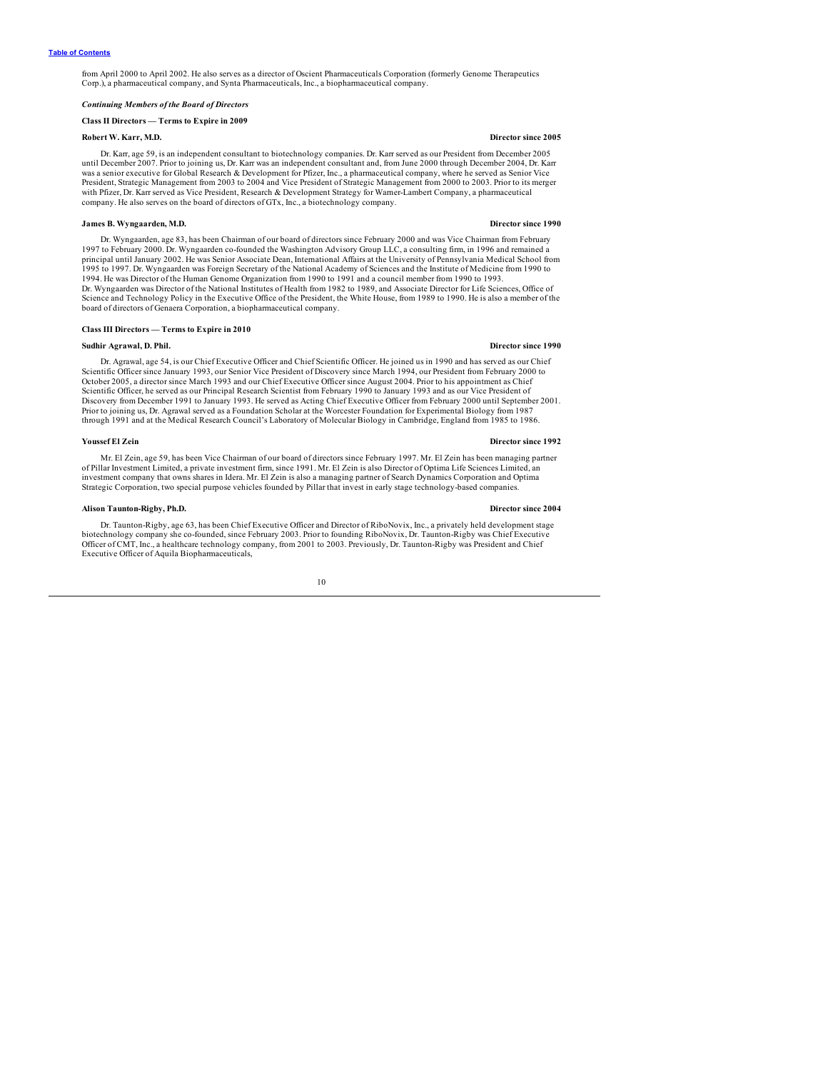<span id="page-12-0"></span>from April 2000 to April 2002. He also serves as a director of Oscient Pharmaceuticals Corporation (formerly Genome Therapeutics Corp.), a pharmaceutical company, and Synta Pharmaceuticals, Inc., a biopharmaceutical company.

### *Continuing Members of the Board of Directors*

### **Class II Directors — Terms to Expire in 2009**

#### **Robert W. Karr, M.D. Director since 2005**

Dr. Karr, age 59, is an independent consultant to biotechnology companies. Dr. Karr served as our President from December 2005 until December 2007. Prior to joining us, Dr. Karr was an independent consultant and, from June 2000 through December 2004, Dr. Karr was a senior executive for Global Research & Development for Pfizer, Inc., a pharmaceutical company, where he served as Senior Vice<br>President, Strategic Management from 2003 to 2004 and Vice President of Strategic Manageme with Pfizer, Dr. Karr served as Vice President, Research & Development Strategy for Warner-Lambert Company, a pharmaceutical company. He also serves on the board of directors of GTx, Inc., a biotechnology company.

#### **James B. Wyngaarden, M.D. Director since 1990**

Dr. Wyngaarden, age 83, has been Chairman of our board of directors since February 2000 and was Vice Chairman from February 1997 to February 2000. Dr. Wyngaarden co-founded the Washington Advisory Group LLC, a consulting firm, in 1996 and remained a principal until January 2002. He was Senior Associate Dean, International Affairs at the University of Pennsylvania Medical School from<br>1995 to 1997. Dr. Wyngaarden was Foreign Secretary of the National Academy of Sciences 1994. He was Director of the Human Genome Organization from 1990 to 1991 and a council member from 1990 to 1993. Dr. Wyngaarden was Director of the National Institutes of Health from 1982 to 1989, and Associate Director for Life Sciences, Office of Science and Technology Policy in the Executive Office of the President, the White House, from 1989 to 1990. He is also a member of the board of directors of Genaera Corporation, a biopharmaceutical company.

#### **Class III Directors — Terms to Expire in 2010**

#### **Sudhir Agrawal, D. Phil. Director since 1990**

Dr. Agrawal, age 54, is our Chief Executive Officer and Chief Scientific Officer. He joined us in 1990 and has served as our Chief Scientific Officer since January 1993, our Senior Vice President of Discovery since March 1994, our President from February 2000 to October 2005, a director since March 1993 and our Chief Executive Officer since August 2004. Prior to his appointment as Chief Scientific Officer, he served as our Principal Research Scientist from February 1990 to January 1993 and as our Vice President of Discovery from December 1991 to January 1993. He served as Acting Chief Executive Officer from February 2000 until September 2001. Prior to joining us, Dr. Agrawal served as a Foundation Scholar at the Worcester Foundation for Experimental Biology from 1987 through 1991 and at the Medical Research Council's Laboratory of Molecular Biology in Cambridge, England from 1985 to 1986.

### **Youssef El Zein Director since 1992**

Mr. El Zein, age 59, has been Vice Chairman of our board of directors since February 1997. Mr. El Zein has been managing partner of Pillar Investment Limited, a private investment firm, since 1991. Mr. El Zein is also Director of Optima Life Sciences Limited, an investment company that owns shares in Idera. Mr. El Zein is also a managing partner of Search Dynamics Corporation and Optima Strategic Corporation, two special purpose vehicles founded by Pillar that invest in early stage technology-based companies.

#### **Alison Taunton-Rigby, Ph.D. Director since 2004**

Dr. Taunton-Rigby, age 63, has been Chief Executive Officer and Director of RiboNovix, Inc., a privately held development stage biotechnology company she co-founded, since February 2003. Prior to founding RiboNovix, Dr. Taunton-Rigby was Chief Executive Officer of CMT, Inc., a healthcare technology company, from 2001 to 2003. Previously, Dr. Taunton-Rigby was President and Chief Executive Officer of Aquila Biopharmaceuticals,

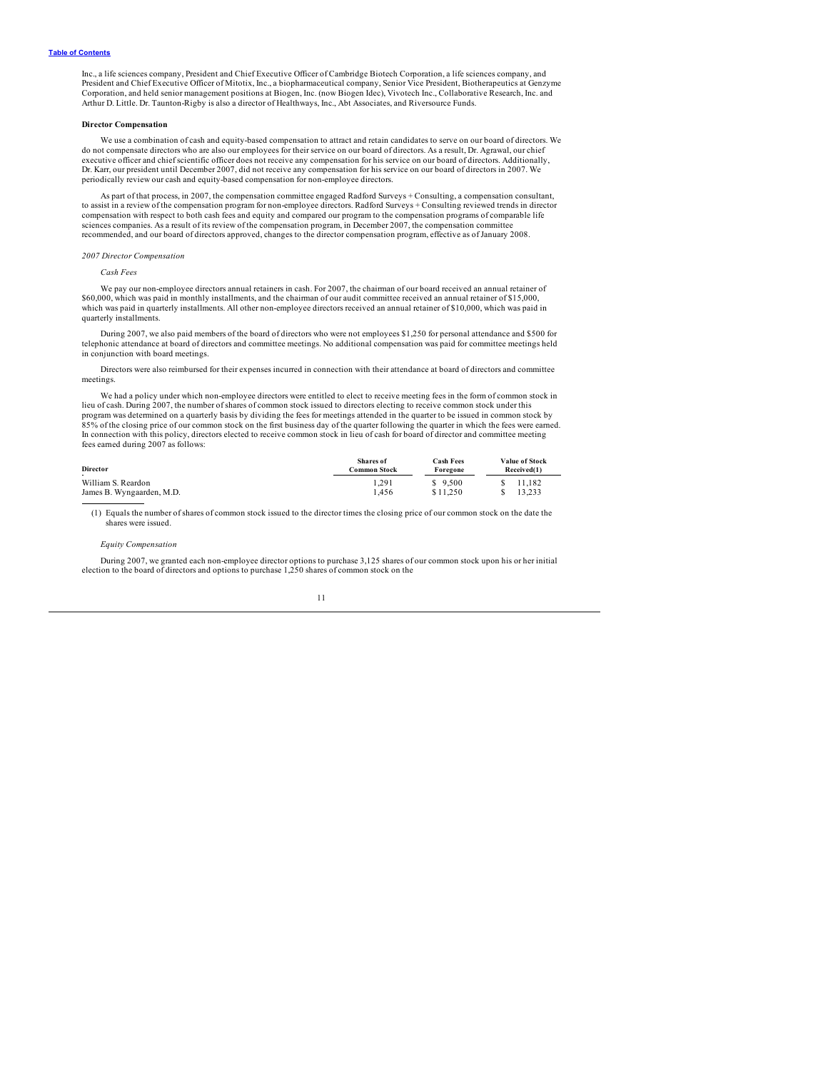<span id="page-13-0"></span>Inc., a life sciences company, President and Chief Executive Officer of Cambridge Biotech Corporation, a life sciences company, and<br>President and Chief Executive Officer of Mitotix, Inc., a biopharmaceutical company, Senio Arthur D. Little. Dr. Taunton-Rigby is also a director of Healthways, Inc., Abt Associates, and Riversource Funds.

### **Director Compensation**

We use a combination of cash and equity-based compensation to attract and retain candidates to serve on our board of directors. We do not compensate directors who are also our employees for their service on our board of directors. As a result, Dr. Agrawal, our chief executive officer and chief scientific officer does not receive any compensation for his service on our board of directors. Additionally, Dr. Karr, our president until December 2007, did not receive any compensation for his service on our board of directors in 2007. We periodically review our cash and equity-based compensation for non-employee directors.

As part of that process, in 2007, the compensation committee engaged Radford Surveys + Consulting, a compensation consultant, to assist in a review of the compensation program for non-employee directors. Radford Surveys + Consulting reviewed trends in director compensation with respect to both cash fees and equity and compared our program to the compensation programs of comparable life sciences companies. As a result of its review of the compensation program, in December 2007, the compensation committee recommended, and our board of directors approved, changes to the director compensation program, effective as of January 2008.

#### *2007 Director Compensation*

*Cash Fees*

We pay our non-employee directors annual retainers in cash. For 2007, the chairman of our board received an annual retainer of \$60,000, which was paid in monthly installments, and the chairman of our audit committee received an annual retainer of \$15,000, which was paid in quarterly installments. All other non-employee directors received an annual retainer of \$10,000, which was paid in quarterly installments.

During 2007, we also paid members of the board of directors who were not employees \$1,250 for personal attendance and \$500 for telephonic attendance at board of directors and committee meetings. No additional compensation was paid for committee meetings held in conjunction with board meetings.

Directors were also reimbursed for their expenses incurred in connection with their attendance at board of directors and committee meetings.

We had a policy under which non-employee directors were entitled to elect to receive meeting fees in the form of common stock in lieu of cash. During 2007, the number of shares of common stock issued to directors electing to receive common stock under this<br>program was determined on a quarterly basis by dividing the fees for meetings attended in the 85% of the closing price of our common stock on the first business day of the quarter following the quarter in which the fees were earned. In connection with this policy, directors elected to receive common stock in lieu of cash for board of director and committee meeting fees earned during 2007 as follows:

| <b>Director</b>           | Shares of<br>Common Stock | <b>Cash Fees</b><br>Foregone | Value of Stock<br>Received(1) |  |  |  |
|---------------------------|---------------------------|------------------------------|-------------------------------|--|--|--|
| . .<br>William S. Reardon | 1.291                     | \$9.500                      | 11.182<br>S.                  |  |  |  |
| James B. Wyngaarden, M.D. | 1.456                     | 11.250                       | 13.233                        |  |  |  |

(1) Equals the number of shares of common stock issued to the director times the closing price of our common stock on the date the shares were issued.

#### *Equity Compensation*

During 2007, we granted each non-employee director options to purchase 3,125 shares of our common stock upon his or her initial election to the board of directors and options to purchase 1,250 shares of common stock on the

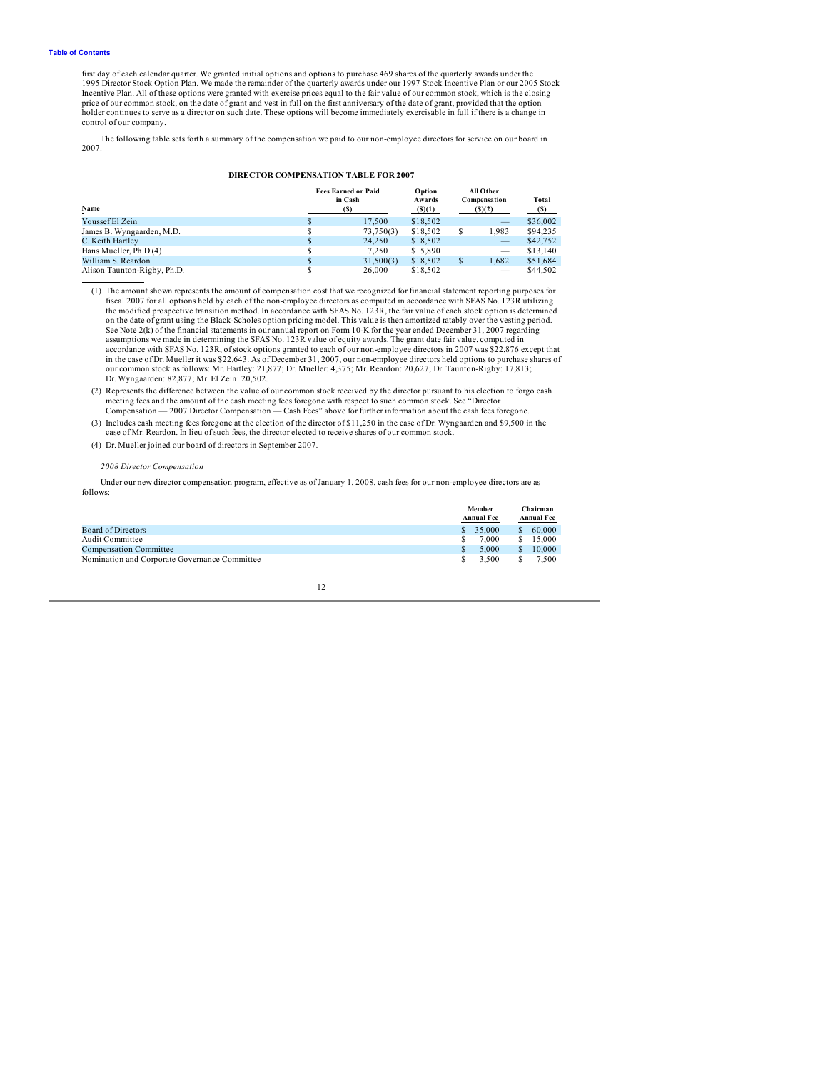first day of each calendar quarter. We granted initial options and options to purchase 469 shares of the quarterly awards under the<br>1995 Director Stock Option Plan. We made the remainder of the quarterly awards under our 1 Incentive Plan. All of these options were granted with exercise prices equal to the fair value of our common stock, which is the closing price of our common stock, on the date of grant and vest in full on the first anniversary of the date of grant, provided that the option holder continues to serve as a director on such date. These options will become immediately exercisable in full if there is a change in control of our company.

The following table sets forth a summary of the compensation we paid to our non-employee directors for service on our board in 2007.

### **DIRECTOR COMPENSATION TABLE FOR 2007**

| Name                        | <b>Fees Earned or Paid</b><br>in Cash<br>(S) |          |  | All Other<br>Compensation<br>(S)(2) | Total<br>(S) |  |
|-----------------------------|----------------------------------------------|----------|--|-------------------------------------|--------------|--|
| Youssef El Zein             | 17.500                                       | \$18,502 |  | $\overline{\phantom{a}}$            | \$36,002     |  |
| James B. Wyngaarden, M.D.   | 73,750(3)                                    | \$18,502 |  | 1.983                               | \$94,235     |  |
| C. Keith Hartley            | 24,250                                       | \$18,502 |  | $\overline{\phantom{a}}$            | \$42,752     |  |
| Hans Mueller, Ph.D.(4)      | 7.250                                        | \$5.890  |  | $\overline{\phantom{a}}$            | \$13,140     |  |
| William S. Reardon          | 31,500(3)                                    | \$18,502 |  | 1.682                               | \$51,684     |  |
| Alison Taunton-Rigby, Ph.D. | 26,000                                       | \$18,502 |  | $\overline{\phantom{a}}$            | \$44,502     |  |

(1) The amount shown represents the amount of compensation cost that we recognized for financial statement reporting purposes for fiscal 2007 for all options held by each of the non-employee directors as computed in accordance with SFAS No. 123R utilizing<br>the modified prospective transition method. In accordance with SFAS No. 123R, the fair value of on the date of grant using the Black-Scholes option pricing model. This value is then amortized ratably over the vesting period. See Note 2(k) of the financial statements in our annual report on Form 10-K for the year ended December 31, 2007 regarding<br>assumptions we made in determining the SFAS No. 123R value of equity awards. The grant date fair va accordance with SFAS No. 123R, of stock options granted to each of our non-employee directors in 2007 was \$22,876 except that in the case of Dr. Mueller it was \$22,643. As of December 31, 2007, our non-employee directors held options to purchase shares of<br>our common stock as follows: Mr. Hartley: 21,877; Dr. Mueller: 4,375; Mr. Reardon: 20,627; D

(2) Represents the difference between the value of our common stock received by the director pursuant to his election to forgo cash meeting fees and the amount of the cash meeting fees foregone with respect to such common stock. See "Director<br>Compensation — 2007 Director Compensation — Cash Fees" above for further information about the cash fees forego

(3) Includes cash meeting fees foregone at the election of the director of \$11,250 in the case of Dr. Wyngaarden and \$9,500 in the case of Mr. Reardon. In lieu of such fees, the director elected to receive shares of our co

(4) Dr. Mueller joined our board of directors in September 2007.

### *2008 Director Compensation*

Under our new director compensation program, effective as of January 1, 2008, cash fees for our non-employee directors are as follows:

|                                               | Member<br><b>Annual Fee</b> |               | Chairman<br><b>Annual Fee</b> |
|-----------------------------------------------|-----------------------------|---------------|-------------------------------|
| <b>Board of Directors</b>                     | \$35,000                    | <sup>\$</sup> | 60,000                        |
| <b>Audit Committee</b>                        | 7.000                       | S             | 15,000                        |
| <b>Compensation Committee</b>                 | 5.000                       | S.            | 10,000                        |
| Nomination and Corporate Governance Committee | 3.500                       |               | 7.500                         |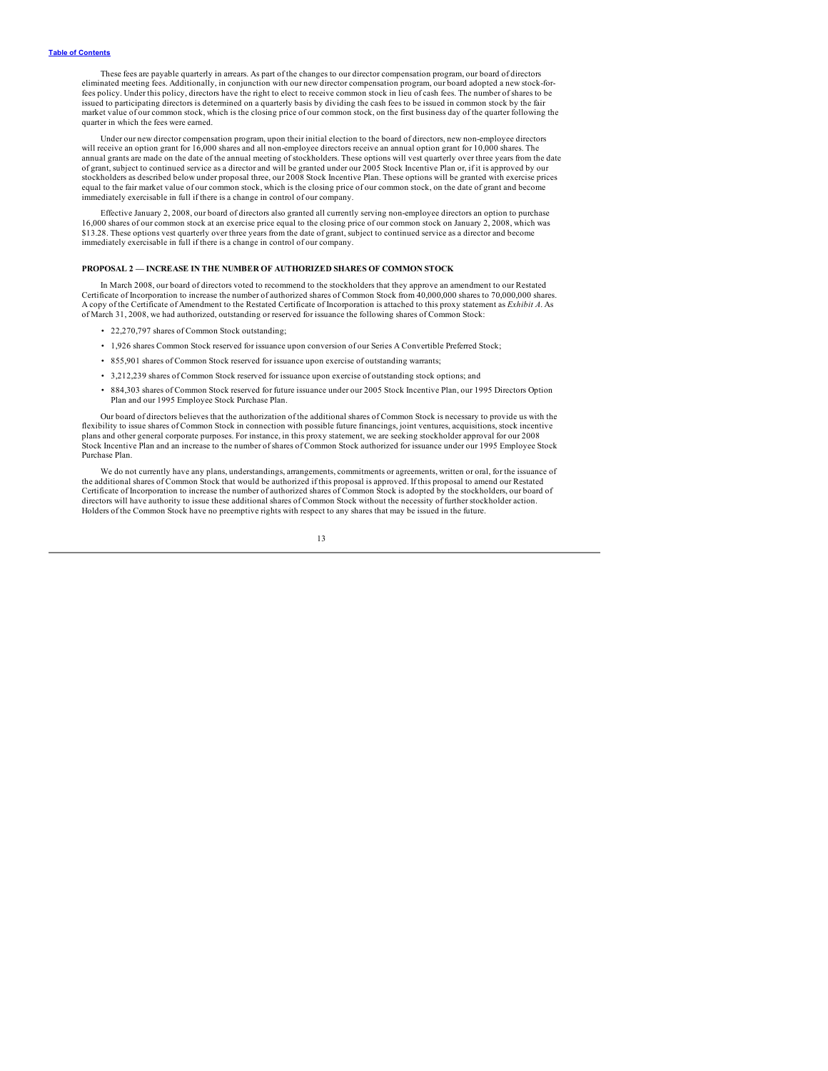<span id="page-15-0"></span>These fees are payable quarterly in arrears. As part of the changes to our director compensation program, our board of directors eliminated meeting fees. Additionally, in conjunction with our new director compensation program, our board adopted a new stock-forfees policy. Under this policy, directors have the right to elect to receive common stock in lieu of cash fees. The number of shares to be issued to participating directors is determined on a quarterly basis by dividing the cash fees to be issued in common stock by the fair market value of our common stock, which is the closing price of our common stock, on the first business day of the quarter following the quarter in which the fees were earned.

Under our new director compensation program, upon their initial election to the board of directors, new non-employee directors will receive an option grant for 16,000 shares and all non-employee directors receive an annual option grant for 10,000 shares. The annual grants are made on the date of the annual meeting of stockholders. These options will vest quarterly over three years from the date<br>of grant, subject to continued service as a director and will be granted under our stockholders as described below under proposal three, our 2008 Stock Incentive Plan. These options will be granted with exercise prices equal to the fair market value of our common stock, which is the closing price of our common stock, on the date of grant and become immediately exercisable in full if there is a change in control of our company.

Effective January 2, 2008, our board of directors also granted all currently serving non-employee directors an option to purchase 16,000 shares of our common stock at an exercise price equal to the closing price of our common stock on January 2, 2008, which was<br>\$13.28. These options vest quarterly over three years from the date of grant, subject to c immediately exercisable in full if there is a change in control of our company.

### **PROPOSAL 2 — INCREASE IN THE NUMBER OF AUTHORIZED SHARES OF COMMON STOCK**

In March 2008, our board of directors voted to recommend to the stockholders that they approve an amendment to our Restated Certificate of Incorporation to increase the number of authorized shares of Common Stock from 40,000,000 shares to 70,000,000 shares.<br>A copy of the Certificate of Amendment to the Restated Certificate of Incorporation is a of March 31, 2008, we had authorized, outstanding or reserved for issuance the following shares of Common Stock:

- 22,270,797 shares of Common Stock outstanding;
- 1,926 shares Common Stock reserved for issuance upon conversion of our Series A Convertible Preferred Stock;
- 855,901 shares of Common Stock reserved for issuance upon exercise of outstanding warrants;
- 3,212,239 shares of Common Stock reserved for issuance upon exercise of outstanding stock options; and
- 884,303 shares of Common Stock reserved for future issuance under our 2005 Stock Incentive Plan, our 1995 Directors Option Plan and our 1995 Employee Stock Purchase Plan.

Our board of directors believes that the authorization of the additional shares of Common Stock is necessary to provide us with the flexibility to issue shares of Common Stock in connection with possible future financings, joint ventures, acquisitions, stock incentive plans and other general corporate purposes. For instance, in this proxy statement, we are seeking stockholder approval for our 2008 Stock Incentive Plan and an increase to the number of shares of Common Stock authorized for issuance under our 1995 Employee Stock Purchase Plan.

We do not currently have any plans, understandings, arrangements, commitments or agreements, written or oral, for the issuance of the additional shares of Common Stock that would be authorized if this proposal is approved. If this proposal to amend our Restated Certificate of Incorporation to increase the number of authorized shares of Common Stock is adopted by the stockholders, our board of directors will have authority to issue these additional shares of Common Stock without the necessity of further stockholder action. Holders of the Common Stock have no preemptive rights with respect to any shares that may be issued in the future.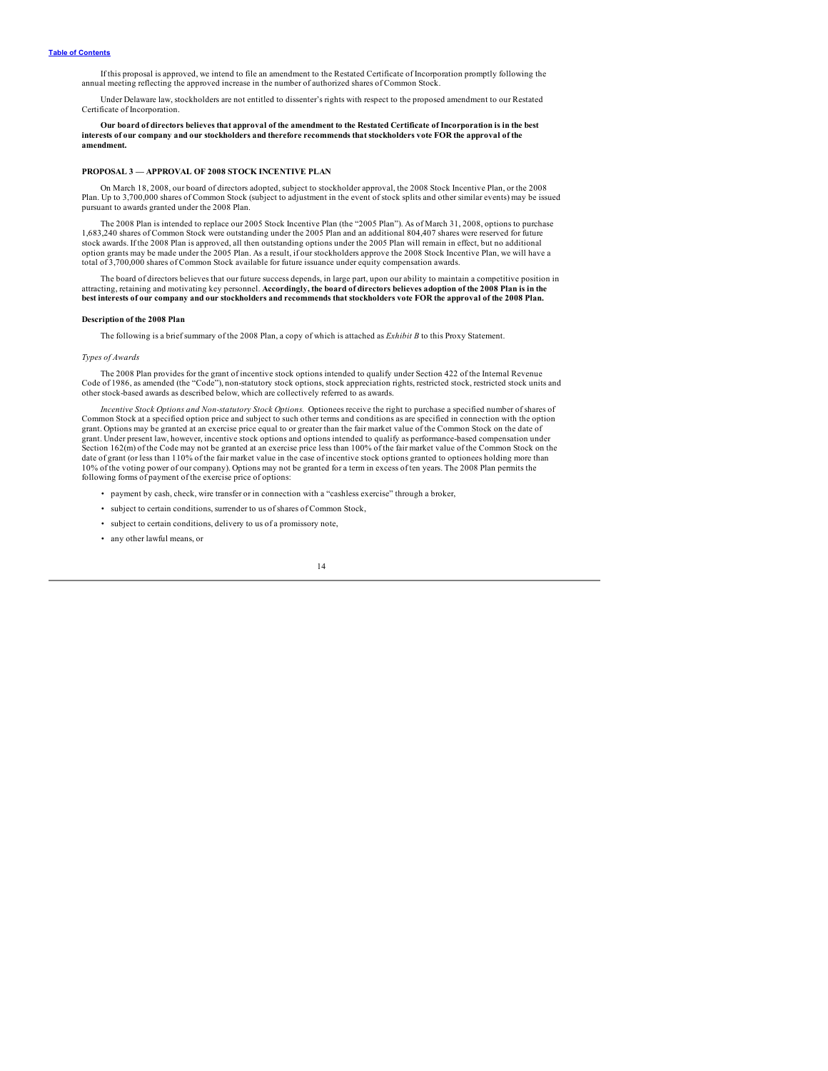<span id="page-16-0"></span>If this proposal is approved, we intend to file an amendment to the Restated Certificate of Incorporation promptly following the annual meeting reflecting the approved increase in the number of authorized shares of Common Stock.

Under Delaware law, stockholders are not entitled to dissenter's rights with respect to the proposed amendment to our Restated Certificate of Incorporation.

Our board of directors believes that approval of the amendment to the Restated Certificate of Incorporation is in the best interests of our company and our stockholders and therefore recommends that stockholders vote FOR the approval of the **amendment.**

### **PROPOSAL 3 — APPROVAL OF 2008 STOCK INCENTIVE PLAN**

On March 18, 2008, our board of directors adopted, subject to stockholder approval, the 2008 Stock Incentive Plan, or the 2008 Plan. Up to 3,700,000 shares of Common Stock (subject to adjustment in the event of stock splits and other similar events) may be issued pursuant to awards granted under the 2008 Plan.

The 2008 Plan is intended to replace our 2005 Stock Incentive Plan (the "2005 Plan"). As of March 31, 2008, options to purchase 1,683,240 shares of Common Stock were outstanding under the 2005 Plan and an additional 804,407 shares were reserved for future stock awards. If the 2008 Plan is approved, all then outstanding options under the 2005 Plan will remain in effect, but no additional option grants may be made under the 2005 Plan. As a result, if our stockholders approve the 2008 Stock Incentive Plan, we will have a total of 3,700,000 shares of Common Stock available for future issuance under equity compensation awards.

The board of directors believes that our future success depends, in large part, upon our ability to maintain a competitive position in attracting, retaining and motivating key personnel. Accordingly, the board of directors believes adoption of the 2008 Plan is in the best interests of our company and our stockholders and recommends that stockholders vote FOR the approval of the 2008 Plan.

#### **Description of the 2008 Plan**

The following is a brief summary of the 2008 Plan, a copy of which is attached as *Exhibit B* to this Proxy Statement.

### *Types of Awards*

The 2008 Plan provides for the grant of incentive stock options intended to qualify under Section 422 of the Internal Revenue Code of 1986, as amended (the "Code"), non-statutory stock options, stock appreciation rights, restricted stock, restricted stock units and<br>other stock-based awards as described below, which are collectively referred to as

*Incentive Stock Options and Non-statutory Stock Options.* Optionees receive the right to purchase a specified number of shares of Common Stock at a specified option price and subject to such other terms and conditions as are specified in connection with the option grant. Options may be granted at an exercise price equal to or greater than the fair market value of the Common Stock on the date of grant. Under present law, however, incentive stock options and options intended to qualify as performance-based compensation under Section 162(m) of the Code may not be granted at an exercise price less than 100% of the fair market value of the Common Stock on the<br>date of grant (or less than 110% of the fair market value in the case of incentive stock 10% of the voting power of our company). Options may not be granted for a term in excess of ten years. The 2008 Plan permits the following forms of payment of the exercise price of options:

- payment by cash, check, wire transfer or in connection with a "cashless exercise" through a broker,
- subject to certain conditions, surrender to us of shares of Common Stock,
- subject to certain conditions, delivery to us of a promissory note,
- any other lawful means, or

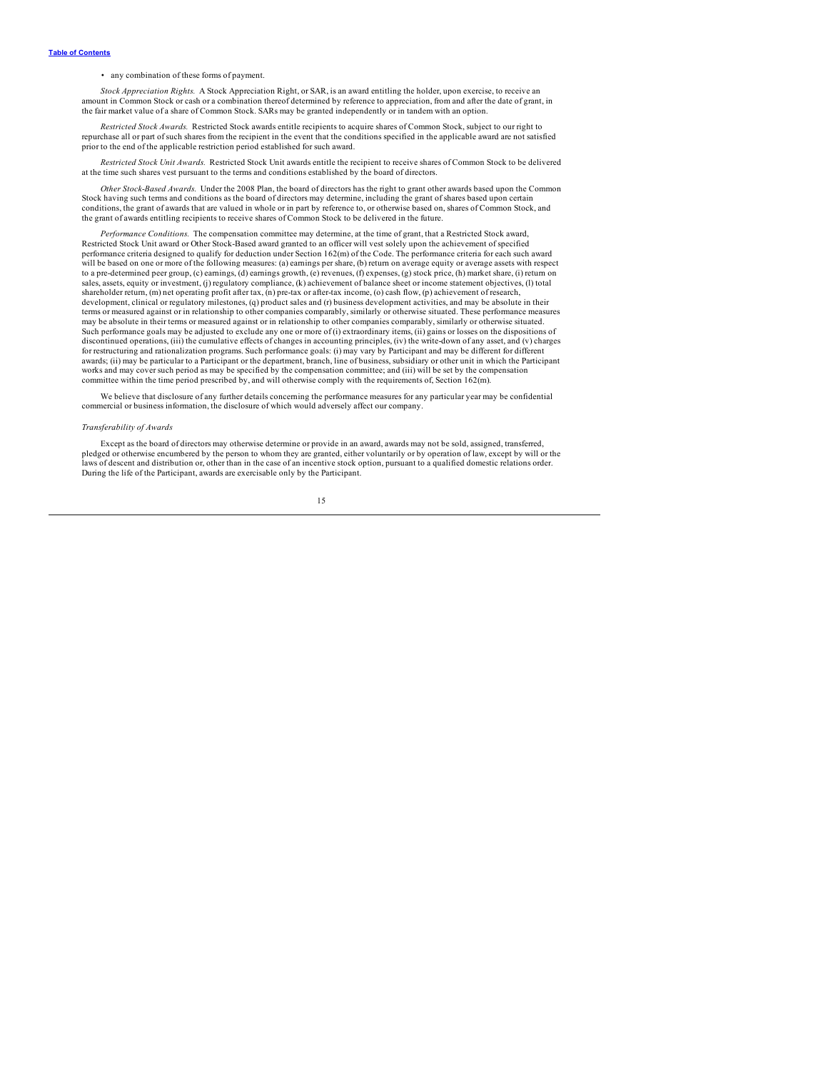• any combination of these forms of payment.

Stock Appreciation Rights. A Stock Appreciation Right, or SAR, is an award entitling the holder, upon exercise, to receive an amount in Common Stock or cash or a combination thereof determined by reference to appreciation, the fair market value of a share of Common Stock. SARs may be granted independently or in tandem with an option.

*Restricted Stock Awards.* Restricted Stock awards entitle recipients to acquire shares of Common Stock, subject to our right to repurchase all or part of such shares from the recipient in the event that the conditions specified in the applicable award are not satisfied prior to the end of the applicable restriction period established for such award.

*Restricted Stock Unit Awards.* Restricted Stock Unit awards entitle the recipient to receive shares of Common Stock to be delivered at the time such shares vest pursuant to the terms and conditions established by the board of directors.

*Other Stock-Based Awards.* Under the 2008 Plan, the board of directors has the right to grant other awards based upon the Common Stock having such terms and conditions as the board of directors may determine, including the grant of shares based upon certain conditions, the grant of awards that are valued in whole or in part by reference to, or otherwise based on, shares of Common Stock, and the grant of awards entitling recipients to receive shares of Common Stock to be delivered in the future.

Performance Conditions. The compensation committee may determine, at the time of grant, that a Restricted Stock award, Restricted Stock Unit award or Other Stock-Based award granted to an officer will vest solely upon the performance criteria designed to qualify for deduction under Section 162(m) of the Code. The performance criteria for each such award will be based on one or more of the following measures: (a) earnings per share, (b) return on average equity or average assets with respect to a pre-determined peer group, (c) earnings, (d) earnings growth, (e) revenues, (f) expenses, (g) stock price, (h) market share, (i) return on sales, assets, equity or investment, (j) regulatory compliance, (k) achievement of balance sheet or income statement objectives, (l) total shareholder return, (m) net operating profit after tax, (n) pre-tax or after-tax income, (o) cash flow, (p) achievement of research, development, clinical or regulatory milestones, (q) product sales and (r) business development activities, and may be absolute in their terms or measured against or in relationship to other companies comparably, similarly or otherwise situated. These performance measures may be absolute in their terms or measured against or in relationship to other companies comparably, similarly or otherwise situated. Such performance goals may be adjusted to exclude any one or more of (i) extraordinary items, (ii) gains or losses on the dispositions of discontinued operations, (iii) the cumulative effects of changes in accounting principles, (iv) the write-down of any asset, and (v) charges for restructuring and rationalization programs. Such performance goals: (i) may vary by Participant and may be different for different<br>awards; (ii) may be particular to a Participant or the department, branch, line of busi works and may cover such period as may be specified by the compensation committee; and (iii) will be set by the compensation committee within the time period prescribed by, and will otherwise comply with the requirements of, Section 162(m).

We believe that disclosure of any further details concerning the performance measures for any particular year may be confidential commercial or business information, the disclosure of which would adversely affect our company.

#### *Transferability of Awards*

Except as the board of directors may otherwise determine or provide in an award, awards may not be sold, assigned, transferred, pledged or otherwise encumbered by the person to whom they are granted, either voluntarily or by operation of law, except by will or the laws of descent and distribution or, other than in the case of an incentive stock option, pursuant to a qualified domestic relations order. During the life of the Participant, awards are exercisable only by the Participant.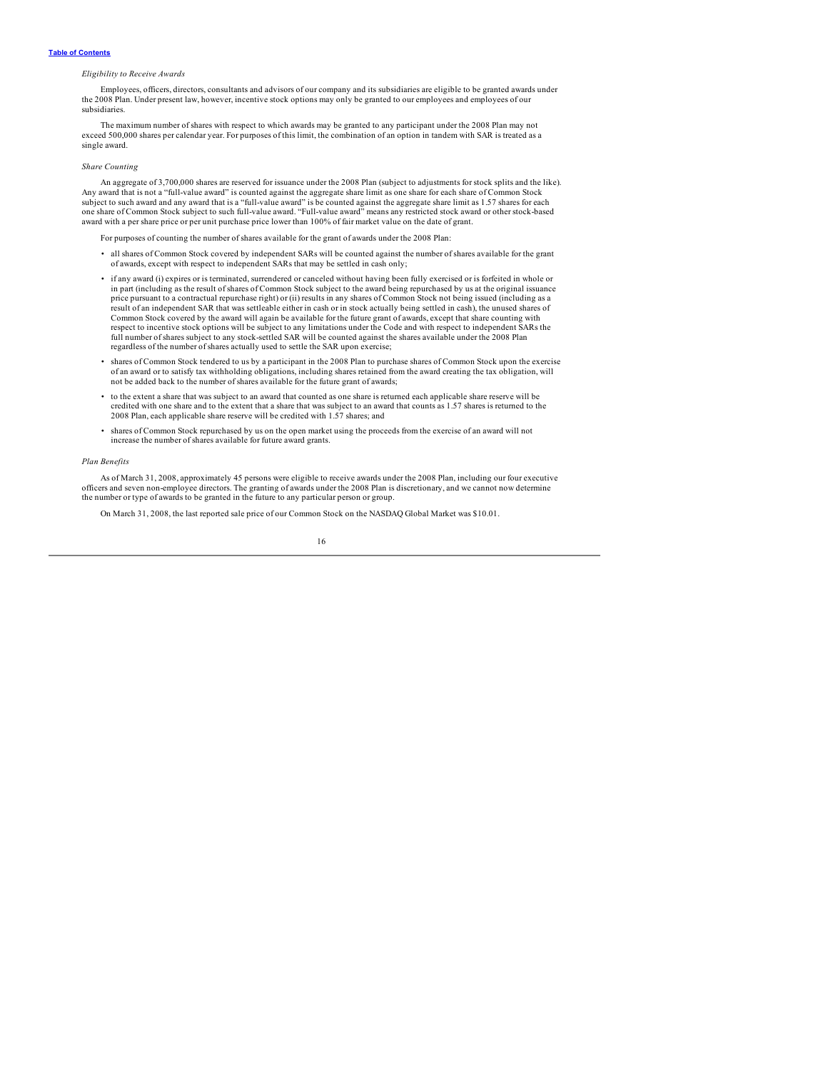### *Eligibility to Receive Awards*

Employees, officers, directors, consultants and advisors of our company and its subsidiaries are eligible to be granted awards under the 2008 Plan. Under present law, however, incentive stock options may only be granted to our employees and employees of our subsidiaries.

The maximum number of shares with respect to which awards may be granted to any participant under the 2008 Plan may not exceed 500,000 shares per calendar year. For purposes of this limit, the combination of an option in tandem with SAR is treated as a single award.

#### *Share Counting*

An aggregate of 3,700,000 shares are reserved for issuance under the 2008 Plan (subject to adjustments for stock splits and the like). Any award that is not a "full-value award" is counted against the aggregate share limit as one share for each share of Common Stock subject to such award and any award that is a "full-value award" is be counted against the aggregate share limit as 1.57 shares for each<br>one share of Common Stock subject to such full-value award. "Full-value award" means award with a per share price or per unit purchase price lower than 100% of fair market value on the date of grant.

For purposes of counting the number of shares available for the grant of awards under the 2008 Plan:

- all shares of Common Stock covered by independent SARs will be counted against the number of shares available for the grant of awards, except with respect to independent SARs that may be settled in cash only;
- if any award (i) expires or is terminated, surrendered or canceled without having been fully exercised or is forfeited in whole or in part (including as the result of shares of Common Stock subject to the award being repurchased by us at the original issuance price pursuant to a contractual repurchase right) or (ii) results in any shares of Common Stock not being issued (including as a result of an independent SAR that was settleable either in cash or in stock actually being settled in cash), the unused shares of<br>Common Stock covered by the award will again be available for the future grant of awards, ex respect to incentive stock options will be subject to any limitations under the Code and with respect to independent SARs the full number of shares subject to any stock-settled SAR will be counted against the shares available under the 2008 Plan regardless of the number of shares actually used to settle the SAR upon exercise;
- Shares of Common Stock tendered to us by a participant in the 2008 Plan to purchase shares of Common Stock upon the exercise<br>of an award or to satisfy tax withholding obligations, including shares retained from the award c not be added back to the number of shares available for the future grant of awards;
- to the extent a share that was subject to an award that counted as one share is returned each applicable share reserve will be credited with one share and to the extent that a share that was subject to an award that counts as 1.57 shares is returned to the 2008 Plan, each applicable share reserve will be credited with 1.57 shares; and
- shares of Common Stock repurchased by us on the open market using the proceeds from the exercise of an award will not increase the number of shares available for future award grants.

#### *Plan Benefits*

As of March 31, 2008, approximately 45 persons were eligible to receive awards under the 2008 Plan, including our four executive officers and seven non-employee directors. The granting of awards under the 2008 Plan is discretionary, and we cannot now determine the number or type of awards to be granted in the future to any particular person or group.

On March 31, 2008, the last reported sale price of our Common Stock on the NASDAQ Global Market was \$10.01.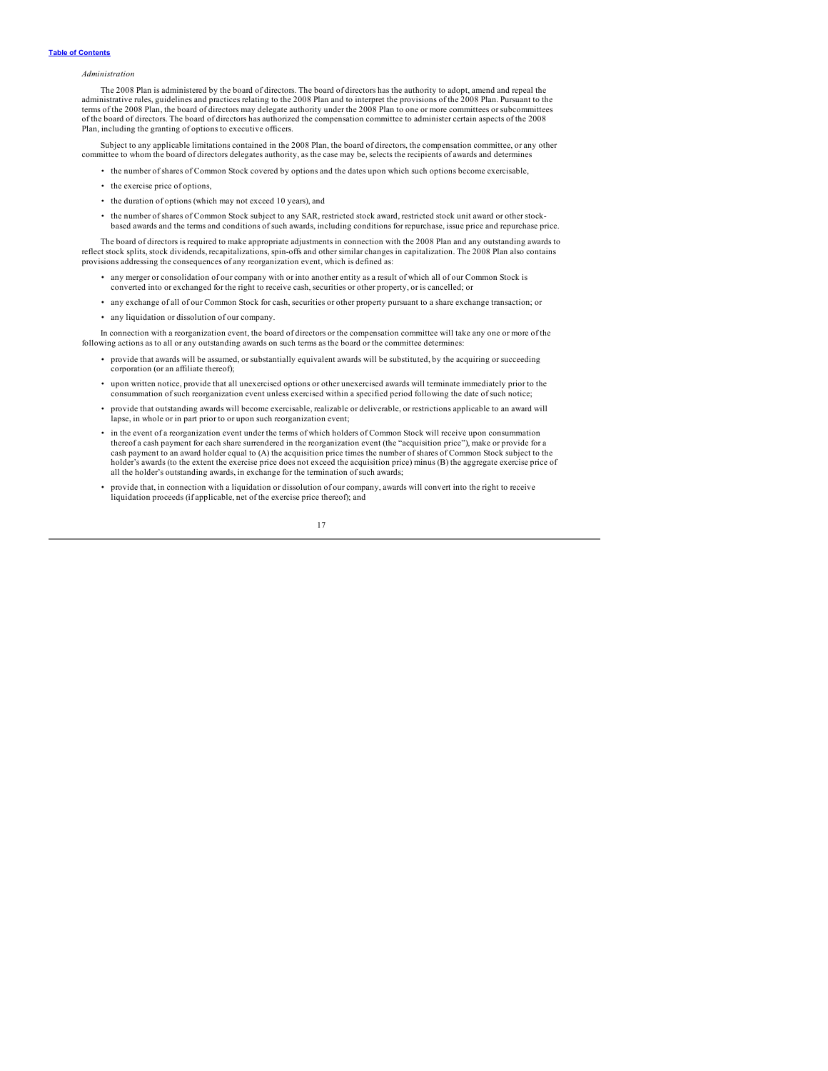### *Administration*

The 2008 Plan is administered by the board of directors. The board of directors has the authority to adopt, amend and repeal the administrative rules, guidelines and practices relating to the 2008 Plan and to interpret the provisions of the 2008 Plan. Pursuant to the terms of the 2008 Plan, the board of directors may delegate authority under the 2008 Plan to one or more committees or subcommittees of the board of directors. The board of directors has authorized the compensation committee to administer certain aspects of the 2008 Plan, including the granting of options to executive officers.

Subject to any applicable limitations contained in the 2008 Plan, the board of directors, the compensation committee, or any other committee to whom the board of directors delegates authority, as the case may be, selects the recipients of awards and determines

- the number of shares of Common Stock covered by options and the dates upon which such options become exercisable,
- the exercise price of options,
- the duration of options (which may not exceed 10 years), and
- the number of shares of Common Stock subject to any SAR, restricted stock award, restricted stock unit award or other stock-<br>based awards and the terms and conditions of such awards, including conditions for repurchase, is

The board of directors is required to make appropriate adjustments in connection with the 2008 Plan and any outstanding awards to reflect stock splits, stock dividends, recapitalizations, spin-offs and other similar changes in capitalization. The 2008 Plan also contains<br>provisions addressing the consequences of any reorganization event, which is defi

- any merger or consolidation of our company with or into another entity as a result of which all of our Common Stock is converted into or exchanged for the right to receive cash, securities or other property, or is cancelled; or
- any exchange of all of our Common Stock for cash, securities or other property pursuant to a share exchange transaction; or
- any liquidation or dissolution of our company.

In connection with a reorganization event, the board of directors or the compensation committee will take any one or more of the following actions as to all or any outstanding awards on such terms as the board or the commi

- provide that awards will be assumed, or substantially equivalent awards will be substituted, by the acquiring or succeeding corporation (or an affiliate thereof);
- upon written notice, provide that all unexercised options or other unexercised awards will terminate immediately prior to the consummation of such reorganization event unless exercised within a specified period following the date of such notice;
- provide that outstanding awards will become exercisable, realizable or deliverable, or restrictions applicable to an award will lapse, in whole or in part prior to or upon such reorganization event;
- in the event of a reorganization event under the terms of which holders of Common Stock will receive upon consummation thereof a cash payment for each share surrendered in the reorganization event (the "acquisition price"), make or provide for a cash payment to an award holder equal to (A) the acquisition price times the number of shares of Common Stock subject to the holder's awards (to the extent the exercise price does not exceed the acquisition price) minus (B) the aggregate exercise price of all the holder's outstanding awards, in exchange for the termination of such awards;
- provide that, in connection with a liquidation or dissolution of our company, awards will convert into the right to receive liquidation proceeds (if applicable, net of the exercise price thereof); and

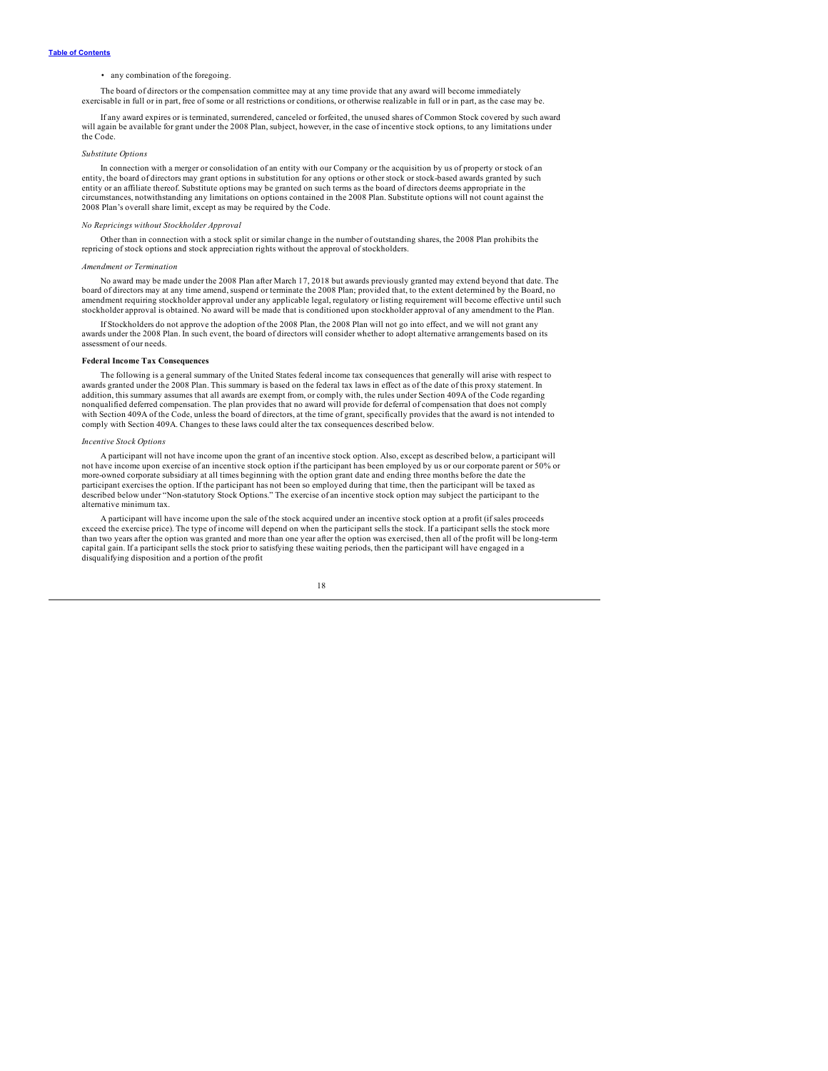### • any combination of the foregoing.

The board of directors or the compensation committee may at any time provide that any award will become immediately<br>exercisable in full or in part, free of some or all restrictions or conditions, or otherwise realizable in

If any award expires or is terminated, surrendered, canceled or forfeited, the unused shares of Common Stock covered by such award will again be available for grant under the 2008 Plan, subject, however, in the case of incentive stock options, to any limitations under the Code.

#### *Substitute Options*

In connection with a merger or consolidation of an entity with our Company or the acquisition by us of property or stock of an entity, the board of directors may grant options in substitution for any options or other stock or stock-based awards granted by such entity or an affiliate thereof. Substitute options may be granted on such terms as the board of directors deems appropriate in the circumstances, notwithstanding any limitations on options contained in the 2008 Plan. Substitute options will not count against the 2008 Plan's overall share limit, except as may be required by the Code.

### *No Repricings without Stockholder Approval*

Other than in connection with a stock split or similar change in the number of outstanding shares, the 2008 Plan prohibits the repricing of stock options and stock appreciation rights without the approval of stockholders.

#### *Amendment or Termination*

No award may be made under the 2008 Plan after March 17, 2018 but awards previously granted may extend beyond that date. The board of directors may at any time amend, suspend or terminate the 2008 Plan; provided that, to t amendment requiring stockholder approval under any applicable legal, regulatory or listing requirement will become effective until such stockholder approval is obtained. No award will be made that is conditioned upon stockholder approval of any amendment to the Plan.

If Stockholders do not approve the adoption of the 2008 Plan, the 2008 Plan will not go into effect, and we will not grant any awards under the 2008 Plan. In such event, the board of directors will consider whether to adopt alternative arrangements based on its assessment of our needs.

#### **Federal Income Tax Consequences**

The following is a general summary of the United States federal income tax consequences that generally will arise with respect to awards granted under the 2008 Plan. This summary is based on the federal tax laws in effect as of the date of this proxy statement. In addition, this summary assumes that all awards are exempt from, or comply with, the rules under Section 409A of the Code regarding nonqualified deferred compensation. The plan provides that no award will provide for deferral of compensation that does not comply with Section 409A of the Code, unless the board of directors, at the time of grant, specifically provides that the award is not intended to comply with Section 409A. Changes to these laws could alter the tax consequences described below.

#### *Incentive Stock Options*

A participant will not have income upon the grant of an incentive stock option. Also, except as described below, a participant will not have income upon exercise of an incentive stock option if the participant has been employed by us or our corporate parent or 50% or more-owned corporate subsidiary at all times beginning with the option grant date and ending three months before the date the participant exercises the option. If the participant has not been so employed during that time, then the participant will be taxed as described below under "Non-statutory Stock Options." The exercise of an incentive stock option may subject the participant to the alternative minimum tax.

A participant will have income upon the sale of the stock acquired under an incentive stock option at a profit (if sales proceeds exceed the exercise price). The type of income will depend on when the participant sells the than two years after the option was granted and more than one year after the option was exercised, then all of the profit will be long-term capital gain. If a participant sells the stock prior to satisfying these waiting periods, then the participant will have engaged in a disqualifying disposition and a portion of the profit

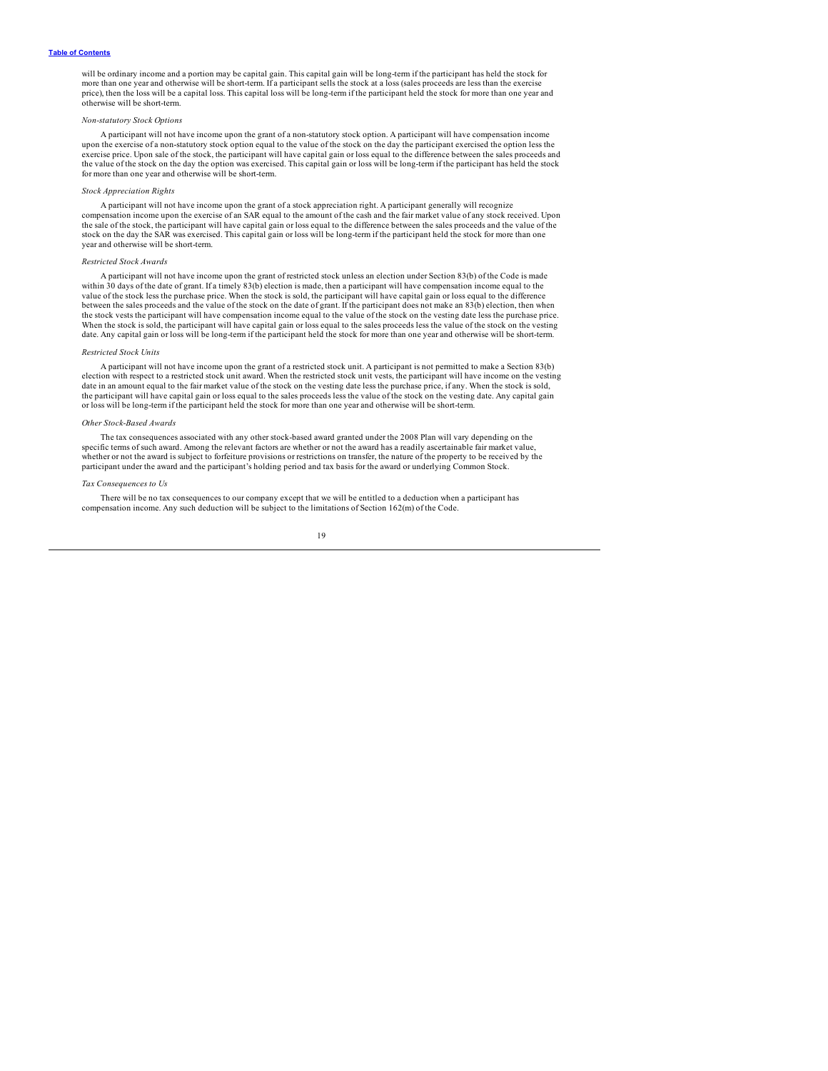#### **Table of [Contents](#page-2-0)**

will be ordinary income and a portion may be capital gain. This capital gain will be long-term if the participant has held the stock for<br>more than one year and otherwise will be short-term. If a participant sells the stock price), then the loss will be a capital loss. This capital loss will be long-term if the participant held the stock for more than one year and otherwise will be short-term.

#### *Non-statutory Stock Options*

A participant will not have income upon the grant of a non-statutory stock option. A participant will have compensation income upon the exercise of a non-statutory stock option equal to the value of the stock on the day the participant exercised the option less the<br>exercise price. Upon sale of the stock, the participant will have capital gain or l the value of the stock on the day the option was exercised. This capital gain or loss will be long-term if the participant has held the stock for more than one year and otherwise will be short-term.

### *Stock Appreciation Rights*

A participant will not have income upon the grant of a stock appreciation right. A participant generally will recognize compensation income upon the exercise of an SAR equal to the amount of the cash and the fair market value of any stock received. Upon the sale of the stock, the participant will have capital gain or loss equal to the difference between the sales proceeds and the value of the stock on the day the SAR was exercised. This capital gain or loss will be long-term if the participant held the stock for more than one year and otherwise will be short-term.

### *Restricted Stock Awards*

A participant will not have income upon the grant of restricted stock unless an election under Section 83(b) of the Code is made within 30 days of the date of grant. If a timely 83(b) election is made, then a participant will have compensation income equal to the value of the stock less the purchase price. When the stock is sold, the participant will have capital gain or loss equal to the difference between the sales proceeds and the value of the stock on the date of grant. If the participant does not make an 83(b) election, then when the stock vests the participant will have compensation income equal to the value of the stock on the vesting date less the purchase price.<br>When the stock is sold, the participant will have capital gain or loss equal to the date. Any capital gain or loss will be long-term if the participant held the stock for more than one year and otherwise will be short-term.

#### *Restricted Stock Units*

A participant will not have income upon the grant of a restricted stock unit. A participant is not permitted to make a Section 83(b) election with respect to a restricted stock unit award. When the restricted stock unit vests, the participant will have income on the vesting date in an amount equal to the fair market value of the stock on the vesting date less the purchase price, if any. When the stock is sold, the participant will have capital gain or loss equal to the sales proceeds less the value of the stock on the vesting date. Any capital gain or loss will be long-term if the participant held the stock for more than one year and otherwise will be short-term.

#### *Other Stock-Based Awards*

The tax consequences associated with any other stock-based award granted under the 2008 Plan will vary depending on the specific terms of such award. Among the relevant factors are whether or not the award has a readily ascertainable fair market value, whether or not the award is subject to forfeiture provisions or restrictions on transfer, the nature of the property to be received by the participant under the award and the participant's holding period and tax basis for the award or underlying Common Stock.

#### *Tax Consequences to Us*

There will be no tax consequences to our company except that we will be entitled to a deduction when a participant has compensation income. Any such deduction will be subject to the limitations of Section 162(m) of the Code.

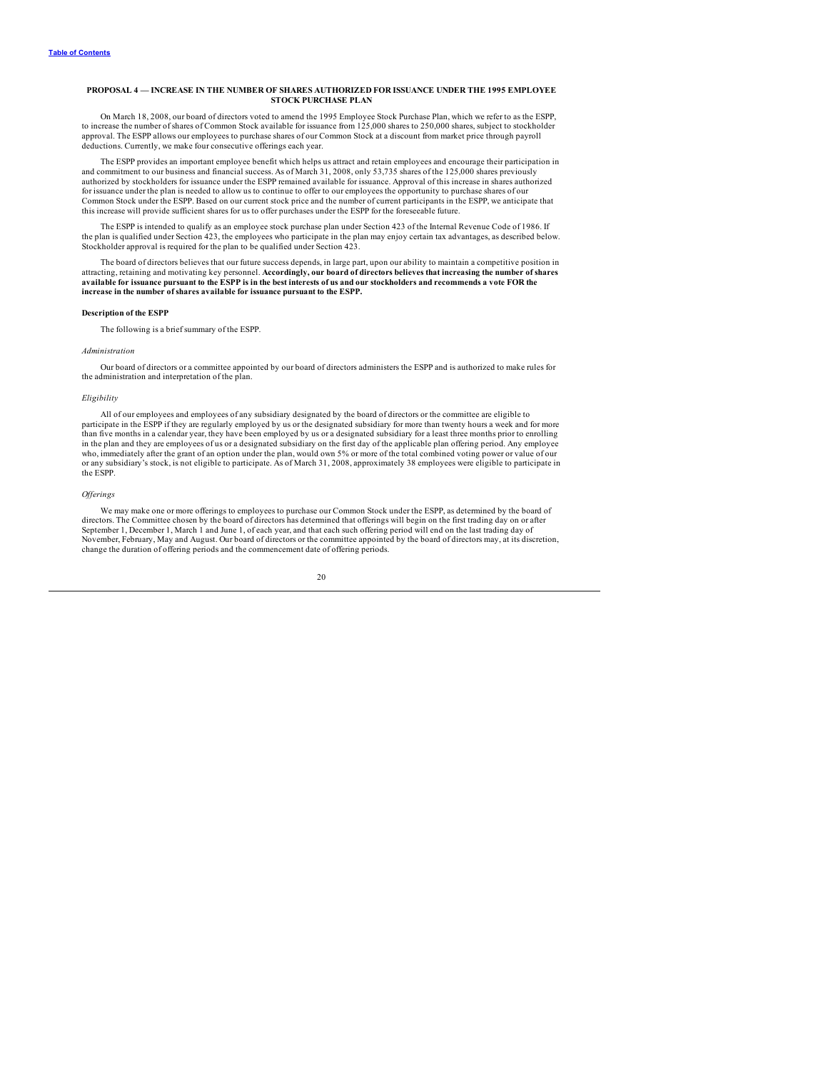### <span id="page-22-0"></span>**PROPOSAL 4 — INCREASE IN THE NUMBER OF SHARES AUTHORIZED FOR ISSUANCE UNDER THE 1995 EMPLOYEE STOCK PURCHASE PLAN**

On March 18, 2008, our board of directors voted to amend the 1995 Employee Stock Purchase Plan, which we refer to as the ESPP,<br>to increase the number of shares of Common Stock available for issuance from 125,000 shares to approval. The ESPP allows our employees to purchase shares of our Common Stock at a discount from market price through payroll deductions. Currently, we make four consecutive offerings each year.

The ESPP provides an important employee benefit which helps us attract and retain employees and encourage their participation in<br>and commitment to our business and financial success. As of March 31, 2008, only 53,735 share authorized by stockholders for issuance under the ESPP remained available for issuance. Approval of this increase in shares authorized for issuance under the plan is needed to allow us to continue to offer to our employees the opportunity to purchase shares of our Common Stock under the ESPP. Based on our current stock price and the number of current participants in the ESPP, we anticipate that this increase will provide sufficient shares for us to offer purchases under the ESPP for the foreseeable future.

The ESPP is intended to qualify as an employee stock purchase plan under Section 423 of the Internal Revenue Code of 1986. If<br>the plan is qualified under Section 423, the employees who participate in the plan may enjoy cer

The board of directors believes that our future success depends, in large part, upon our ability to maintain a competitive position in<br>attracting, retaining and motivating key personnel. Accordingly, our board of directors available for issuance pursuant to the ESPP is in the best interests of us and our stockholders and recommends a vote FOR the **increase in the number of shares available for issuance pursuant to the ESPP.**

### **Description of the ESPP**

The following is a brief summary of the ESPP.

#### *Administration*

Our board of directors or a committee appointed by our board of directors administers the ESPP and is authorized to make rules for the administration and interpretation of the plan.

### *Eligibility*

All of our employees and employees of any subsidiary designated by the board of directors or the committee are eligible to participate in the ESPP if they are regularly employed by us or the designated subsidiary for more than twenty hours a week and for more than five months in a calendar year, they have been employed by us or a designated subsidiary for a least three months prior to enrolling<br>in the plan and they are employees of us or a designated subsidiary on the first day who, immediately after the grant of an option under the plan, would own 5% or more of the total combined voting power or value of our or any subsidiary's stock, is not eligible to participate. As of March 31, 2008, approximately 38 employees were eligible to participate in the ESPP.

#### *Of erings*

We may make one or more offerings to employees to purchase our Common Stock under the ESPP, as determined by the board of directors. The Committee chosen by the board of directors has determined that offerings will begin on the first trading day on or after September 1, December 1, March 1 and June 1, of each year, and that each such offering period will end on the last trading day of<br>November, February, May and August. Our board of directors or the committee appointed by the change the duration of offering periods and the commencement date of offering periods.

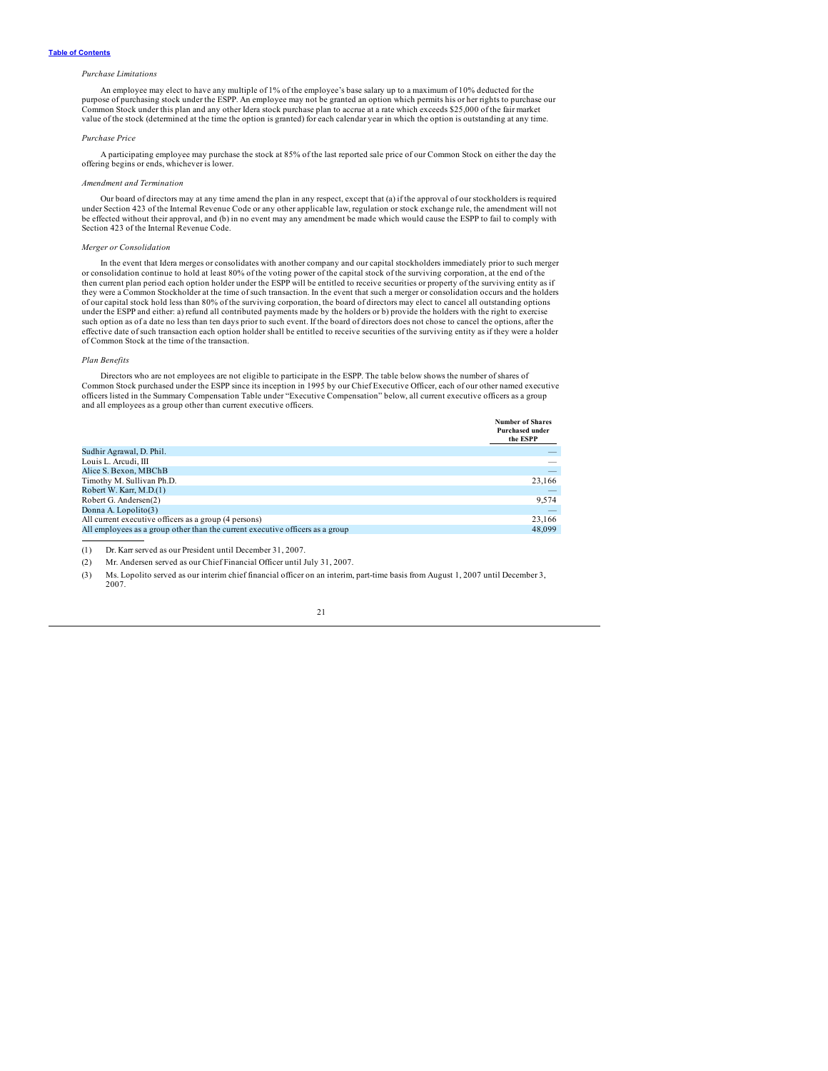### *Purchase Limitations*

An employee may elect to have any multiple of 1% of the employee's base salary up to a maximum of 10% deducted for the purpose of purchasing stock under the ESPP. An employee may not be granted an option which permits his or her rights to purchase our Common Stock under this plan and any other Idera stock purchase plan to accrue at a rate which exceeds \$25,000 of the fair market value of the stock (determined at the time the option is granted) for each calendar year in which the option is outstanding at any time.

#### *Purchase Price*

A participating employee may purchase the stock at 85% of the last reported sale price of our Common Stock on either the day the offering begins or ends, whichever is lower.

### *Amendment and Termination*

Our board of directors may at any time amend the plan in any respect, except that (a) if the approval of our stockholders is required under Section 423 of the Internal Revenue Code or any other applicable law, regulation or stock exchange rule, the amendment will not<br>be effected without their approval, and (b) in no event may any amendment be made which Section 423 of the Internal Revenue Code.

### *Merger or Consolidation*

In the event that Idera merges or consolidates with another company and our capital stockholders immediately prior to such merger or consolidation continue to hold at least 80% of the voting power of the capital stock of the surviving corporation, at the end of the<br>then current plan period each option holder under the ESPP will be entitled to receive they were a Common Stockholder at the time of such transaction. In the event that such a merger or consolidation occurs and the holders of our capital stock hold less than 80% of the surviving corporation, the board of directors may elect to cancel all outstanding options<br>under the ESPP and either: a) refund all contributed payments made by the holders or such option as of a date no less than ten days prior to such event. If the board of directors does not chose to cancel the options, after the effective date of such transaction each option holder shall be entitled to receive securities of the surviving entity as if they were a holder of Common Stock at the time of the transaction.

### *Plan Benefits*

Directors who are not employees are not eligible to participate in the ESPP. The table below shows the number of shares of Common Stock purchased under the ESPP since its inception in 1995 by our Chief Executive Officer, each of our other named executive officers listed in the Summary Compensation Table under "Executive Compensation" below, all current executive officers as a group and all employees as a group other than current executive officers.

**Number of Shares**

|                                                                               | <b>BUILDED VILLAGE</b><br><b>Purchased under</b><br>the ESPP |
|-------------------------------------------------------------------------------|--------------------------------------------------------------|
| Sudhir Agrawal, D. Phil.                                                      |                                                              |
| Louis L. Arcudi, III                                                          |                                                              |
| Alice S. Bexon, MBChB                                                         | $\overline{\phantom{a}}$                                     |
| Timothy M. Sullivan Ph.D.                                                     | 23,166                                                       |
| Robert W. Karr, M.D.(1)                                                       | $\overline{\phantom{a}}$                                     |
| Robert G. Andersen(2)                                                         | 9,574                                                        |
| Donna A. Lopolito(3)                                                          | -                                                            |
| All current executive officers as a group (4 persons)                         | 23.166                                                       |
| All employees as a group other than the current executive officers as a group | 48,099                                                       |

(1) Dr. Karr served as our President until December 31, 2007.

(2) Mr. Andersen served as our Chief Financial Officer until July 31, 2007.

(3) Ms. Lopolito served as our interim chief financial officer on an interim, part-time basis from August 1, 2007 until December 3, 2007.

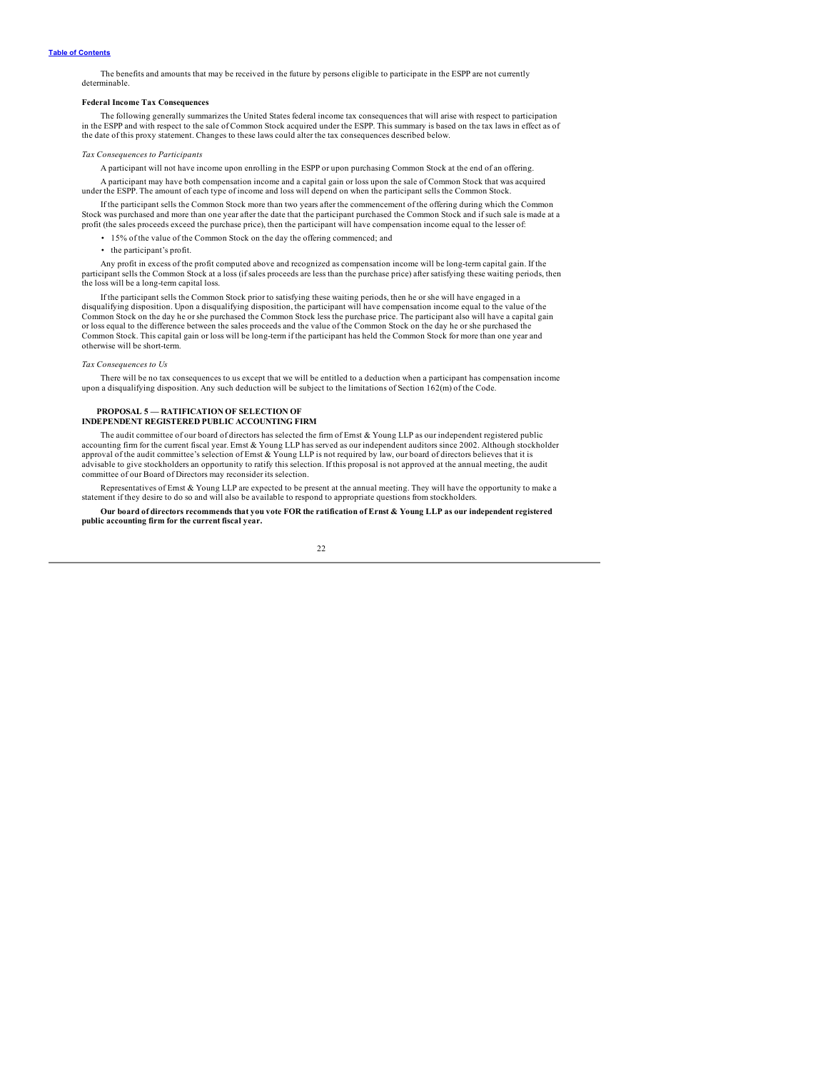<span id="page-24-0"></span>The benefits and amounts that may be received in the future by persons eligible to participate in the ESPP are not currently determinable.

### **Federal Income Tax Consequences**

The following generally summarizes the United States federal income tax consequences that will arise with respect to participation in the ESPP and with respect to the sale of Common Stock acquired under the ESPP. This summary is based on the tax laws in effect as of the date of this proxy statement. Changes to these laws could alter the tax consequences described below.

### *Tax Consequences to Participants*

A participant will not have income upon enrolling in the ESPP or upon purchasing Common Stock at the end of an offering.

A participant may have both compensation income and a capital gain or loss upon the sale of Common Stock that was acquired under the ESPP. The amount of each type of income and loss will depend on when the participant sells the Common Stock.

If the participant sells the Common Stock more than two years after the commencement of the offering during which the Common Stock was purchased and more than one year after the date that the participant purchased the Common Stock and if such sale is made at a profit (the sales proceeds exceed the purchase price), then the participant will have compensation income equal to the lesser of:

• 15% of the value of the Common Stock on the day the offering commenced; and

• the participant's profit.

Any profit in excess of the profit computed above and recognized as compensation income will be long-term capital gain. If the participant sells the Common Stock at a loss (if sales proceeds are less than the purchase price) after satisfying these waiting periods, then the loss will be a long-term capital loss.

If the participant sells the Common Stock prior to satisfying these waiting periods, then he or she will have engaged in a<br>disqualifying disposition. Upon a disqualifying disposition, the participant will have compensation Common Stock on the day he or she purchased the Common Stock less the purchase price. The participant also will have a capital gain<br>or loss equal to the difference between the sales proceeds and the value of the Common Sto Common Stock. This capital gain or loss will be long-term if the participant has held the Common Stock for more than one year and otherwise will be short-term.

#### *Tax Consequences to Us*

There will be no tax consequences to us except that we will be entitled to a deduction when a participant has compensation income upon a disqualifying disposition. Any such deduction will be subject to the limitations of Section 162(m) of the Code.

#### **PROPOSAL 5 — RATIFICATION OF SELECTION OF INDEPENDENT REGISTERED PUBLIC ACCOUNTING FIRM**

The audit committee of our board of directors has selected the firm of Ernst & Young LLP as our independent registered public accounting firm for the current fiscal year. Ernst & Young LLP has served as our independent auditors since 2002. Although stockholder<br>approval of the audit committee's selection of Ernst & Young LLP is not required by law advisable to give stockholders an opportunity to ratify this selection. If this proposal is not approved at the annual meeting, the audit committee of our Board of Directors may reconsider its selection.

Representatives of Emst & Young LLP are expected to be present at the annual meeting. They will have the opportunity to make a statement if they desire to do so and will also be available to respond to appropriate question

Our board of directors recommends that you vote FOR the ratification of Ernst & Young LLP as our independent registered **public accounting firm for the current fiscal year.**

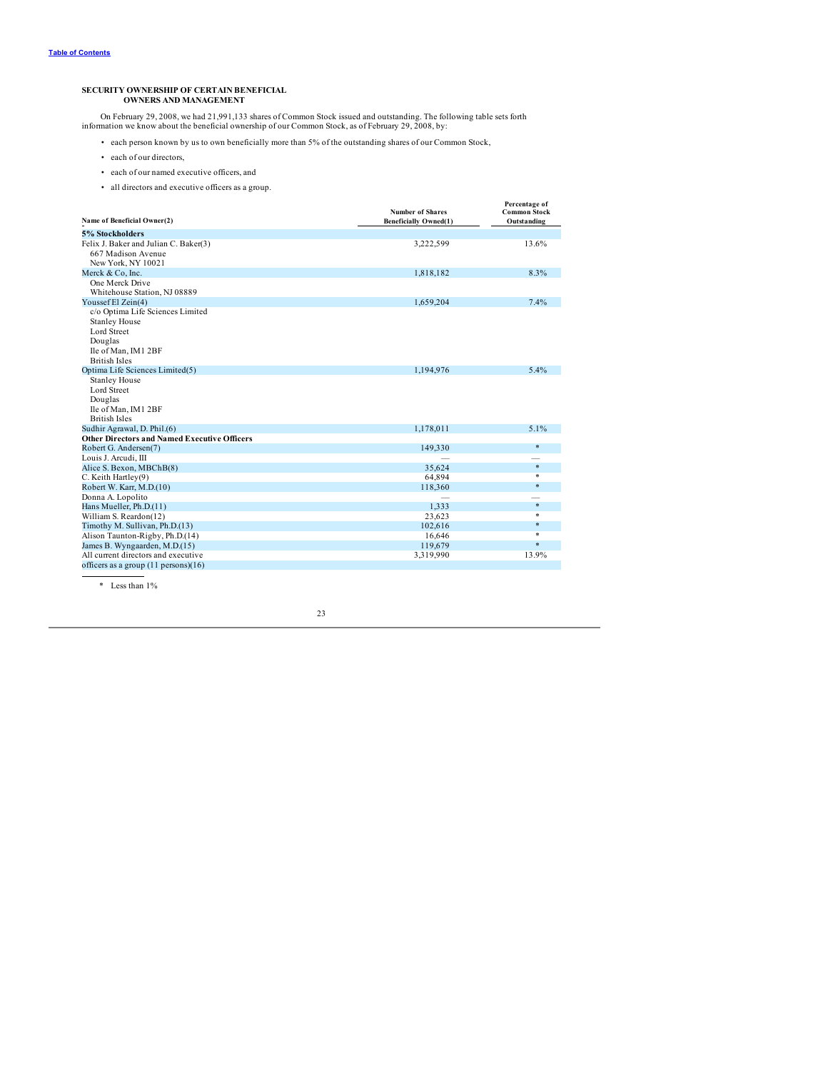# <span id="page-25-0"></span>**SECURITY OWNERSHIP OF CERTAIN BENEFICIAL OWNERS AND MANAGEMENT**

On February 29, 2008, we had 21,991,133 shares of Common Stock issued and outstanding. The following table sets forth information we know about the beneficial ownership of our Common Stock, as of February 29, 2008, by:

- each person known by us to own beneficially more than 5% of the outstanding shares of our Common Stock,
- each of our directors,
- each of our named executive officers, and
- all directors and executive officers as a group.

| Name of Beneficial Owner(2)                         | <b>Number of Shares</b><br><b>Beneficially Owned(1)</b> | Percentage of<br><b>Common Stock</b><br>Outstanding |
|-----------------------------------------------------|---------------------------------------------------------|-----------------------------------------------------|
| 5% Stockholders                                     |                                                         |                                                     |
| Felix J. Baker and Julian C. Baker(3)               | 3,222,599                                               | 13.6%                                               |
| 667 Madison Avenue                                  |                                                         |                                                     |
| New York, NY 10021                                  |                                                         |                                                     |
| Merck & Co, Inc.                                    | 1,818,182                                               | 8.3%                                                |
| One Merck Drive                                     |                                                         |                                                     |
| Whitehouse Station, NJ 08889                        |                                                         |                                                     |
| Youssef El Zein(4)                                  | 1,659,204                                               | 7.4%                                                |
| c/o Optima Life Sciences Limited                    |                                                         |                                                     |
| <b>Stanley House</b>                                |                                                         |                                                     |
| Lord Street                                         |                                                         |                                                     |
| Douglas                                             |                                                         |                                                     |
| Ile of Man, IM1 2BF                                 |                                                         |                                                     |
| <b>British Isles</b>                                |                                                         |                                                     |
| Optima Life Sciences Limited(5)                     | 1,194,976                                               | 5.4%                                                |
| <b>Stanley House</b>                                |                                                         |                                                     |
| Lord Street                                         |                                                         |                                                     |
| Douglas                                             |                                                         |                                                     |
| Ile of Man, IM1 2BF                                 |                                                         |                                                     |
| <b>British Isles</b>                                |                                                         |                                                     |
| Sudhir Agrawal, D. Phil.(6)                         | 1,178,011                                               | 5.1%                                                |
| <b>Other Directors and Named Executive Officers</b> |                                                         |                                                     |
| Robert G. Andersen(7)                               | 149,330                                                 | *                                                   |
| Louis J. Arcudi, III                                |                                                         |                                                     |
| Alice S. Bexon, MBChB(8)                            | 35,624                                                  | $\ast$                                              |
| C. Keith Hartley(9)                                 | 64,894                                                  | $\ast$                                              |
| Robert W. Karr, M.D.(10)                            | 118,360                                                 | *                                                   |
| Donna A. Lopolito                                   |                                                         |                                                     |
| Hans Mueller, Ph.D.(11)                             | 1,333                                                   | $\ast$                                              |
| William S. Reardon(12)                              | 23,623                                                  | $\ast$                                              |
| Timothy M. Sullivan, Ph.D.(13)                      | 102,616                                                 | $\ast$<br>$\ast$                                    |
| Alison Taunton-Rigby, Ph.D.(14)                     | 16,646                                                  |                                                     |
| James B. Wyngaarden, M.D.(15)                       | 119,679                                                 | $*$                                                 |
| All current directors and executive                 | 3,319,990                                               | 13.9%                                               |
| officers as a group $(11 \text{ persons})(16)$      |                                                         |                                                     |

\* Less than 1%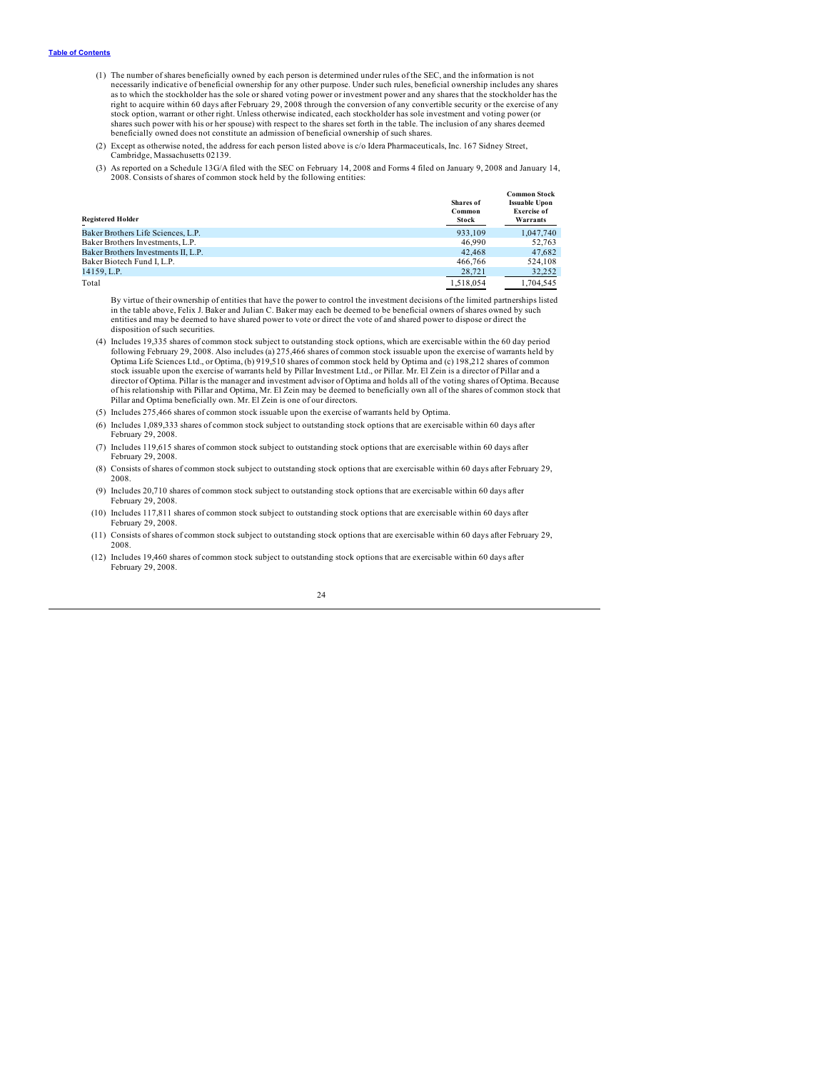- (1) The number of shares beneficially owned by each person is determined under rules of the SEC, and the information is not necessarily indicative of beneficial ownership for any other purpose. Under such rules, beneficial ownership includes any shares as to which the stockholder has the sole or shared voting power or investment power and any shares that the stockholder has the right to acquire within 60 days after February 29, 2008 through the conversion of any convertible security or the exercise of any stock option, warrant or other right. Unless otherwise indicated, each stockholder has sole investment and voting power (or shares such power with his or her spouse) with respect to the shares set forth in the table. The inclusion of any shares deemed beneficially owned does not constitute an admission of beneficial ownership of such shares.
- (2) Except as otherwise noted, the address for each person listed above is c/o Idera Pharmaceuticals, Inc. 167 Sidney Street, Cambridge, Massachusetts 02139.
- (3) As reported on a Schedule 13G/A filed with the SEC on February 14, 2008 and Forms 4 filed on January 9, 2008 and January 14, 2008. Consists of shares of common stock held by the following entities:

| <b>Registered Holder</b>            | Shares of<br>Common<br><b>Stock</b> | <b>Common Stock</b><br><b>Issuable Upon</b><br><b>Exercise of</b><br>Warrants |
|-------------------------------------|-------------------------------------|-------------------------------------------------------------------------------|
| Baker Brothers Life Sciences, L.P.  | 933.109                             | 1.047.740                                                                     |
| Baker Brothers Investments, L.P.    | 46.990                              | 52.763                                                                        |
| Baker Brothers Investments II, L.P. | 42.468                              | 47.682                                                                        |
| Baker Biotech Fund I. L.P.          | 466,766                             | 524.108                                                                       |
| 14159, L.P.                         | 28,721                              | 32.252                                                                        |
| Total                               | 1.518.054                           | 1.704.545                                                                     |

By virtue of their ownership of entities that have the power to control the investment decisions of the limited partnerships listed in the table above, Felix J. Baker and Julian C. Baker may each be deemed to be beneficial owners of shares owned by such entities and may be deemed to have shared power to vote or direct the vote of and shared power to dispose or direct the disposition of such securities.

(4) Includes 19,335 shares of common stock subject to outstanding stock options, which are exercisable within the 60 day period following February 29, 2008. Also includes (a) 275,466 shares of common stock issuable upon the exercise of warrants held by<br>Optima Life Sciences Ltd., or Optima, (b) 919,510 shares of common stock held by Optima and (c) 1 stock issuable upon the exercise of warrants held by Pillar Investment Ltd., or Pillar. Mr. El Zein is a director of Pillar and a director of Optima. Pillar is the manager and investment advisor of Optima and holds all of the voting shares of Optima. Because<br>of his relationship with Pillar and Optima, Mr. El Zein may be deemed to beneficially own all Pillar and Optima beneficially own. Mr. El Zein is one of our directors.

- (5) Includes 275,466 shares of common stock issuable upon the exercise of warrants held by Optima.
- (6) Includes 1,089,333 shares of common stock subject to outstanding stock options that are exercisable within 60 days after February 29, 2008.
- (7) Includes 119,615 shares of common stock subject to outstanding stock options that are exercisable within 60 days after February 29, 2008.
- (8) Consists of shares of common stock subject to outstanding stock options that are exercisable within 60 days after February 29, 2008.
- (9) Includes 20,710 shares of common stock subject to outstanding stock options that are exercisable within 60 days after February 29, 2008.
- (10) Includes 117,811 shares of common stock subject to outstanding stock options that are exercisable within 60 days after February 29, 2008.
- (11) Consists of shares of common stock subject to outstanding stock options that are exercisable within 60 days after February 29, 2008.
- (12) Includes 19,460 shares of common stock subject to outstanding stock options that are exercisable within 60 days after February 29, 2008.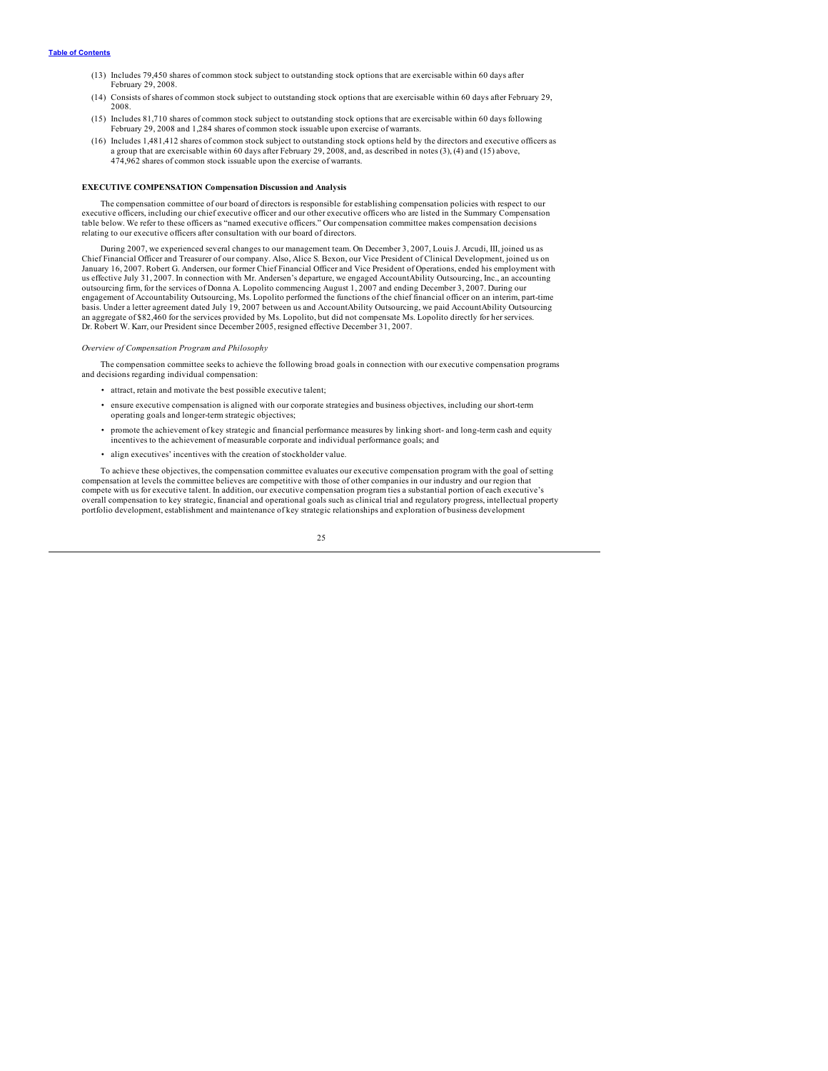- <span id="page-27-0"></span>(13) Includes 79,450 shares of common stock subject to outstanding stock options that are exercisable within 60 days after February 29, 2008.
- (14) Consists of shares of common stock subject to outstanding stock options that are exercisable within 60 days after February 29, 2008.
- (15) Includes 81,710 shares of common stock subject to outstanding stock options that are exercisable within 60 days following February 29, 2008 and 1,284 shares of common stock issuable upon exercise of warrants.
- (16) Includes 1,481,412 shares of common stock subject to outstanding stock options held by the directors and executive officers as a group that are exercisable within 60 days after February 29, 2008, and, as described in notes (3), (4) and (15) above, 474,962 shares of common stock issuable upon the exercise of warrants.

#### **EXECUTIVE COMPENSATION Compensation Discussion and Analysis**

The compensation committee of our board of directors is responsible for establishing compensation policies with respect to our executive officers, including our chief executive officer and our other executive officers who are listed in the Summary Compensation table below. We refer to these officers as "named executive officers." Our compensation committee makes compensation decisions relating to our executive officers after consultation with our board of directors.

During 2007, we experienced several changes to our management team. On December 3, 2007, Louis J. Arcudi, III, joined us as Chief Financial Officer and Treasurer of our company. Also, Alice S. Bexon, our Vice President of Clinical Development, joined us on<br>January 16, 2007. Robert G. Andersen, our former Chief Financial Officer and Vice Preside us effective July 31, 2007. In connection with Mr. Andersen's departure, we engaged AccountAbility Outsourcing, Inc., an accounting outsourcing firm, for the services of Donna A. Lopolito commencing August 1, 2007 and ending December 3, 2007. During our<br>engagement of Accountability Outsourcing, Ms. Lopolito performed the functions of the chief financia basis. Under a letter agreement dated July 19, 2007 between us and AccountAbility Outsourcing, we paid AccountAbility Outsourcing an aggregate of \$82,460 for the services provided by Ms. Lopolito, but did not compensate Ms. Lopolito directly for her services. Dr. Robert W. Karr, our President since December 2005, resigned effective December 31, 2007.

#### *Overview of Compensation Program and Philosophy*

The compensation committee seeks to achieve the following broad goals in connection with our executive compensation programs and decisions regarding individual compensation:

- attract, retain and motivate the best possible executive talent;
- ensure executive compensation is aligned with our corporate strategies and business objectives, including our short-term operating goals and longer-term strategic objectives;
- promote the achievement of key strategic and financial performance measures by linking short- and long-term cash and equity incentives to the achievement of measurable corporate and individual performance goals; and
- align executives' incentives with the creation of stockholder value.

To achieve these objectives, the compensation committee evaluates our executive compensation program with the goal of setting compensation at levels the committee believes are competitive with those of other companies in our industry and our region that compete with us for executive talent. In addition, our executive compensation program ties a substantial portion of each executive's overall compensation to key strategic, financial and operational goals such as clinical trial and regulatory progress, intellectual property portfolio development, establishment and maintenance of key strategic relationships and exploration of business development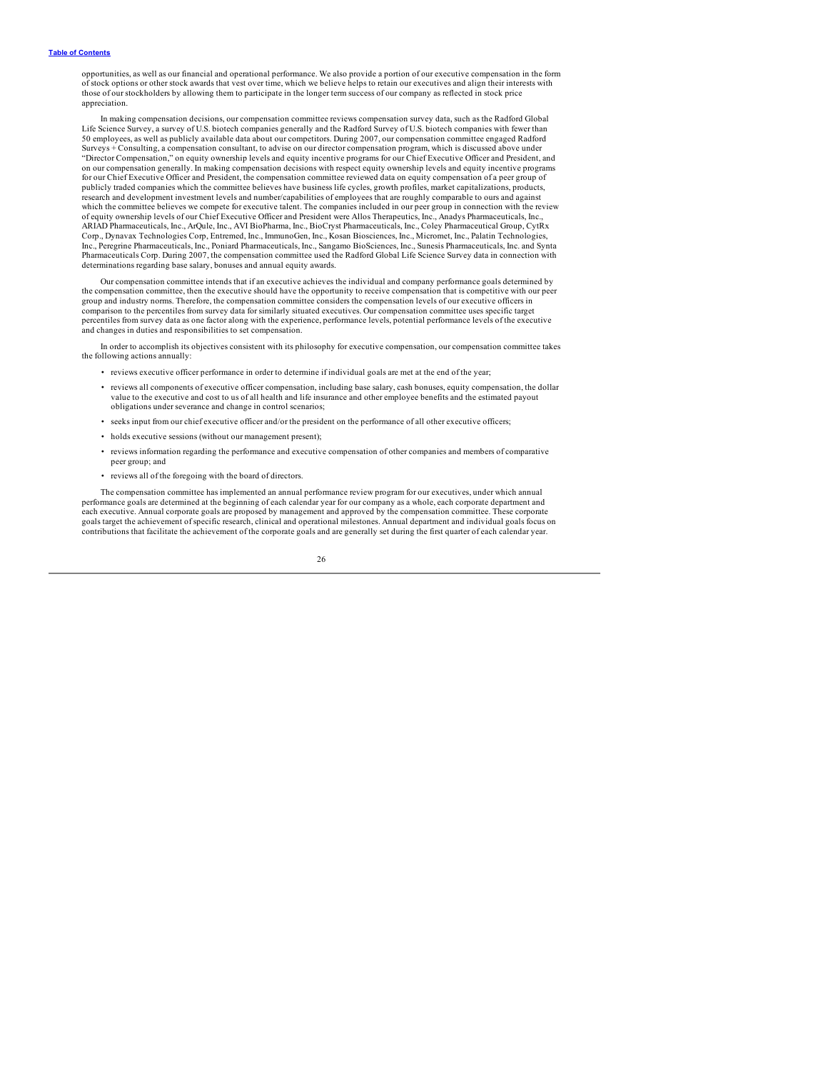opportunities, as well as our financial and operational performance. We also provide a portion of our executive compensation in the form of stock options or other stock awards that vest over time, which we believe helps to retain our executives and align their interests with those of our stockholders by allowing them to participate in the longer term success of our company as reflected in stock price appreciation.

In making compensation decisions, our compensation committee reviews compensation survey data, such as the Radford Global Life Science Survey, a survey of U.S. biotech companies generally and the Radford Survey of U.S. biotech companies with fewer than 50 employees, as well as publicly available data about our competitors. During 2007, our compensation committee engaged Radford Surveys + Consulting, a compensation consultant, to advise on our director compensation program, which is discussed above under "Director Compensation," on equity ownership levels and equity incentive programs for our Chief Executive Officer and President, and<br>on our compensation generally. In making compensation decisions with respect equity owner for our Chief Executive Officer and President, the compensation committee reviewed data on equity compensation of a peer group of publicly traded companies which the committee believes have business life cycles, growth profiles, market capitalizations, products,<br>research and development investment levels and number/capabilities of employees that are which the committee believes we compete for executive talent. The companies included in our peer group in connection with the review of equity ownership levels of our Chief Executive Officer and President were Allos Therapeutics, Inc., Anadys Pharmaceuticals, Inc., ARIAD Pharmaceuticals, Inc., ArQule, Inc., AVI BioPharma, Inc., BioCryst Pharmaceuticals, Inc., Coley Pharmaceutical Group, CytRx Corp., Dynavax Technologies Corp, Entremed, Inc., ImmunoGen, Inc., Kosan Biosciences, Inc., Micromet, Inc., Palatin Technologies, Inc., Peregrine Pharmaceuticals, Inc., Poniard Pharmaceuticals, Inc., Sangamo BioSciences, Inc., Sunesis Pharmaceuticals, Inc. and Synta Pharmaceuticals Corp. During 2007, the compensation committee used the Radford Global Life Science Survey data in connection with determinations regarding base salary, bonuses and annual equity awards.

Our compensation committee intends that if an executive achieves the individual and company performance goals determined by the compensation committee, then the executive should have the opportunity to receive compensation that is competitive with our peer group and industry norms. Therefore, the compensation committee considers the compensation levels of our executive officers in<br>comparison to the percentiles from survey data for similarly situated executives. Our compensat percentiles from survey data as one factor along with the experience, performance levels, potential performance levels of the executive and changes in duties and responsibilities to set compensation.

In order to accomplish its objectives consistent with its philosophy for executive compensation, our compensation committee takes the following actions annually:

- reviews executive officer performance in order to determine if individual goals are met at the end of the year;
- reviews all components of executive officer compensation, including base salary, cash bonuses, equity compensation, the dollar value to the executive and cost to us of all health and life insurance and other employee ben obligations under severance and change in control scenarios;
- seeks input from our chief executive officer and/or the president on the performance of all other executive officers;
- holds executive sessions (without our management present);
- reviews information regarding the performance and executive compensation of other companies and members of comparative peer group; and
- reviews all of the foregoing with the board of directors.

The compensation committee has implemented an annual performance review program for our executives, under which annual performance goals are determined at the beginning of each calendar year for our company as a whole, each corporate department and each executive. Annual corporate goals are proposed by management and approved by the compensation committee. These corporate<br>goals target the achievement of specific research, clinical and operational milestones. Annual d contributions that facilitate the achievement of the corporate goals and are generally set during the first quarter of each calendar year.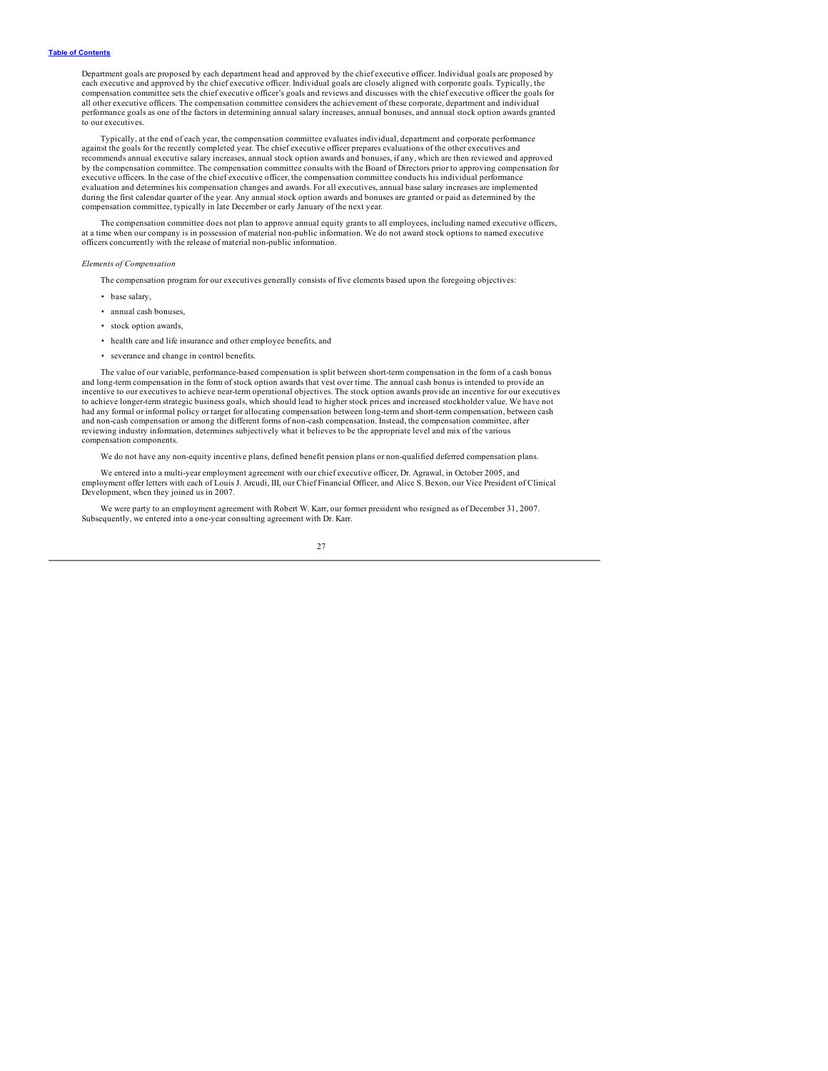Department goals are proposed by each department head and approved by the chief executive officer. Individual goals are proposed by<br>each executive and approved by the chief executive officer. Individual goals are closely a compensation committee sets the chief executive officer's goals and reviews and discusses with the chief executive officer the goals for all other executive officers. The compensation committee considers the achievement of these corporate, department and individual performance goals as one of the factors in determining annual salary increases, annual bonuses, and annual stock option awards granted to our executives.

Typically, at the end of each year, the compensation committee evaluates individual, department and corporate performance against the goals for the recently completed year. The chief executive officer prepares evaluations of the other executives and recommends annual executive salary increases, annual stock option awards and bonuses, if any, which are then reviewed and approved by the compensation committee. The compensation committee consults with the Board of Directors prior to approving compensation for executive officers. In the case of the chief executive officer, the compensation committee conducts his individual performance evaluation and determines his compensation changes and awards. For all executives, annual base salary increases are implemented<br>during the first calendar quarter of the year. Any annual stock option awards and bonuses are compensation committee, typically in late December or early January of the next year.

The compensation committee does not plan to approve annual equity grants to all employees, including named executive officers,<br>at a time when our company is in possession of material non-public information. We do not award officers concurrently with the release of material non-public information.

#### *Elements of Compensation*

The compensation program for our executives generally consists of five elements based upon the foregoing objectives:

- base salary,
- annual cash bonuses,
- stock option awards,
- health care and life insurance and other employee benefits, and
- severance and change in control benefits.

The value of our variable, performance-based compensation is split between short-term compensation in the form of a cash bonus and long-term compensation in the form of stock option awards that vest over time. The annual cash bonus is intended to provide an incentive to our executives to achieve near-term operational objectives. The stock option awards provide an incentive for our executives to achieve longer-term strategic business goals, which should lead to higher stock prices and increased stockholder value. We have not<br>had any formal or informal policy or target for allocating compensation between long-te and non-cash compensation or among the different forms of non-cash compensation. Instead, the compensation committee, after reviewing industry information, determines subjectively what it believes to be the appropriate level and mix of the various compensation components.

We do not have any non-equity incentive plans, defined benefit pension plans or non-qualified deferred compensation plans.

We entered into a multi-year employment agreement with our chief executive officer, Dr. Agrawal, in October 2005, and employment offer letters with each of Louis J. Arcudi, III, our Chief Financial Officer, and Alice S. Bexon, our Vice President of Clinical Development, when they joined us in 2007.

We were party to an employment agreement with Robert W. Karr, our former president who resigned as of December 31, 2007. Subsequently, we entered into a one-year consulting agreement with Dr. Karr.

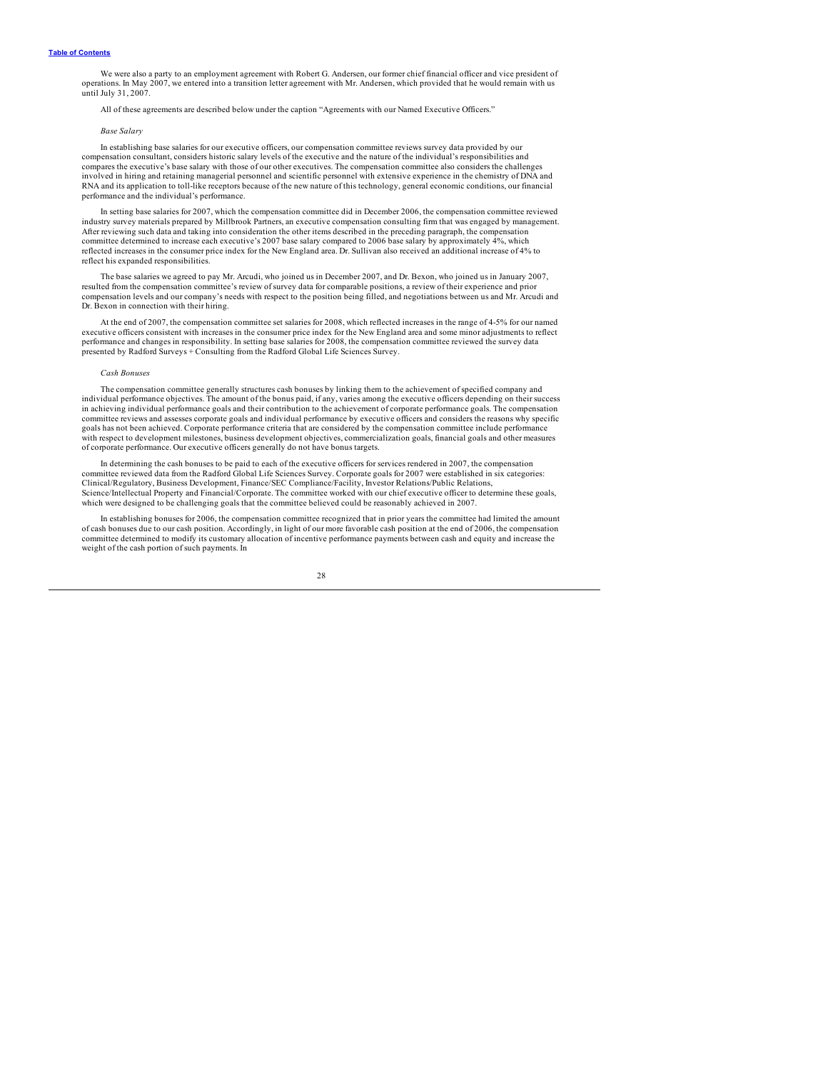We were also a party to an employment agreement with Robert G. Andersen, our former chief financial officer and vice president of operations. In May 2007, we entered into a transition letter agreement with Mr. Andersen, which provided that he would remain with us until July 31, 2007.

All of these agreements are described below under the caption "Agreements with our Named Executive Officers."

### *Base Salary*

In establishing base salaries for our executive officers, our compensation committee reviews survey data provided by our compensation consultant, considers historic salary levels of the executive and the nature of the individual's responsibilities and compares the executive's base salary with those of our other executives. The compensation committee also considers the challenges involved in hiring and retaining managerial personnel and scientific personnel with extensive experience in the chemistry of DNA and RNA and its application to toll-like receptors because of the new nature of this technology, general economic conditions, our financial performance and the individual's performance.

In setting base salaries for 2007, which the compensation committee did in December 2006, the compensation committee reviewed<br>industry survey materials prepared by Millbrook Partners, an executive compensation consulting f After reviewing such data and taking into consideration the other items described in the preceding paragraph, the compensation committee determined to increase each executive's 2007 base salary compared to 2006 base salary by approximately 4%, which<br>reflected increases in the consumer price index for the New England area. Dr. Sullivan also receive reflect his expanded responsibilities.

The base salaries we agreed to pay Mr. Arcudi, who joined us in December 2007, and Dr. Bexon, who joined us in January 2007, resulted from the compensation committee's review of survey data for comparable positions, a revi compensation levels and our company's needs with respect to the position being filled, and negotiations between us and Mr. Arcudi and Dr. Bexon in connection with their hiring.

At the end of 2007, the compensation committee set salaries for 2008, which reflected increases in the range of 4-5% for our named executive officers consistent with increases in the consumer price index for the New England area and some minor adjustments to reflect performance and changes in responsibility. In setting base salaries for 2008, the compensation committee reviewed the survey data presented by Radford Surveys + Consulting from the Radford Global Life Sciences Survey.

### *Cash Bonuses*

The compensation committee generally structures cash bonuses by linking them to the achievement of specified company and individual performance objectives. The amount of the bonus paid, if any, varies among the executive officers depending on their success in achieving individual performance goals and their contribution to the achievement of corporate performance goals. The compensation<br>committee reviews and assesses corporate goals and individual performance by executive of goals has not been achieved. Corporate performance criteria that are considered by the compensation committee include performance with respect to development milestones, business development objectives, commercialization goals, financial goals and other measures of corporate performance. Our executive officers generally do not have bonus targets.

In determining the cash bonuses to be paid to each of the executive officers for services rendered in 2007, the compensation committee reviewed data from the Radford Global Life Sciences Survey. Corporate goals for 2007 were established in six categories:<br>Clinical/Regulatory, Business Development, Finance/SEC Compliance/Facility, Investor Relati Science/Intellectual Property and Financial/Corporate. The committee worked with our chief executive officer to determine these goals, which were designed to be challenging goals that the committee believed could be reasonably achieved in 2007.

In establishing bonuses for 2006, the compensation committee recognized that in prior years the committee had limited the amount<br>of cash bonuses due to our cash position. Accordingly, in light of our more favorable cash po committee determined to modify its customary allocation of incentive performance payments between cash and equity and increase the weight of the cash portion of such payments. In

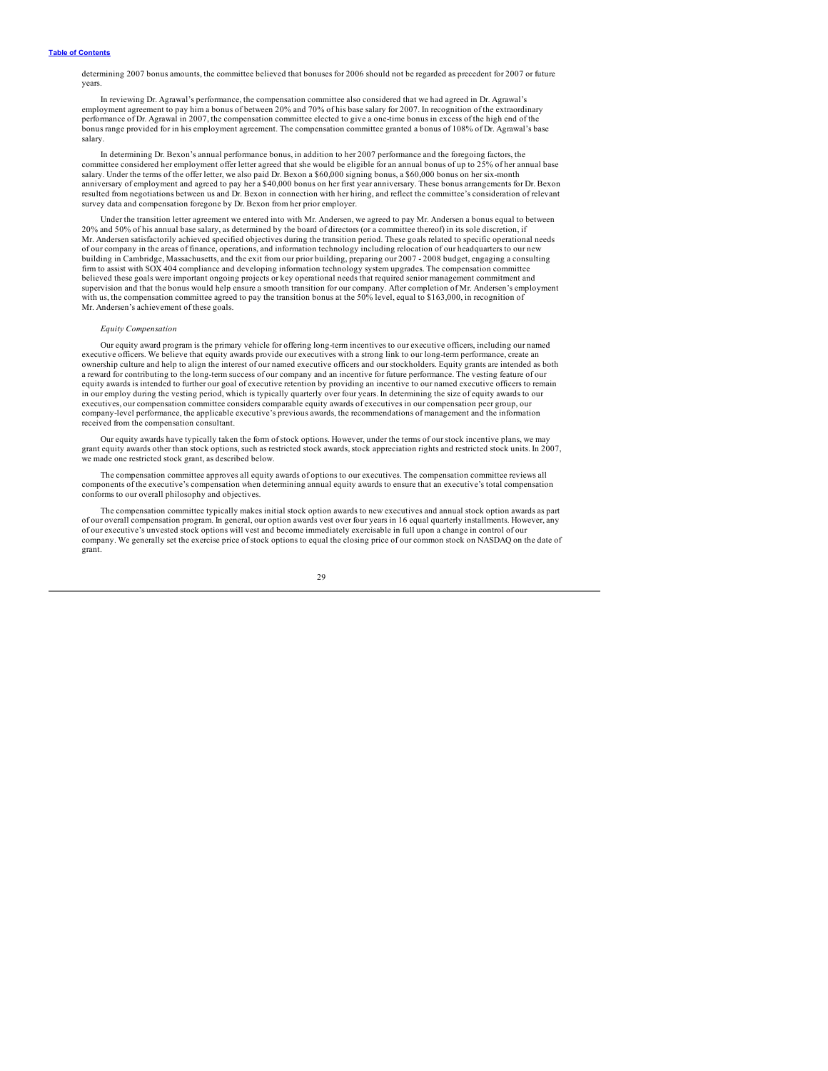determining 2007 bonus amounts, the committee believed that bonuses for 2006 should not be regarded as precedent for 2007 or future years.

In reviewing Dr. Agrawal's performance, the compensation committee also considered that we had agreed in Dr. Agrawal's employment agreement to pay him a bonus of between 20% and 70% of his base salary for 2007. In recognition of the extraordinary<br>performance of Dr. Agrawal in 2007, the compensation committee elected to give a one-time bonu bonus range provided for in his employment agreement. The compensation committee granted a bonus of 108% of Dr. Agrawal's base salary.

In determining Dr. Bexon's annual performance bonus, in addition to her 2007 performance and the foregoing factors, the<br>committee considered her employment offer letter agreed that she would be eligible for an annual bonus salary. Under the terms of the offer letter, we also paid Dr. Bexon a \$60,000 signing bonus, a \$60,000 bonus on her six-month anniversary of employment and agreed to pay her a \$40,000 bonus on her first year anniversary. These bonus arrangements for Dr. Bexon resulted from negotiations between us and Dr. Bexon in connection with her hiring, and reflect the committee's consideration of relevant survey data and compensation foregone by Dr. Bexon from her prior employer.

Under the transition letter agreement we entered into with Mr. Andersen, we agreed to pay Mr. Andersen a bonus equal to between 20% and 50% of his annual base salary, as determined by the board of directors (or a committee thereof) in its sole discretion, if Mr. Andersen satisfactorily achieved specified objectives during the transition period. These goals related to specific operational needs of our company in the areas of finance, operations, and information technology including relocation of our headquarters to our new building in Cambridge, Massachusetts, and the exit from our prior building, preparing our 2007 - 2008 budget, engaging a consulting firm to assist with SOX 404 compliance and developing information technology system upgrades. The compensation committee<br>believed these goals were important ongoing projects or key operational needs that required senior ma supervision and that the bonus would help ensure a smooth transition for our company. After completion of Mr. Andersen's employment<br>with us, the compensation committee agreed to pay the transition bonus at the 50% level, e Mr. Andersen's achievement of these goals.

### *Equity Compensation*

Our equity award program is the primary vehicle for offering long-term incentives to our executive officers, including our named executive officers. We believe that equity awards provide our executives with a strong link to our long-term performance, create an ownership culture and help to align the interest of our named executive officers and our stockholders. Equity grants are intended as both a reward for contributing to the long-term success of our company and an incentive for future performance. The vesting feature of our equity awards is intended to further our goal of executive retention by providing an incentive to our named executive officers to remain in our employ during the vesting period, which is typically quarterly over four years. In determining the size of equity awards to our executives, our compensation committee considers comparable equity awards of executives in our compensation peer group, our company-level performance, the applicable executive's previous awards, the recommendations of management and the information received from the compensation consultant.

Our equity awards have typically taken the form of stock options. However, under the terms of our stock incentive plans, we may grant equity awards other than stock options, such as restricted stock awards, stock appreciation rights and restricted stock units. In 2007, we made one restricted stock grant, as described below.

The compensation committee approves all equity awards of options to our executives. The compensation committee reviews all components of the executive's compensation when determining annual equity awards to ensure that an executive's total compensation conforms to our overall philosophy and objectives.

The compensation committee typically makes initial stock option awards to new executives and annual stock option awards as part of our overall compensation program. In general, our option awards vest over four years in 16 equal quarterly installments. However, any<br>of our executive's unvested stock options will vest and become immediately exercisabl company. We generally set the exercise price of stock options to equal the closing price of our common stock on NASDAQ on the date of grant.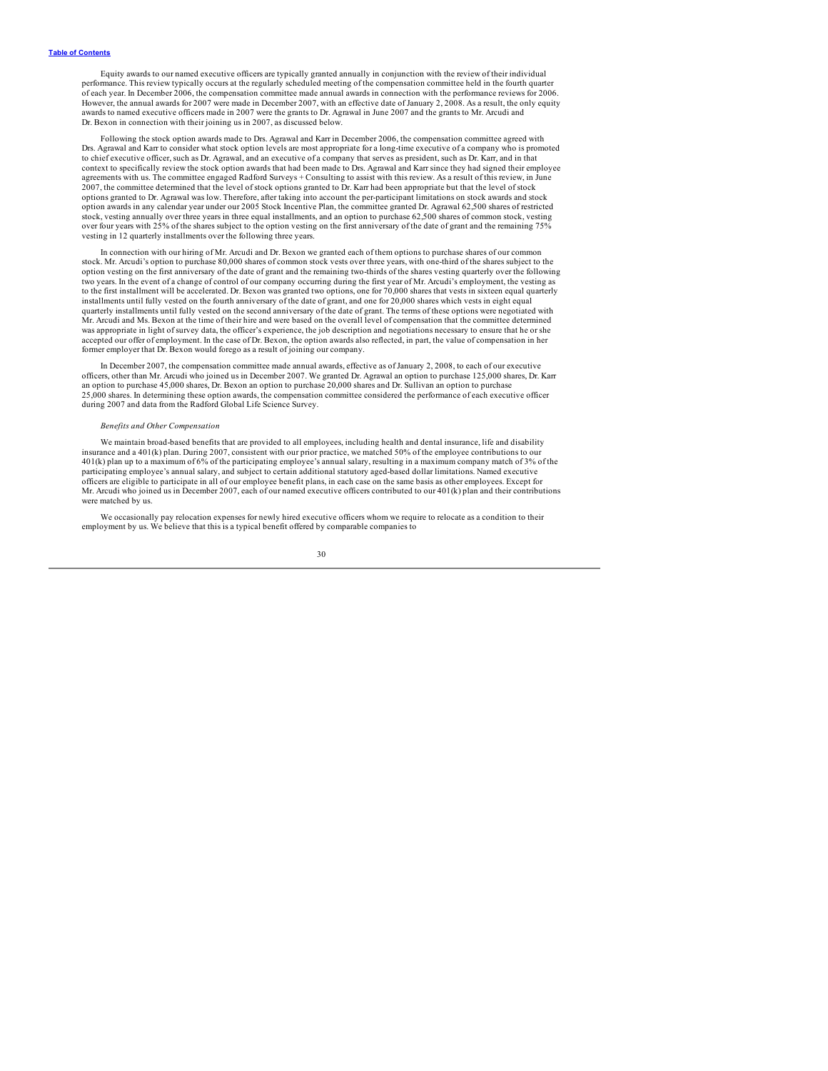Equity awards to our named executive officers are typically granted annually in conjunction with the review of their individual<br>performance. This review typically occurs at the regularly scheduled meeting of the compensati of each year. In December 2006, the compensation committee made annual awards in connection with the performance reviews for 2006. However, the annual awards for 2007 were made in December 2007, with an effective date of January 2, 2008. As a result, the only equity awards to named executive officers made in 2007 were the grants to Dr. Agrawal in June 2007 and the grants to Mr. Arcudi and Dr. Bexon in connection with their joining us in 2007, as discussed below.

Following the stock option awards made to Drs. Agrawal and Karr in December 2006, the compensation committee agreed with Drs. Agrawal and Karr to consider what stock option levels are most appropriate for a long-time executive of a company who is promoted to chief executive officer, such as Dr. Agrawal, and an executive of a company that serves as president, such as Dr. Karr, and in that<br>context to specifically review the stock option awards that had been made to Drs. Agraw agreements with us. The committee engaged Radford Surveys + Consulting to assist with this review. As a result of this review, in June 2007, the committee determined that the level of stock options granted to Dr. Karr had been appropriate but that the level of stock<br>options granted to Dr. Agrawal was low. Therefore, after taking into account the per-parti option awards in any calendar year under our 2005 Stock Incentive Plan, the committee granted Dr. Agrawal 62,500 shares of restricted stock, vesting annually over three years in three equal installments, and an option to purchase 62,500 shares of common stock, vesting<br>over four years with 25% of the shares subject to the option vesting on the first anniv vesting in 12 quarterly installments over the following three years.

In connection with our hiring of Mr. Arcudi and Dr. Bexon we granted each of them options to purchase shares of our common stock. Mr. Arcudi's option to purchase 80,000 shares of common stock vests over three years, with one-third of the shares subject to the option vesting on the first anniversary of the date of grant and the remaining two-thirds of the shares vesting quarterly over the following two years. In the event of a change of control of our company occurring during the first year of Mr. Arcudi's employment, the vesting as to the first installment will be accelerated. Dr. Bexon was granted two options, one for 70,000 shares that vests in sixteen equal quarterly installments until fully vested on the fourth anniversary of the date of grant, and one for 20,000 shares which vests in eight equal<br>quarterly installments until fully vested on the second anniversary of the date of grant. Mr. Arcudi and Ms. Bexon at the time of their hire and were based on the overall level of compensation that the committee determined was appropriate in light of survey data, the officer's experience, the job description and negotiations necessary to ensure that he or she<br>accepted our offer of employment. In the case of Dr. Bexon, the option awards also former employer that Dr. Bexon would forego as a result of joining our company.

In December 2007, the compensation committee made annual awards, effective as of January 2, 2008, to each of our executive<br>officers, other than Mr. Arcudi who joined us in December 2007. We granted Dr. Agrawal an option to an option to purchase 45,000 shares, Dr. Bexon an option to purchase 20,000 shares and Dr. Sullivan an option to purchase 25,000 shares. In determining these option awards, the compensation committee considered the performance of each executive officer during 2007 and data from the Radford Global Life Science Survey.

#### *Benefits and Other Compensation*

We maintain broad-based benefits that are provided to all employees, including health and dental insurance, life and disability insurance and a 401(k) plan. During 2007, consistent with our prior practice, we matched 50% of the employee contributions to our<br>401(k) plan up to a maximum of 6% of the participating employee's annual salary, resulting i participating employee's annual salary, and subject to certain additional statutory aged-based dollar limitations. Named executive officers are eligible to participate in all of our employee benefit plans, in each case on the same basis as other employees. Except for Mr. Arcudi who joined us in December 2007, each of our named executive officers contributed to our 401(k) plan and their contributions were matched by us.

We occasionally pay relocation expenses for newly hired executive officers whom we require to relocate as a condition to their employment by us. We believe that this is a typical benefit offered by comparable companies to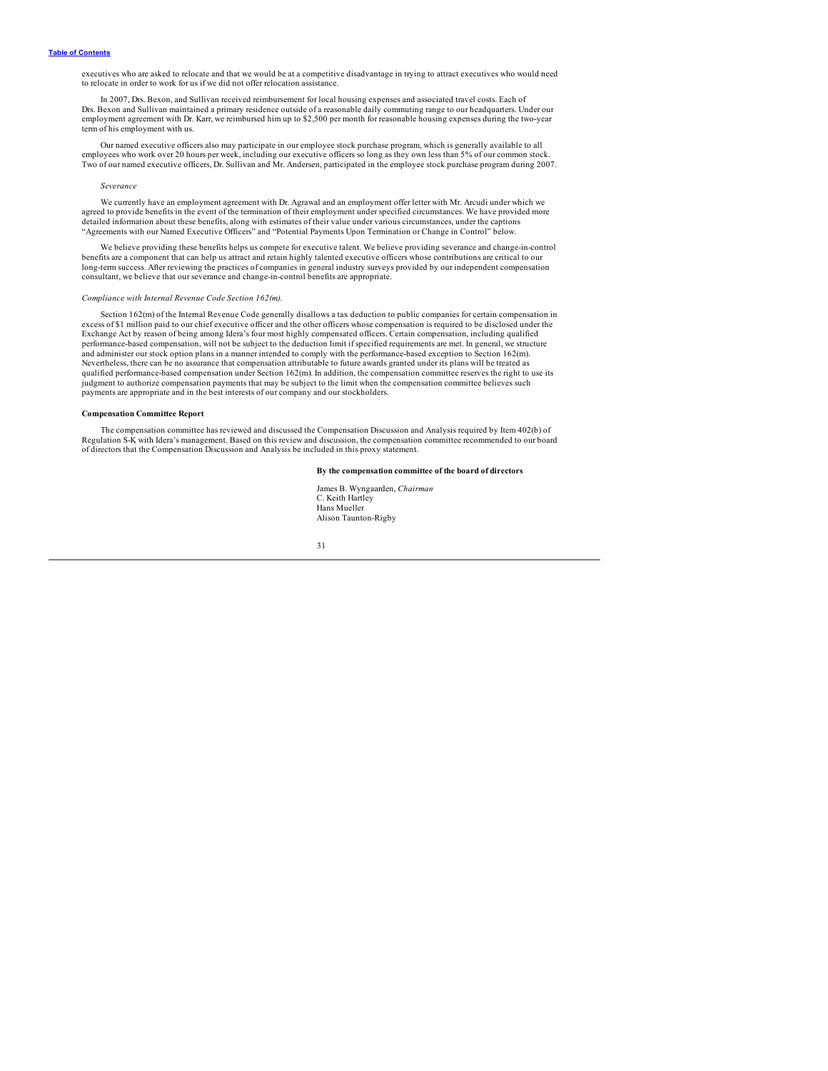<span id="page-33-0"></span>executives who are asked to relocate and that we would be at a competitive disadvantage in trying to attract executives who would need to relocate in order to work for us if we did not offer relocation assistance.

In 2007, Drs. Bexon, and Sullivan received reimbursement for local housing expenses and associated travel costs. Each of Drs. Bexon and Sullivan maintained a primary residence outside of a reasonable daily commuting range to our headquarters. Under our<br>employment agreement with Dr. Karr, we reimbursed him up to \$2,500 per month for reasonabl term of his employment with us.

Our named executive officers also may participate in our employee stock purchase program, which is generally available to all employees who work over 20 hours per week, including our executive officers so long as they own less than 5% of our common stock.<br>Two of our named executive officers, Dr. Sullivan and Mr. Andersen, participated in the empl

#### *Severance*

We currently have an employment agreement with Dr. Agrawal and an employment offer letter with Mr. Arcudi under which we agreed to provide benefits in the event of the termination of their employment under specified circumstances. We have provided more<br>detailed information about these benefits, along with estimates of their value under vario "Agreements with our Named Executive Officers" and "Potential Payments Upon Termination or Change in Control" below.

We believe providing these benefits helps us compete for executive talent. We believe providing severance and change-in-control benefits are a component that can help us attract and retain highly talented executive officers whose contributions are critical to our long-term success. After reviewing the practices of companies in general industry surveys provided by our independent compensation consultant, we believe that our severance and change-in-control benefits are appropriate.

#### *Compliance with Internal Revenue Code Section 162(m).*

Section 162(m) of the Internal Revenue Code generally disallows a tax deduction to public companies for certain compensation in excess of \$1 million paid to our chief executive officer and the other officers whose compensation is required to be disclosed under the Exchange Act by reason of being among Idera's four most highly compensated officers. Certain compensation, including qualified performance-based compensation, will not be subject to the deduction limit if specified requirements are met. In general, we structure<br>and administer our stock option plans in a manner intended to comply with the performan Nevertheless, there can be no assurance that compensation attributable to future awards granted under its plans will be treated as qualified performance-based compensation under Section 162(m). In addition, the compensation committee reserves the right to use its<br>judgment to authorize compensation payments that may be subject to the limit when the com payments are appropriate and in the best interests of our company and our stockholders.

### **Compensation Committee Report**

The compensation committee has reviewed and discussed the Compensation Discussion and Analysis required by Item 402(b) of<br>Regulation S-K with Idera's management. Based on this review and discussion, the compensation commit of directors that the Compensation Discussion and Analysis be included in this proxy statement.

### **By the compensation committee of the board of directors**

James B. Wyngaarden, *Chairman* C. Keith Hartley Hans Mueller Alison Taunton-Rigby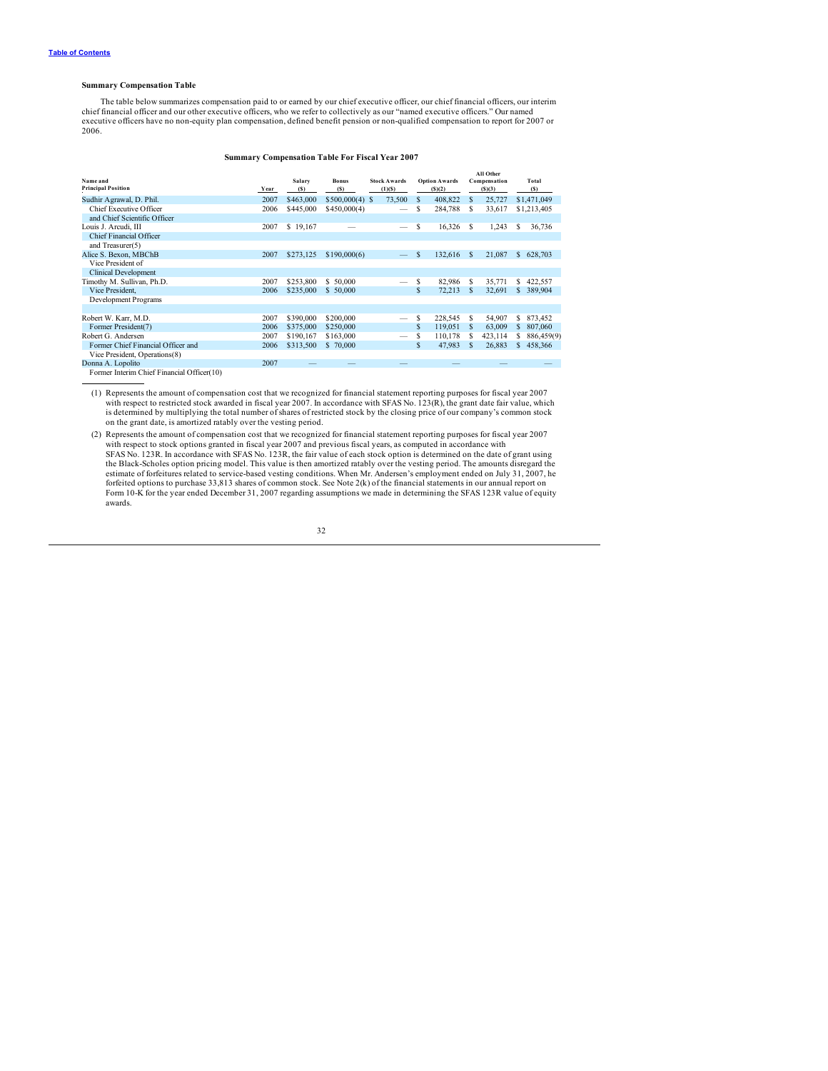### <span id="page-34-0"></span>**Summary Compensation Table**

The table below summarizes compensation paid to or earned by our chief executive officer, our chief financial officers, our interim<br>chief financial officer and our other executive officers, who we refer to collectively as executive officers have no non-equity plan compensation, defined benefit pension or non-qualified compensation to report for 2007 or 2006.

### **Summary Compensation Table For Fiscal Year 2007**

| Name and                                                                                                                                                                                                                                         |      | Salary    | <b>Bonus</b>     | <b>Stock Awards</b> |    | <b>Option Awards</b> |   | All Other<br>Compensation |              | Total       |
|--------------------------------------------------------------------------------------------------------------------------------------------------------------------------------------------------------------------------------------------------|------|-----------|------------------|---------------------|----|----------------------|---|---------------------------|--------------|-------------|
| <b>Principal Position</b>                                                                                                                                                                                                                        | Year | (S)       | (S)              | (1)(S)              |    | (S)(2)               |   | (S)(3)                    |              | (S)         |
| Sudhir Agrawal, D. Phil.                                                                                                                                                                                                                         | 2007 | \$463,000 | $$500,000(4)$ \$ | 73,500              | S  | 408,822              | s | 25,727                    |              | \$1,471,049 |
| Chief Executive Officer                                                                                                                                                                                                                          | 2006 | \$445,000 | \$450,000(4)     |                     | S  | 284,788              | s | 33,617                    |              | \$1,213,405 |
| and Chief Scientific Officer                                                                                                                                                                                                                     |      |           |                  |                     |    |                      |   |                           |              |             |
| Louis J. Arcudi, III                                                                                                                                                                                                                             | 2007 | \$19,167  |                  |                     | \$ | 16,326               | s | 1,243                     | s            | 36,736      |
| Chief Financial Officer                                                                                                                                                                                                                          |      |           |                  |                     |    |                      |   |                           |              |             |
| and Treasurer(5)                                                                                                                                                                                                                                 |      |           |                  |                     |    |                      |   |                           |              |             |
| Alice S. Bexon, MBChB                                                                                                                                                                                                                            | 2007 | \$273,125 | \$190,000(6)     |                     | \$ | 132,616              | s | 21,087                    | $\mathbb{S}$ | 628,703     |
| Vice President of                                                                                                                                                                                                                                |      |           |                  |                     |    |                      |   |                           |              |             |
| <b>Clinical Development</b>                                                                                                                                                                                                                      |      |           |                  |                     |    |                      |   |                           |              |             |
| Timothy M. Sullivan, Ph.D.                                                                                                                                                                                                                       | 2007 | \$253,800 | \$50,000         |                     | \$ | 82,986               | s | 35,771                    |              | 422,557     |
| Vice President.                                                                                                                                                                                                                                  | 2006 | \$235,000 | \$50,000         |                     | \$ | 72,213               | s | 32,691                    |              | 389,904     |
| Development Programs                                                                                                                                                                                                                             |      |           |                  |                     |    |                      |   |                           |              |             |
|                                                                                                                                                                                                                                                  |      |           |                  |                     |    |                      |   |                           |              |             |
| Robert W. Karr, M.D.                                                                                                                                                                                                                             | 2007 | \$390,000 | \$200,000        |                     | S  | 228,545              | s | 54,907                    | \$           | 873,452     |
| Former President(7)                                                                                                                                                                                                                              | 2006 | \$375,000 | \$250,000        |                     | \$ | 119,051              | s | 63,009                    | \$           | 807,060     |
| Robert G. Andersen                                                                                                                                                                                                                               | 2007 | \$190,167 | \$163,000        |                     | \$ | 110,178              | s | 423,114                   | S            | 886,459(9)  |
| Former Chief Financial Officer and                                                                                                                                                                                                               | 2006 | \$313,500 | \$70,000         |                     | \$ | 47,983               | S | 26,883                    | \$           | 458,366     |
| Vice President, Operations(8)                                                                                                                                                                                                                    |      |           |                  |                     |    |                      |   |                           |              |             |
| Donna A. Lopolito                                                                                                                                                                                                                                | 2007 |           |                  |                     |    |                      |   |                           |              |             |
| <b>March 1980</b> , Channel 1980, Channel 1980, Channel 1980, Channel 1980, Channel 1980, Channel 1980, Channel 1980, Channel 1980, Channel 1980, Channel 1980, Channel 1980, Channel 1980, Channel 1980, Channel 1980, Channel 1980<br>1.4.2.24 |      |           |                  |                     |    |                      |   |                           |              |             |

Former Interim Chief Financial Officer(10)

(1) Represents the amount of compensation cost that we recognized for financial statement reporting purposes for fiscal year 2007 with respect to restricted stock awarded in fiscal year 2007. In accordance with SFAS No. 123(R), the grant date fair value, which is determined by multiplying the total number of shares of restricted stock by the closing price of our company's common stock on the grant date, is amortized ratably over the vesting period.

(2) Represents the amount of compensation cost that we recognized for financial statement reporting purposes for fiscal year 2007 with respect to stock options granted in fiscal year 2007 and previous fiscal years, as computed in accordance with<br>SFAS No. 123R. In accordance with SFAS No. 123R, the fair value of each stock option is determined on the estimate of forfeitures related to service-based vesting conditions. When Mr. Andersen's employment ended on July 31, 2007, he<br>forfeited options to purchase 33,813 shares of common stock. See Note 2(k) of the financial sta Form 10-K for the year ended December 31, 2007 regarding assumptions we made in determining the SFAS 123R value of equity awards.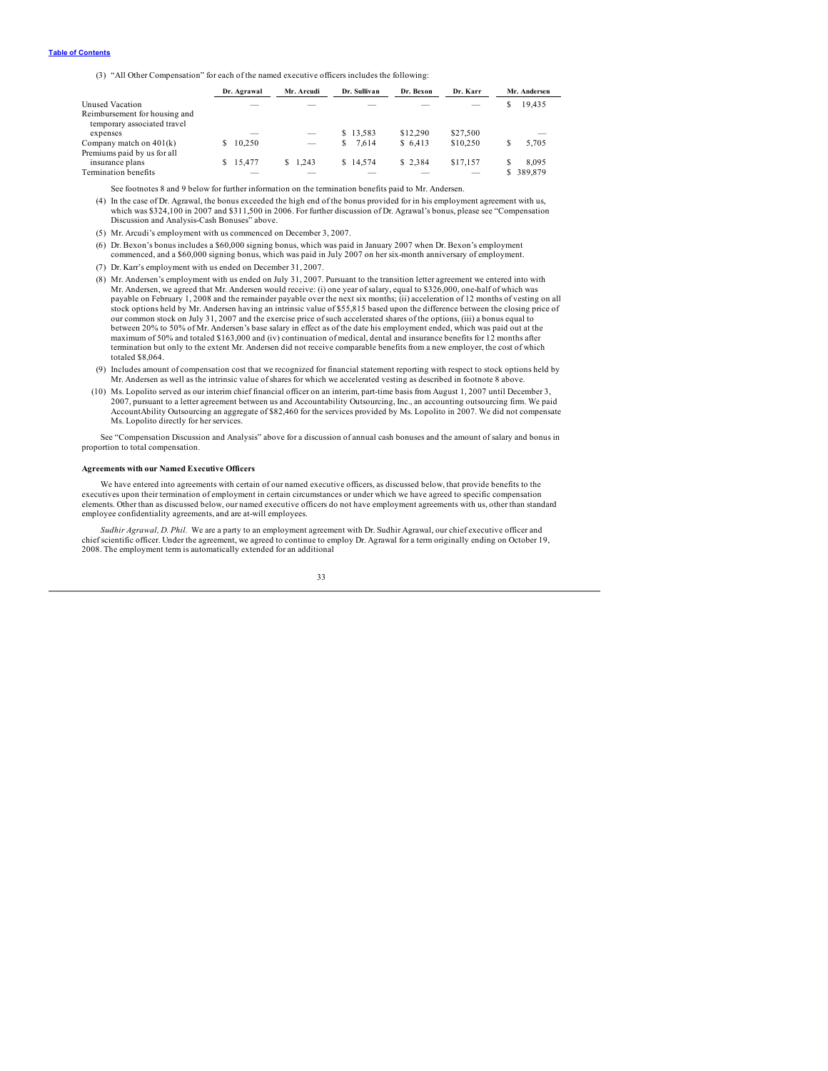<span id="page-35-0"></span>(3) "All Other Compensation" for each of the named executive officers includes the following:

|                                                              | Dr. Agrawal                                                                                                                                                                                                                                                                                                                                                                                                                                                                |    | Mr. Arcudi |   | Dr. Sullivan | Dr. Bexon | Dr. Karr |                          |   | Mr. Andersen             |
|--------------------------------------------------------------|----------------------------------------------------------------------------------------------------------------------------------------------------------------------------------------------------------------------------------------------------------------------------------------------------------------------------------------------------------------------------------------------------------------------------------------------------------------------------|----|------------|---|--------------|-----------|----------|--------------------------|---|--------------------------|
| Unused Vacation                                              |                                                                                                                                                                                                                                                                                                                                                                                                                                                                            |    |            |   |              |           |          |                          |   | 19.435                   |
| Reimbursement for housing and<br>temporary associated travel |                                                                                                                                                                                                                                                                                                                                                                                                                                                                            |    |            |   |              |           |          |                          |   |                          |
| expenses                                                     | $\frac{1}{2} \left( \frac{1}{2} \right) \left( \frac{1}{2} \right) \left( \frac{1}{2} \right) \left( \frac{1}{2} \right) \left( \frac{1}{2} \right) \left( \frac{1}{2} \right) \left( \frac{1}{2} \right) \left( \frac{1}{2} \right) \left( \frac{1}{2} \right) \left( \frac{1}{2} \right) \left( \frac{1}{2} \right) \left( \frac{1}{2} \right) \left( \frac{1}{2} \right) \left( \frac{1}{2} \right) \left( \frac{1}{2} \right) \left( \frac{1}{2} \right) \left( \frac$ |    | $\sim$     |   | \$13.583     | \$12,290  | \$27.500 |                          |   | $\overline{\phantom{a}}$ |
| Company match on $401(k)$<br>Premiums paid by us for all     | 10.250                                                                                                                                                                                                                                                                                                                                                                                                                                                                     |    | $\sim$     | S | 7.614        | \$6.413   | \$10,250 |                          |   | 5.705                    |
| insurance plans                                              | 15.477                                                                                                                                                                                                                                                                                                                                                                                                                                                                     | S. | 1.243      |   | \$14.574     | \$2.384   | \$17,157 |                          |   | 8.095                    |
| Termination benefits                                         |                                                                                                                                                                                                                                                                                                                                                                                                                                                                            |    |            |   |              |           |          | $\overline{\phantom{a}}$ | S | 389,879                  |

See footnotes 8 and 9 below for further information on the termination benefits paid to Mr. Andersen.

(4) In the case of Dr. Agrawal, the bonus exceeded the high end of the bonus provided for in his employment agreement with us, which was \$324,100 in 2007 and \$311,500 in 2006. For further discussion of Dr. Agrawal's bonus, please see "Compensation Discussion and Analysis-Cash Bonuses" above.

- (5) Mr. Arcudi's employment with us commenced on December 3, 2007.
- (6) Dr. Bexon's bonus includes a \$60,000 signing bonus, which was paid in January 2007 when Dr. Bexon's employment commenced, and a \$60,000 signing bonus, which was paid in July 2007 on her six-month anniversary of employment.
- (7) Dr. Karr's employment with us ended on December 31, 2007.
- (8) Mr. Andersen's employment with us ended on July 31, 2007. Pursuant to the transition letter agreement we entered into with Mr. Andersen, we agreed that Mr. Andersen would receive: (i) one year of salary, equal to \$326,000, one-half of which was payable on February 1, 2008 and the remainder payable over the next six months; (ii) acceleration of 12 months of vesting on all stock options held by Mr. Andersen having an intrinsic value of \$55,815 based upon the difference between the closing price of our common stock on July 31, 2007 and the exercise price of such accelerated shares of the options, (iii) a bonus equal to between 20% to 50% of Mr. Andersen's base salary in effect as of the date his employment ended, which was paid out at the maximum of 50% and totaled \$163,000 and (iv) continuation of medical, dental and insurance benefits for 12 months after termination but only to the extent Mr. Andersen did not receive comparable benefits from a new employer, the cost of which totaled \$8,064.
- (9) Includes amount of compensation cost that we recognized for financial statement reporting with respect to stock options held by Mr. Andersen as well as the intrinsic value of shares for which we accelerated vesting as described in footnote 8 above.
- (10) Ms. Lopolito served as our interim chief financial officer on an interim, part-time basis from August 1, 2007 until December 3, 2007, pursuant to a letter agreement between us and Accountability Outsourcing, Inc., an accounting outsourcing firm. We paid<br>AccountAbility Outsourcing an aggregate of \$82,460 for the services provided by Ms. Lopolito in Ms. Lopolito directly for her services.

See "Compensation Discussion and Analysis" above for a discussion of annual cash bonuses and the amount of salary and bonus in proportion to total compensation.

### **Agreements with our Named Executive Officers**

We have entered into agreements with certain of our named executive officers, as discussed below, that provide benefits to the executives upon their termination of employment in certain circumstances or under which we have agreed to specific compensation elements. Other than as discussed below, our named executive officers do not have employment agreements with us, other than standard employee confidentiality agreements, and are at-will employees.

*Sudhir Agrawal, D. Phil.* We are a party to an employment agreement with Dr. Sudhir Agrawal, our chief executive officer and chief scientific officer. Under the agreement, we agreed to continue to employ Dr. Agrawal for a term originally ending on October 19, 2008. The employment term is automatically extended for an additional

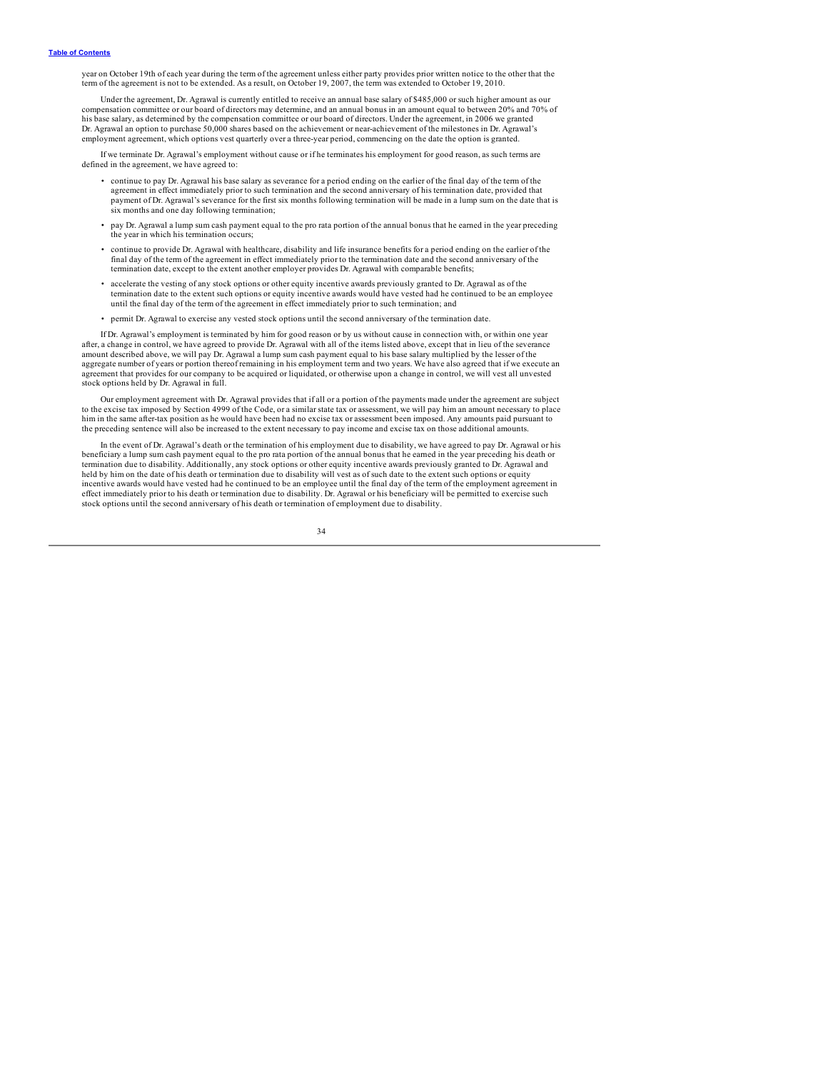year on October 19th of each year during the term of the agreement unless either party provides prior written notice to the other that the term of the agreement is not to be extended. As a result, on October 19, 2007, the term was extended to October 19, 2010.

Under the agreement, Dr. Agrawal is currently entitled to receive an annual base salary of \$485,000 or such higher amount as our compensation committee or our board of directors may determine, and an annual bonus in an amount equal to between 20% and 70% of<br>his base salary, as determined by the compensation committee or our board of directors. Under Dr. Agrawal an option to purchase 50,000 shares based on the achievement or near-achievement of the milestones in Dr. Agrawal's employment agreement, which options vest quarterly over a three-year period, commencing on the date the option is granted.

If we terminate Dr. Agrawal's employment without cause or if he terminates his employment for good reason, as such terms are defined in the agreement, we have agreed to:

- continue to pay Dr. Agrawal his base salary as severance for a period ending on the earlier of the final day of the term of the agreement in effect immediately prior to such termination and the second anniversary of his termination date, provided that payment of Dr. Agrawal's severance for the first six months following termination will be made in a lump sum on the date that is six months and one day following termination;
- pay Dr. Agrawal a lump sum cash payment equal to the pro rata portion of the annual bonus that he earned in the year preceding the year in which his termination occurs;
- continue to provide Dr. Agrawal with healthcare, disability and life insurance benefits for a period ending on the earlier of the final day of the term of the agreement in effect immediately prior to the termination date and the second anniversary of the termination date, except to the extent another employer provides Dr. Agrawal with comparable benefits;
- accelerate the vesting of any stock options or other equity incentive awards previously granted to Dr. Agrawal as of the termination date to the extent such options or equity incentive awards would have vested had he con until the final day of the term of the agreement in effect immediately prior to such termination; and
- permit Dr. Agrawal to exercise any vested stock options until the second anniversary of the termination date.

If Dr. Agrawal's employment is terminated by him for good reason or by us without cause in connection with, or within one year after, a change in control, we have agreed to provide Dr. Agrawal with all of the items listed above, except that in lieu of the severance amount described above, we will pay Dr. Agrawal a lump sum cash payment equal to his base salary multiplied by the lesser of the aggregate number of years or portion thereof remaining in his employment term and two years. We have also agreed that if we execute an agreement that provides for our company to be acquired or liquidated, or otherwise upon a change in control, we will vest all unvested stock options held by Dr. Agrawal in full.

Our employment agreement with Dr. Agrawal provides that if all or a portion of the payments made under the agreement are subject to the excise tax imposed by Section 4999 of the Code, or a similar state tax or assessment, we will pay him an amount necessary to place him in the same after-tax position as he would have been had no excise tax or assessment been imposed. Any amounts paid pursuant to the preceding sentence will also be increased to the extent necessary to pay income and excise tax on those additional amounts.

In the event of Dr. Agrawal's death or the termination of his employment due to disability, we have agreed to pay Dr. Agrawal or his beneficiary a lump sum cash payment equal to the pro rata portion of the annual bonus that he earned in the year preceding his death or termination due to disability. Additionally, any stock options or other equity incentive awards previously granted to Dr. Agrawal and held by him on the date of his death or termination due to disability will vest as of such date to the extent such options or equity incentive awards would have vested had he continued to be an employee until the final day of the term of the employment agreement in effect immediately prior to his death or termination due to disability. Dr. Agrawal or his beneficiary will be permitted to exercise such<br>stock options until the second anniversary of his death or termination of employment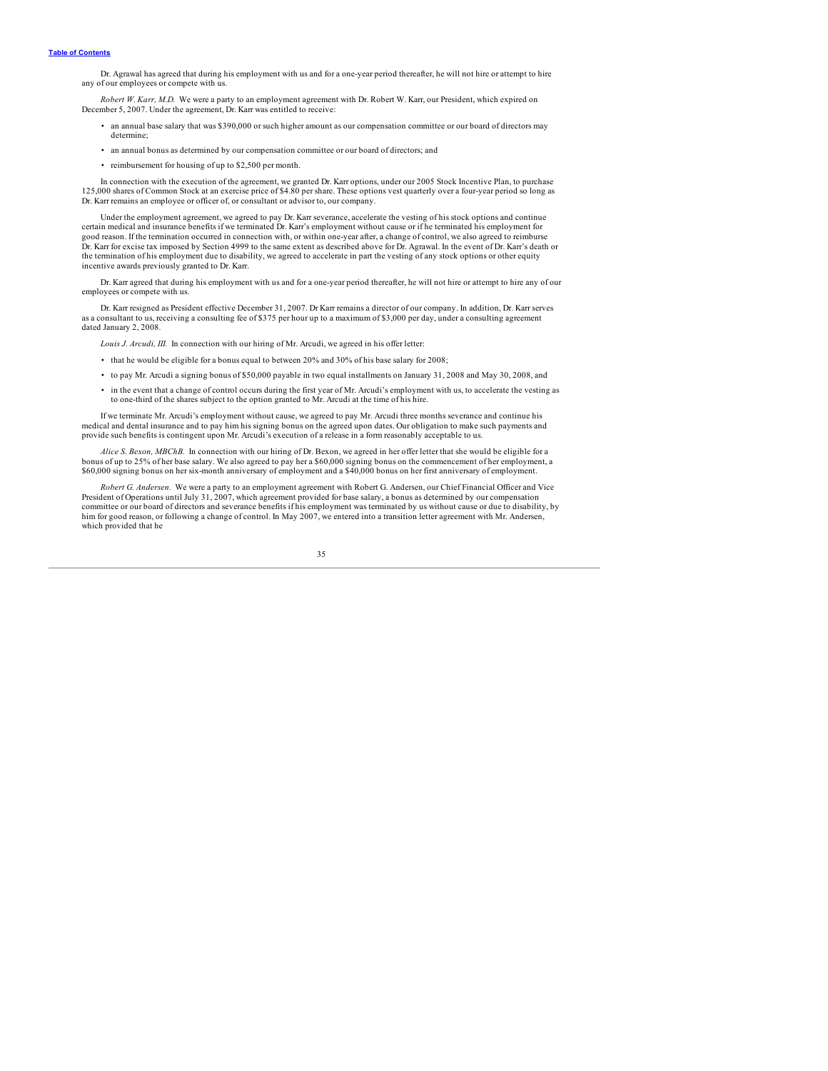Dr. Agrawal has agreed that during his employment with us and for a one-year period thereafter, he will not hire or attempt to hire any of our employees or compete with us.

*Robert W. Karr, M.D.* We were a party to an employment agreement with Dr. Robert W. Karr, our President, which expired on December 5, 2007. Under the agreement, Dr. Karr was entitled to receive:

- an annual base salary that was \$390,000 or such higher amount as our compensation committee or our board of directors may determine;
- an annual bonus as determined by our compensation committee or our board of directors; and
- reimbursement for housing of up to \$2,500 per month.

In connection with the execution of the agreement, we granted Dr. Karr options, under our 2005 Stock Incentive Plan, to purchase 125,000 shares of Common Stock at an exercise price of \$4.80 per share. These options vest qu Dr. Karr remains an employee or officer of, or consultant or advisor to, our company.

Under the employment agreement, we agreed to pay Dr. Karr severance, accelerate the vesting of his stock options and continue certain medical and insurance benefits if we terminated Dr. Karr's employment without cause or if he terminated his employment for good reason. If the termination occurred in connection with, or within one-year after, a change of control, we also agreed to reimburse Dr. Karr for excise tax imposed by Section 4999 to the same extent as described above for Dr. Agrawal. In the event of Dr. Karr's death or the termination of his employment due to disability, we agreed to accelerate in part the vesting of any stock options or other equity incentive awards previously granted to Dr. Karr.

Dr. Karr agreed that during his employment with us and for a one-year period thereafter, he will not hire or attempt to hire any of our employees or compete with us

Dr. Karr resigned as President effective December 31, 2007. Dr Karr remains a director of our company. In addition, Dr. Karr serves as a consultant to us, receiving a consulting fee of \$375 per hour up to a maximum of \$3,000 per day, under a consulting agreement dated January 2, 2008.

*Louis J. Arcudi, III.* In connection with our hiring of Mr. Arcudi, we agreed in his offer letter:

- that he would be eligible for a bonus equal to between 20% and 30% of his base salary for 2008;
- to pay Mr. Arcudi a signing bonus of \$50,000 payable in two equal installments on January 31, 2008 and May 30, 2008, and
- in the event that a change of control occurs during the first year of Mr. Arcudi's employment with us, to accelerate the vesting as to one-third of the shares subject to the option granted to Mr. Arcudi at the time of his hire.

If we terminate Mr. Arcudi's employment without cause, we agreed to pay Mr. Arcudi three months severance and continue his<br>medical and dental insurance and to pay him his signing bonus on the agreed upon dates. Our obligat provide such benefits is contingent upon Mr. Arcudi's execution of a release in a form reasonably acceptable to us.

*Alice S. Bexon, MBChB.* In connection with our hiring of Dr. Bexon, we agreed in her offer letter that she would be eligible for a bonus of up to 25% of her base salary. We also agreed to pay her a \$60,000 signing bonus on the commencement of her employment, a \$60,000 signing bonus on her six-month anniversary of employment and a \$40,000 bonus on her first anniversary of employment.

*Robert G. Andersen.* We were a party to an employment agreement with Robert G. Andersen, our Chief Financial Officer and Vice President of Operations until July 31, 2007, which agreement provided for base salary, a bonus as determined by our compensation<br>committee or our board of directors and severance benefits if his employment was terminated b him for good reason, or following a change of control. In May 2007, we entered into a transition letter agreement with Mr. Andersen, which provided that he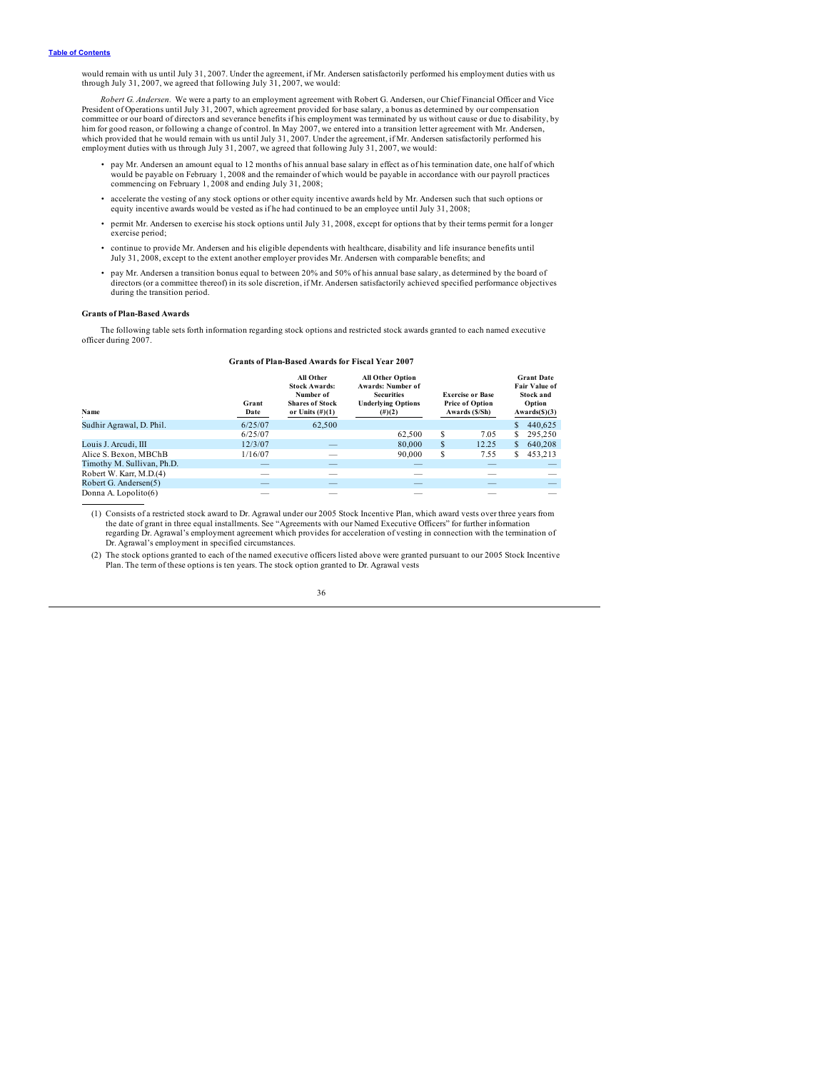<span id="page-38-0"></span>would remain with us until July 31, 2007. Under the agreement, if Mr. Andersen satisfactorily performed his employment duties with us through July 31, 2007, we agreed that following July 31, 2007, we would:

*Robert G. Andersen.* We were a party to an employment agreement with Robert G. Andersen, our Chief Financial Officer and Vice President of Operations until July 31, 2007, which agreement provided for base salary, a bonus as determined by our compensation<br>committee or our board of directors and severance benefits if his employment was terminated b which provided that he would remain with us until July 31, 2007. Under the agreement, if Mr. Andersen satisfactorily performed his employment duties with us through July 31, 2007, we agreed that following July 31, 2007, we would:

- pay Mr. Andersen an amount equal to 12 months of his annual base salary in effect as of his termination date, one half of which would be payable on February 1, 2008 and the remainder of which would be payable in accordance with our payroll practices commencing on February 1, 2008 and ending July 31, 2008;
- accelerate the vesting of any stock options or other equity incentive awards held by Mr. Andersen such that such options or equity incentive awards would be vested as if he had continued to be an employee until July 31, 2008;
- permit Mr. Andersen to exercise his stock options until July 31, 2008, except for options that by their terms permit for a longer exercise period;
- continue to provide Mr. Andersen and his eligible dependents with healthcare, disability and life insurance benefits until<br>July 31, 2008, except to the extent another employer provides Mr. Andersen with comparable benefi
- pay Mr. Andersen a transition bonus equal to between 20% and 50% of his annual base salary, as determined by the board of directors (or a committee thereof) in its sole discretion, if Mr. Andersen satisfactorily achieved specified performance objectives during the transition period.

### **Grants of Plan-Based Awards**

The following table sets forth information regarding stock options and restricted stock awards granted to each named executive officer during 2007.

### **Grants of Plan-Based Awards for Fiscal Year 2007**

| Name                       | Grant<br>Date            | All Other<br><b>Stock Awards:</b><br>Number of<br><b>Shares of Stock</b><br>or Units $(\#)(1)$ | <b>All Other Option</b><br><b>Awards: Number of</b><br><b>Securities</b><br><b>Underlying Options</b><br>$(\#)(2)$ | <b>Exercise or Base</b><br><b>Price of Option</b><br>Awards (\$/Sh) |        |    |         |  |  |  | <b>Grant Date</b><br><b>Fair Value of</b><br><b>Stock and</b><br>Option<br>Awards(5)(3) |
|----------------------------|--------------------------|------------------------------------------------------------------------------------------------|--------------------------------------------------------------------------------------------------------------------|---------------------------------------------------------------------|--------|----|---------|--|--|--|-----------------------------------------------------------------------------------------|
| Sudhir Agrawal, D. Phil.   | 6/25/07                  | 62.500                                                                                         |                                                                                                                    |                                                                     |        | S  | 440.625 |  |  |  |                                                                                         |
|                            | 6/25/07                  |                                                                                                | 62.500                                                                                                             | S                                                                   | 7.05   | s  | 295.250 |  |  |  |                                                                                         |
| Louis J. Arcudi, III       | 12/3/07                  | $\overline{\phantom{a}}$                                                                       | 80,000                                                                                                             | S                                                                   | 12.25  | \$ | 640,208 |  |  |  |                                                                                         |
| Alice S. Bexon, MBChB      | 1/16/07                  | __                                                                                             | 90,000                                                                                                             | S                                                                   | 7.55   | s  | 453,213 |  |  |  |                                                                                         |
| Timothy M. Sullivan, Ph.D. | $-$                      |                                                                                                | $\overline{\phantom{a}}$                                                                                           |                                                                     | _      |    | $-$     |  |  |  |                                                                                         |
| Robert W. Karr, M.D.(4)    | $-$                      | $-$                                                                                            | $\overline{\phantom{a}}$                                                                                           |                                                                     | $\sim$ |    |         |  |  |  |                                                                                         |
| Robert G. Andersen(5)      | $\overline{\phantom{a}}$ | _                                                                                              | _                                                                                                                  |                                                                     | _      |    |         |  |  |  |                                                                                         |
| Donna A. Lopolito(6)       | $\sim$                   | --                                                                                             | $\sim$                                                                                                             |                                                                     |        |    |         |  |  |  |                                                                                         |

(1) Consists of a restricted stock award to Dr. Agrawal under our 2005 Stock Incentive Plan, which award vests over three years from the date of grant in three equal installments. See "Agreements with our Named Executive Officers" for further information regarding Dr. Agrawal's employment agreement which provides for acceleration of vesting in connection with the termination of Dr. Agrawal's employment in specified circumstances.

(2) The stock options granted to each of the named executive officers listed above were granted pursuant to our 2005 Stock Incentive Plan. The term of these options is ten years. The stock option granted to Dr. Agrawal vests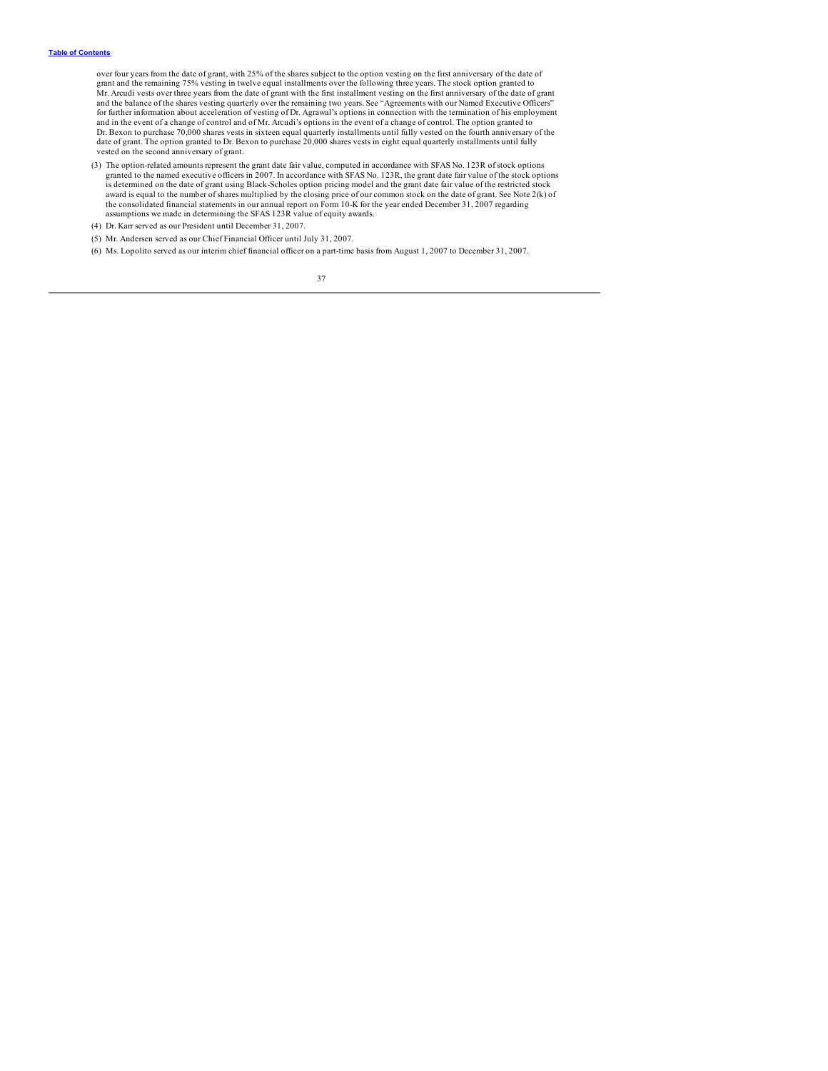over four years from the date of grant, with 25% of the shares subject to the option vesting on the first anniversary of the date of<br>grant and the remaining 75% vesting in twelve equal installments over the following three and the balance of the shares vesting quarterly over the remaining two years. See "Agreements with our Named Executive Officers" for further information about acceleration of vesting of Dr. Agrawal's options in connection with the termination of his employment and in the event of a change of control and of Mr. Arcudi's options in the event of a change of control. The option granted to<br>Dr. Bexon to purchase 70,000 shares vests in sixteen equal quarterly installments until fully v date of grant. The option granted to Dr. Bexon to purchase 20,000 shares vests in eight equal quarterly installments until fully vested on the second anniversary of grant.

- (3) The option-related amounts represent the grant date fair value, computed in accordance with SFAS No. 123R of stock options granted to the named executive officers in 2007. In accordance with SFAS No. 123R, the grant da award is equal to the number of shares multiplied by the closing price of our common stock on the date of grant. See Note 2(k) of<br>the consolidated financial statements in our annual report on Form 10-K for the year ended D assumptions we made in determining the SFAS 123R value of equity awards.
- (4) Dr. Karr served as our President until December 31, 2007.
- (5) Mr. Andersen served as our Chief Financial Officer until July 31, 2007.
- (6) Ms. Lopolito served as our interim chief financial officer on a part-time basis from August 1, 2007 to December 31, 2007.

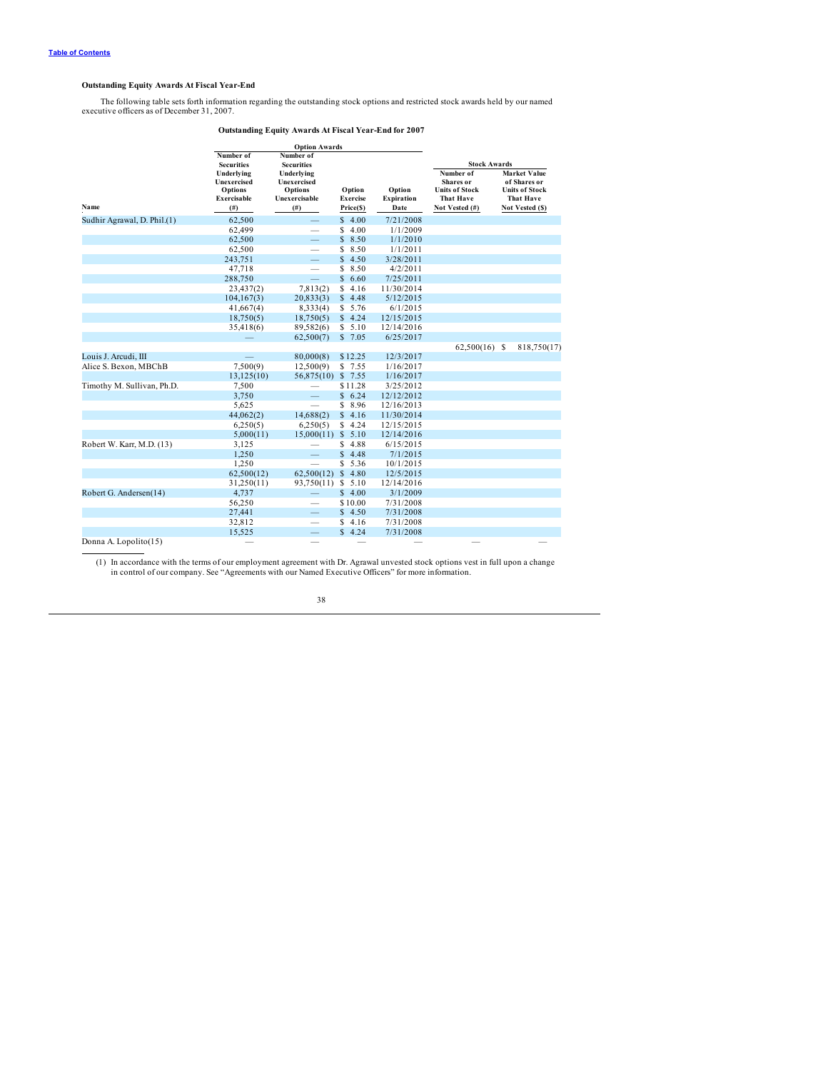### <span id="page-40-0"></span>**Outstanding Equity Awards At Fiscal Year-End**

The following table sets forth information regarding the outstanding stock options and restricted stock awards held by our named executive officers as of December 31, 2007.

### **Outstanding Equity Awards At Fiscal Year-End for 2007**

|                             |                                                                                         | <b>Option Awards</b>                                                                 |                                        |                                     |                                                                                                       |                                                                                              |
|-----------------------------|-----------------------------------------------------------------------------------------|--------------------------------------------------------------------------------------|----------------------------------------|-------------------------------------|-------------------------------------------------------------------------------------------------------|----------------------------------------------------------------------------------------------|
|                             | Number of                                                                               | Number of                                                                            |                                        |                                     |                                                                                                       |                                                                                              |
| Name                        | <b>Securities</b><br>Underlying<br><b>Unexercised</b><br>Options<br>Exercisable<br>(# ) | <b>Securities</b><br>Underlying<br>Unexercised<br>Options<br>Unexercisable<br>$(\#)$ | Option<br><b>Exercise</b><br>Price(\$) | Option<br><b>Expiration</b><br>Date | <b>Stock Awards</b><br>Number of<br>Shares or<br><b>Units of Stock</b><br>That Have<br>Not Vested (#) | <b>Market Value</b><br>of Shares or<br>Units of Stock<br><b>That Have</b><br>Not Vested (\$) |
| Sudhir Agrawal, D. Phil.(1) | 62,500                                                                                  | $\overline{\phantom{0}}$                                                             | \$4.00                                 | 7/21/2008                           |                                                                                                       |                                                                                              |
|                             | 62,499                                                                                  |                                                                                      | 4.00<br>S                              | 1/1/2009                            |                                                                                                       |                                                                                              |
|                             | 62,500                                                                                  |                                                                                      | \$8.50                                 | 1/1/2010                            |                                                                                                       |                                                                                              |
|                             | 62,500                                                                                  | -                                                                                    | 8.50<br>S                              | 1/1/2011                            |                                                                                                       |                                                                                              |
|                             | 243,751                                                                                 |                                                                                      | 4.50<br>\$                             | 3/28/2011                           |                                                                                                       |                                                                                              |
|                             | 47,718                                                                                  | -                                                                                    | S<br>8.50                              | 4/2/2011                            |                                                                                                       |                                                                                              |
|                             | 288,750                                                                                 | $\equiv$                                                                             | \$<br>6.60                             | 7/25/2011                           |                                                                                                       |                                                                                              |
|                             | 23,437(2)                                                                               | 7,813(2)                                                                             | S<br>4.16                              | 11/30/2014                          |                                                                                                       |                                                                                              |
|                             | 104, 167(3)                                                                             | 20,833(3)                                                                            | \$4.48                                 | 5/12/2015                           |                                                                                                       |                                                                                              |
|                             | 41,667(4)                                                                               | 8,333(4)                                                                             | \$5.76                                 | 6/1/2015                            |                                                                                                       |                                                                                              |
|                             | 18,750(5)                                                                               | 18,750(5)                                                                            | \$4.24                                 | 12/15/2015                          |                                                                                                       |                                                                                              |
|                             | 35,418(6)                                                                               | 89,582(6)                                                                            | \$5.10                                 | 12/14/2016                          |                                                                                                       |                                                                                              |
|                             |                                                                                         | 62,500(7)                                                                            | \$7.05                                 | 6/25/2017                           |                                                                                                       |                                                                                              |
|                             |                                                                                         |                                                                                      |                                        |                                     | $62,500(16)$ \$                                                                                       | 818,750(17)                                                                                  |
| Louis J. Arcudi, III        |                                                                                         | 80,000(8)                                                                            | \$12.25                                | 12/3/2017                           |                                                                                                       |                                                                                              |
| Alice S. Bexon, MBChB       | 7,500(9)                                                                                | 12,500(9)                                                                            | \$7.55                                 | 1/16/2017                           |                                                                                                       |                                                                                              |
|                             | 13,125(10)                                                                              | 56,875(10)                                                                           | \$7.55                                 | 1/16/2017                           |                                                                                                       |                                                                                              |
| Timothy M. Sullivan, Ph.D.  | 7,500                                                                                   |                                                                                      | \$11.28                                | 3/25/2012                           |                                                                                                       |                                                                                              |
|                             | 3,750                                                                                   | $\qquad \qquad -$                                                                    | \$6.24                                 | 12/12/2012                          |                                                                                                       |                                                                                              |
|                             | 5,625                                                                                   |                                                                                      | \$<br>8.96                             | 12/16/2013                          |                                                                                                       |                                                                                              |
|                             | 44,062(2)                                                                               | 14,688(2)                                                                            | \$4.16                                 | 11/30/2014                          |                                                                                                       |                                                                                              |
|                             | 6,250(5)                                                                                | 6,250(5)                                                                             | \$4.24                                 | 12/15/2015                          |                                                                                                       |                                                                                              |
|                             | 5,000(11)                                                                               | 15,000(11)                                                                           | \$5.10                                 | 12/14/2016                          |                                                                                                       |                                                                                              |
| Robert W. Karr, M.D. (13)   | 3,125                                                                                   |                                                                                      | \$4.88                                 | 6/15/2015                           |                                                                                                       |                                                                                              |
|                             | 1,250                                                                                   | $\overline{\phantom{0}}$                                                             | \$<br>4.48                             | 7/1/2015                            |                                                                                                       |                                                                                              |
|                             | 1,250                                                                                   | $\overline{\phantom{0}}$                                                             | 5.36<br>S                              | 10/1/2015                           |                                                                                                       |                                                                                              |
|                             | 62,500(12)                                                                              | 62,500(12)                                                                           | \$4.80                                 | 12/5/2015                           |                                                                                                       |                                                                                              |
|                             | 31,250(11)                                                                              | 93,750(11)                                                                           | \$5.10                                 | 12/14/2016                          |                                                                                                       |                                                                                              |
| Robert G. Andersen(14)      | 4,737                                                                                   |                                                                                      | \$4.00                                 | 3/1/2009                            |                                                                                                       |                                                                                              |
|                             | 56,250                                                                                  | -                                                                                    | \$10.00                                | 7/31/2008                           |                                                                                                       |                                                                                              |
|                             | 27,441                                                                                  |                                                                                      | \$4.50                                 | 7/31/2008                           |                                                                                                       |                                                                                              |
|                             | 32,812                                                                                  |                                                                                      | 4.16<br>S                              | 7/31/2008                           |                                                                                                       |                                                                                              |
|                             | 15,525                                                                                  | $\qquad \qquad -$                                                                    | \$4.24                                 | 7/31/2008                           |                                                                                                       |                                                                                              |
| Donna A. Lopolito(15)       |                                                                                         |                                                                                      |                                        |                                     |                                                                                                       |                                                                                              |

(1) In accordance with the terms of our employment agreement with Dr. Agrawal unvested stock options vest in full upon a change in control of our company. See "Agreements with our Named Executive Officers" for more informa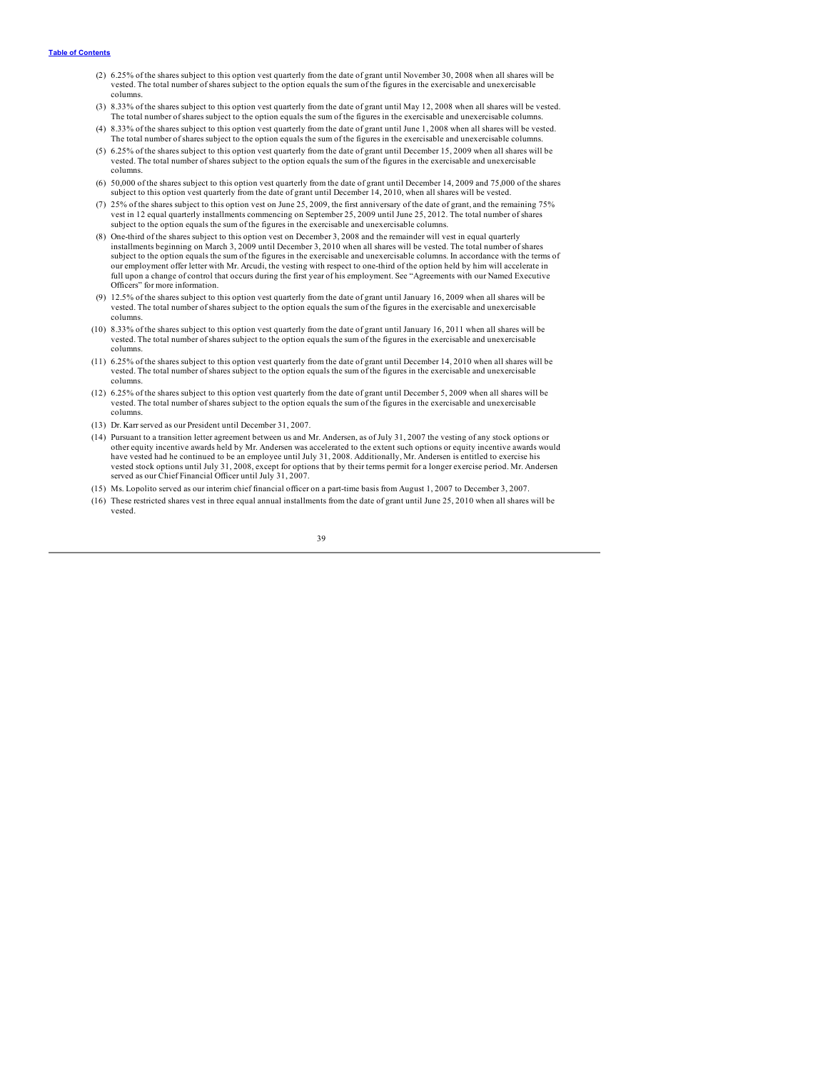- (2) 6.25% of the shares subject to this option vest quarterly from the date of grant until November 30, 2008 when all shares will be vested. The total number of shares subject to the option equals the sum of the figures in the exercisable and unexercisable columns.
- (3) 8.33% of the shares subject to this option vest quarterly from the date of grant until May 12, 2008 when all shares will be vested. The total number of shares subject to the option equals the sum of the figures in the exercisable and unexercisable columns.
- (4) 8.33% of the shares subject to this option vest quarterly from the date of grant until June 1, 2008 when all shares will be vested. The total number of shares subject to the option equals the sum of the figures in the exercisable and unexercisable columns.
- (5) 6.25% of the shares subject to this option vest quarterly from the date of grant until December 15, 2009 when all shares will be vested. The total number of shares subject to the option equals the sum of the figures in the exercisable and unexercisable columns.
- (6) 50,000 of the shares subject to this option vest quarterly from the date of grant until December 14, 2009 and 75,000 of the shares subject to this option vest quarterly from the date of grant until December 14, 2010, when all shares will be vested.
- (7) 25% of the shares subject to this option vest on June 25, 2009, the first anniversary of the date of grant, and the remaining 75% vest in 12 equal quarterly installments commencing on September 25, 2009 until June 25, 2012. The total number of shares subject to the option equals the sum of the figures in the exercisable and unexercisable columns.
- (8) One-third of the shares subject to this option vest on December 3, 2008 and the remainder will vest in equal quarterly installments beginning on March 3, 2009 until December 3, 2010 when all shares will be vested. The total number of shares subject to the option equals the sum of the figures in the exercisable and unexercisable columns. In accordance with the terms of our employment offer letter with Mr. Arcudi, the vesting with respect to one-third of the option held by him will accelerate in full upon a change of control that occurs during the first year of his employment. See "Agreements with our Named Executive Officers" for more information.
- (9) 12.5% of the shares subject to this option vest quarterly from the date of grant until January 16, 2009 when all shares will be vested. The total number of shares subject to the option equals the sum of the figures in the exercisable and unexercisable columns.
- (10) 8.33% of the shares subject to this option vest quarterly from the date of grant until January 16, 2011 when all shares will be vested. The total number of shares subject to the option equals the sum of the figures in the exercisable and unexercisable columns.
- (11) 6.25% of the shares subject to this option vest quarterly from the date of grant until December 14, 2010 when all shares will be vested. The total number of shares subject to the option equals the sum of the figures in the exercisable and unexercisable columns.
- (12) 6.25% of the shares subject to this option vest quarterly from the date of grant until December 5, 2009 when all shares will be vested. The total number of shares subject to the option equals the sum of the figures in the exercisable and unexercisable columns.
- (13) Dr. Karr served as our President until December 31, 2007.
- (14) Pursuant to a transition letter agreement between us and Mr. Andersen, as of July 31, 2007 the vesting of any stock options or other equity incentive awards held by Mr. Andersen was accelerated to the extent such options or equity incentive awards would have vested had he continued to be an employee until July 31, 2008. Additionally, Mr. Andersen is entitled to exercise his vested stock options until July 31, 2008, except for options that by their terms permit for a longer exercise period. Mr. Andersen served as our Chief Financial Officer until July 31, 2007.
- (15) Ms. Lopolito served as our interim chief financial officer on a part-time basis from August 1, 2007 to December 3, 2007.
- (16) These restricted shares vest in three equal annual installments from the date of grant until June 25, 2010 when all shares will be vested.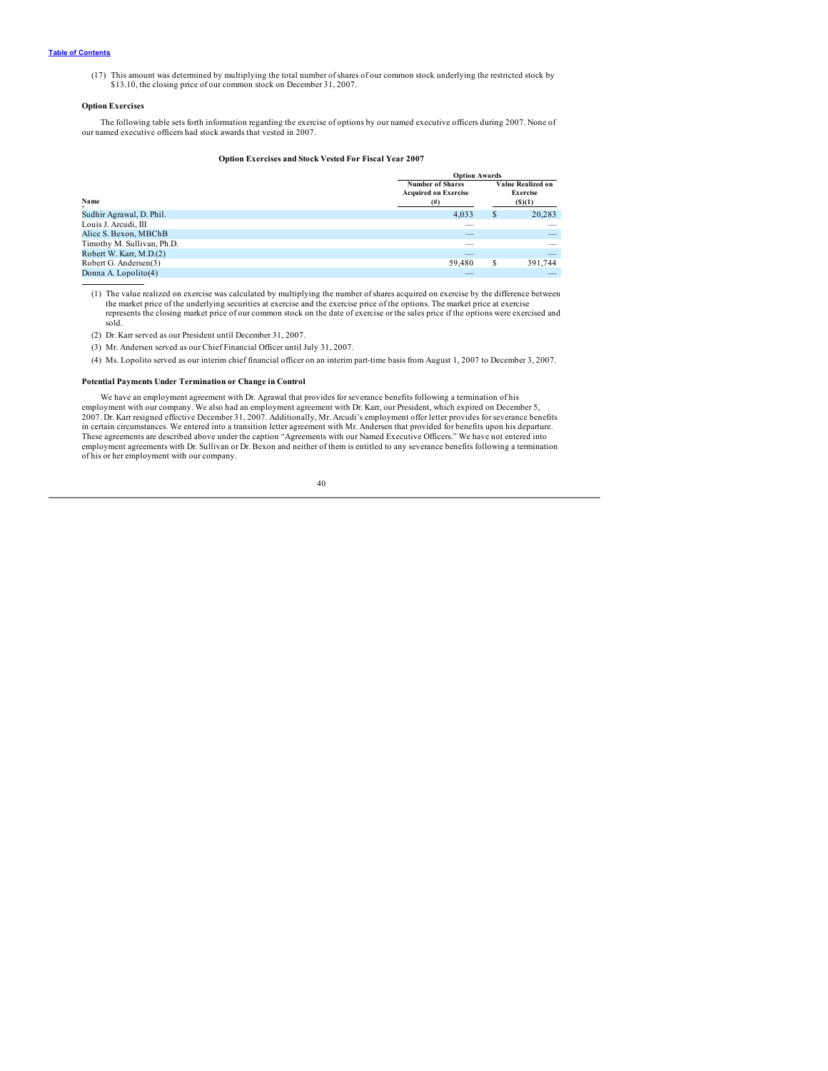<span id="page-42-0"></span>(17) This amount was determined by multiplying the total number of shares of our common stock underlying the restricted stock by \$13.10, the closing price of our common stock on December 31, 2007.

### **Option Exercises**

The following table sets forth information regarding the exercise of options by our named executive officers during 2007. None of our named executive officers had stock awards that vested in 2007.

### **Option Exercises and Stock Vested For Fiscal Year 2007**

|                            |                                                                    | <b>Option Awards</b>                                 |                          |  |  |  |
|----------------------------|--------------------------------------------------------------------|------------------------------------------------------|--------------------------|--|--|--|
| Name                       | <b>Number of Shares</b><br><b>Acquired on Exercise</b><br>$^{(#)}$ | Value Realized on<br><b>Exercise</b><br>$($ S) $(1)$ |                          |  |  |  |
| Sudhir Agrawal, D. Phil.   | 4.033                                                              | \$                                                   | 20,283                   |  |  |  |
| Louis J. Arcudi, III       | __                                                                 |                                                      |                          |  |  |  |
| Alice S. Bexon, MBChB      | $\overline{\phantom{a}}$                                           |                                                      | $-$                      |  |  |  |
| Timothy M. Sullivan, Ph.D. | $\overline{\phantom{a}}$                                           |                                                      |                          |  |  |  |
| Robert W. Karr, M.D.(2)    | $\overline{\phantom{a}}$                                           |                                                      | $\overline{\phantom{a}}$ |  |  |  |
| Robert G. Andersen(3)      | 59,480                                                             | \$                                                   | 391,744                  |  |  |  |
| Donna A. Lopolito(4)       |                                                                    |                                                      |                          |  |  |  |

(1) The value realized on exercise was calculated by multiplying the number of shares acquired on exercise by the difference between the market price of the underlying securities at exercise and the exercise price of the options. The market price at exercise represents the closing market price of our common stock on the date of exercise or the sales price if the options were exercised and sold.

(2) Dr. Karr served as our President until December 31, 2007.

(3) Mr. Andersen served as our Chief Financial Officer until July 31, 2007.

(4) Ms. Lopolito served as our interim chief financial officer on an interim part-time basis from August 1, 2007 to December 3, 2007.

### **Potential Payments Under Termination or Change in Control**

We have an employment agreement with Dr. Agrawal that provides for severance benefits following a termination of his<br>employment with our company. We also had an employment agreement with Dr. Karr, our President, which expi 2007. Dr. Karr resigned effective December 31, 2007. Additionally, Mr. Arcudi's employment offer letter provides for severance benefits in certain circumstances. We entered into a transition letter agreement with Mr. Andersen that provided for benefits upon his departure.<br>These agreements are described above under the caption "Agreements with our Named Exe employment agreements with Dr. Sullivan or Dr. Bexon and neither of them is entitled to any severance benefits following a termination of his or her employment with our company.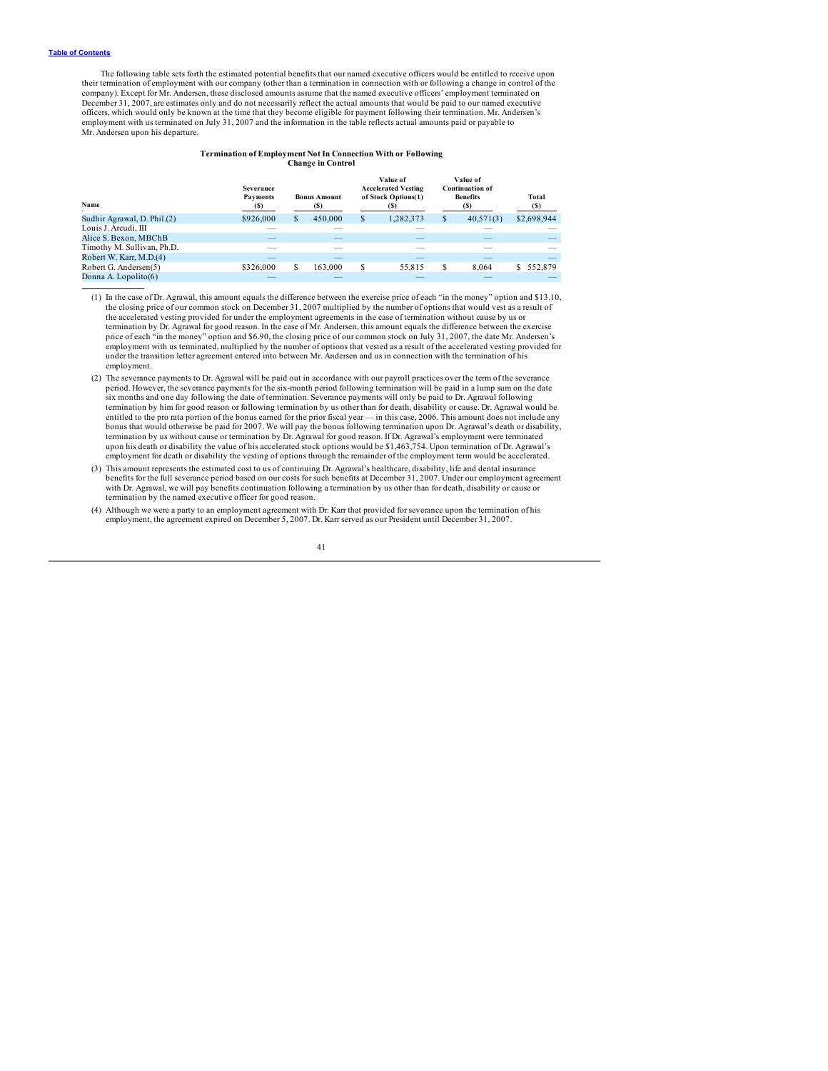The following table sets forth the estimated potential benefits that our named executive officers would be entitled to receive upon their termination of employment with our company (other than a termination in connection with or following a change in control of the company). Except for Mr. Andersen, these disclosed amounts assume that the named executive officers' employment terminated on December 31, 2007, are estimates only and do not necessarily reflect the actual amounts that would be paid to our named executive officers, which would only be known at the time that they become eligible for payment following their termination. Mr. Andersen's employment with us terminated on July 31, 2007 and the information in the table reflects actual amounts paid or payable to<br>Mr. Andersen upon his departure.

### **Termination of Employment Not In Connection With or Following Change in Control**

| Name                        | Severance<br>Payments<br>(S) | <b>Bonus Amount</b><br>(S) |    | Value of<br><b>Accelerated Vesting</b><br>of Stock Options(1) |    | Value of<br><b>Continuation of</b><br><b>Benefits</b><br>(S) | Total<br>(S)             |
|-----------------------------|------------------------------|----------------------------|----|---------------------------------------------------------------|----|--------------------------------------------------------------|--------------------------|
| Sudhir Agrawal, D. Phil.(2) | \$926,000                    | \$<br>450,000              | S  | 1,282,373                                                     | \$ | 40,571(3)                                                    | \$2,698,944              |
| Louis J. Arcudi, III        | __                           |                            |    | $\sim$                                                        |    |                                                              |                          |
| Alice S. Bexon, MBChB       | _                            | $-$                        |    | $\overline{\phantom{a}}$                                      |    |                                                              | $\overline{\phantom{a}}$ |
| Timothy M. Sullivan, Ph.D.  | -                            | __                         |    | $\overline{\phantom{a}}$                                      |    |                                                              |                          |
| Robert W. Karr, M.D.(4)     | $\overline{\phantom{a}}$     | __                         |    | $\overline{\phantom{a}}$                                      |    | _                                                            | $\overline{\phantom{a}}$ |
| Robert G. Andersen(5)       | \$326,000                    | 163,000                    | \$ | 55,815                                                        | S  | 8.064                                                        | 552,879                  |
| Donna A. Lopolito(6)        |                              |                            |    |                                                               |    |                                                              |                          |

(1) In the case of Dr. Agrawal, this amount equals the difference between the exercise price of each "in the money" option and \$13.10, the closing price of our common stock on December 31, 2007 multiplied by the number of options that would vest as a result of the accelerated vesting provided for under the employment agreements in the case of termination without cause by us or termination by Dr. Agrawal for good reason. In the case of Mr. Andersen, this amount equals the difference between the exercise price of each "in the money" option and \$6.90, the closing price of our common stock on July 31, 2007, the date Mr. Andersen's<br>employment with us terminated, multiplied by the number of options that vested as a result of t under the transition letter agreement entered into between Mr. Andersen and us in connection with the termination of his employment.

- (2) The severance payments to Dr. Agrawal will be paid out in accordance with our payroll practices over the term of the severance period. However, the severance payments for the six-month period following termination will be paid in a lump sum on the date six months and one day following the date of termination. Severance payments will only be paid to Dr. Agrawal following<br>termination by him for good reason or following termination by us other than for death, disability or entitled to the pro rata portion of the bonus earned for the prior fiscal year — in this case, 2006. This amount does not include any bonus that would otherwise be paid for 2007. We will pay the bonus following termination upon Dr. Agrawal's death or disability,<br>termination by us without cause or termination by Dr. Agrawal for good reason. If Dr. Agrawal upon his death or disability the value of his accelerated stock options would be \$1,463,754. Upon termination of Dr. Agrawal's employment for death or disability the vesting of options through the remainder of the employment term would be accelerated.
- (3) This amount represents the estimated cost to us of continuing Dr. Agrawal's healthcare, disability, life and dental insurance<br>benefits for the full severance period based on our costs for such benefits at December 31, with Dr. Agrawal, we will pay benefits continuation following a termination by us other than for death, disability or cause or termination by the named executive officer for good reason.
- (4) Although we were a party to an employment agreement with Dr. Karr that provided for severance upon the termination of his employment, the agreement expired on December 5, 2007. Dr. Karr served as our President until December 31, 2007.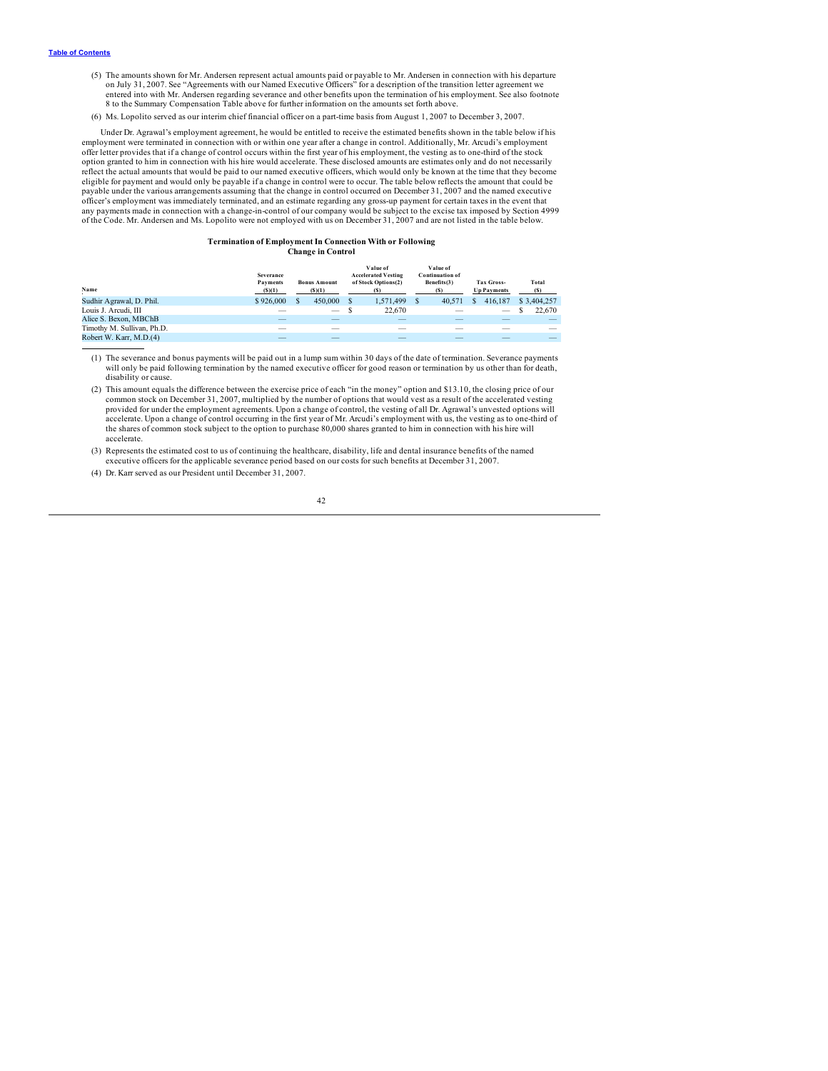- (5) The amounts shown for Mr. Andersen represent actual amounts paid or payable to Mr. Andersen in connection with his departure on July 31, 2007. See "Agreements with our Named Executive Officers" for a description of the transition letter agreement we entered into with Mr. Andersen regarding severance and other benefits upon the termination of his employment. See also footnote 8 to the Summary Compensation Table above for further information on the amounts set forth above.
- (6) Ms. Lopolito served as our interim chief financial officer on a part-time basis from August 1, 2007 to December 3, 2007.

Under Dr. Agrawal's employment agreement, he would be entitled to receive the estimated benefits shown in the table below if his employment were terminated in connection with or within one year after a change in control. Additionally, Mr. Arcudi's employment offer letter provides that if a change of control occurs within the first year of his employment, the vesting as to one-third of the stock option granted to him in connection with his hire would accelerate. These disclosed amounts are estimates only and do not necessarily<br>reflect the actual amounts that would be paid to our named executive officers, which wou eligible for payment and would only be payable if a change in control were to occur. The table below reflects the amount that could be payable under the various arrangements assuming that the change in control occurred on December 31, 2007 and the named executive officer's employment was immediately terminated, and an estimate regarding any gross-up payment for certain taxes in the event that any payments made in connection with a change-in-control of our company would be subject to the excise tax imposed by Section 4999 of the Code. Mr. Andersen and Ms. Lopolito were not employed with us on December 31, 2007 and are not listed in the table below.

#### **Termination of Employment In Connection With or Following Change in Control**

| Name                       | <b>Severance</b><br>Payments<br>(S)(1) | <b>Bonus Amount</b><br>(S)(1) | Value of<br><b>Accelerated Vesting</b><br>of Stock Options(2) | Value of<br><b>Continuation of</b><br>Benefits(3)<br>(S) | <b>Tax Gross-</b><br><b>Up Payments</b>                                      | Total<br>(S) |
|----------------------------|----------------------------------------|-------------------------------|---------------------------------------------------------------|----------------------------------------------------------|------------------------------------------------------------------------------|--------------|
| Sudhir Agrawal, D. Phil.   | \$926,000                              | 450,000                       | 1.571.499                                                     | 40.571                                                   | 416.187                                                                      | \$3,404,257  |
| Louis J. Arcudi, III       |                                        |                               | 22,670                                                        | $\overline{\phantom{a}}$                                 | $\hspace{0.1in} \hspace{0.1in} \hspace{0.1in} \hspace{0.1in} \hspace{0.1in}$ | 22,670       |
| Alice S. Bexon, MBChB      |                                        |                               |                                                               |                                                          |                                                                              |              |
| Timothy M. Sullivan, Ph.D. |                                        | __                            | __                                                            | __                                                       |                                                                              |              |
| Robert W. Karr, M.D.(4)    |                                        |                               |                                                               |                                                          |                                                                              |              |

(1) The severance and bonus payments will be paid out in a lump sum within 30 days of the date of termination. Severance payments will only be paid following termination by the named executive officer for good reason or termination by us other than for death, disability or cause.

(3) Represents the estimated cost to us of continuing the healthcare, disability, life and dental insurance benefits of the named executive officers for the applicable severance period based on our costs for such benefits at December 31, 2007.

(4) Dr. Karr served as our President until December 31, 2007.

<sup>(2)</sup> This amount equals the difference between the exercise price of each "in the money" option and \$13.10, the closing price of our common stock on December 31, 2007, multiplied by the number of options that would vest as a result of the accelerated vesting provided for under the employment agreements. Upon a change of control, the vesting of all Dr. Agrawal's unvested options will accelerate. Upon a change of control occurring in the first year of Mr. Arcudi's employment with us, the vesting as to one-third of the shares of common stock subject to the option to purchase 80,000 shares granted to him in connection with his hire will accelerate.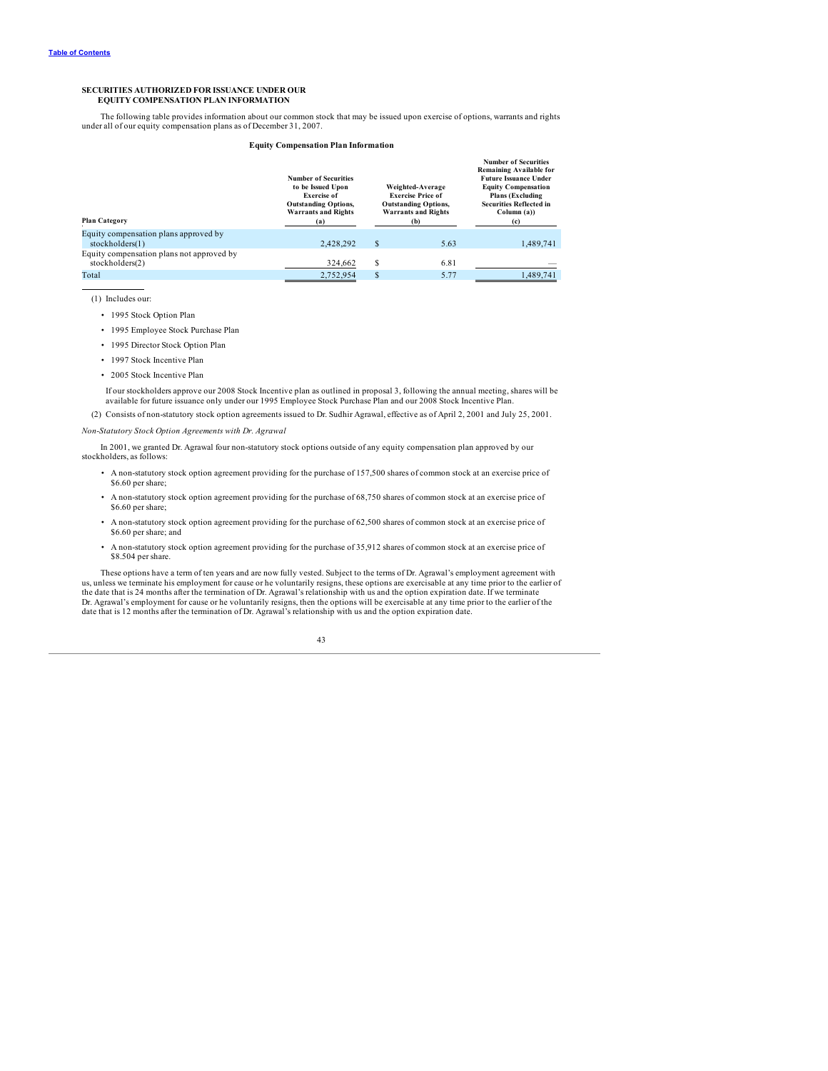### <span id="page-45-0"></span>**SECURITIES AUTHORIZED FOR ISSUANCE UNDER OUR EQUITY COMPENSATION PLAN INFORMATION**

The following table provides information about our common stock that may be issued upon exercise of options, warrants and rights under all of our equity compensation plans as of December 31, 2007.

#### **Equity Compensation Plan Information**

| <b>Plan Category</b>                                         | <b>Number of Securities</b><br>to be Issued Upon<br><b>Exercise of</b><br><b>Outstanding Options,</b><br><b>Warrants and Rights</b><br>(a) | Weighted-Average<br><b>Exercise Price of</b><br><b>Outstanding Options,</b><br><b>Warrants and Rights</b><br>(b) |      | <b>Number of Securities</b><br>Remaining Available for<br><b>Future Issuance Under</b><br><b>Equity Compensation</b><br><b>Plans</b> (Excluding<br><b>Securities Reflected in</b><br>Column(a)<br>(c) |
|--------------------------------------------------------------|--------------------------------------------------------------------------------------------------------------------------------------------|------------------------------------------------------------------------------------------------------------------|------|-------------------------------------------------------------------------------------------------------------------------------------------------------------------------------------------------------|
| Equity compensation plans approved by<br>stockholders(1)     | 2.428.292                                                                                                                                  | $\mathbf{s}$                                                                                                     | 5.63 | 1,489,741                                                                                                                                                                                             |
| Equity compensation plans not approved by<br>stockholders(2) | 324.662                                                                                                                                    | S                                                                                                                | 6.81 |                                                                                                                                                                                                       |
| Total                                                        | 2,752,954                                                                                                                                  | \$                                                                                                               | 5.77 | 1.489.741                                                                                                                                                                                             |

(1) Includes our:

- 1995 Stock Option Plan
- 1995 Employee Stock Purchase Plan
- 1995 Director Stock Option Plan
- 1997 Stock Incentive Plan
- 2005 Stock Incentive Plan

If our stockholders approve our 2008 Stock Incentive plan as outlined in proposal 3, following the annual meeting, shares will be<br>available for future issuance only under our 1995 Employee Stock Purchase Plan and our 2008

(2) Consists of non-statutory stock option agreements issued to Dr. Sudhir Agrawal, effective as of April 2, 2001 and July 25, 2001.

*Non-Statutory Stock Option Agreements with Dr. Agrawal*

In 2001, we granted Dr. Agrawal four non-statutory stock options outside of any equity compensation plan approved by our stockholders, as follows:

- A non-statutory stock option agreement providing for the purchase of 157,500 shares of common stock at an exercise price of \$6.60 per share:
- A non-statutory stock option agreement providing for the purchase of 68,750 shares of common stock at an exercise price of \$6.60 per share;
- A non-statutory stock option agreement providing for the purchase of 62,500 shares of common stock at an exercise price of \$6.60 per share; and
- A non-statutory stock option agreement providing for the purchase of 35,912 shares of common stock at an exercise price of \$8.504 per share.

These options have a term of ten years and are now fully vested. Subject to the terms of Dr. Agrawal's employment agreement with us, unless we terminate his employment for cause or he voluntarily resigns, these options are the date that is 24 months after the termination of Dr. Agrawal's relationship with us and the option expiration date. If we terminate Dr. Agrawal's employment for cause or he voluntarily resigns, then the options will be exercisable at any time prior to the earlier of the date that is 12 months after the termination of Dr. Agrawal's relationship with us and the option expiration date.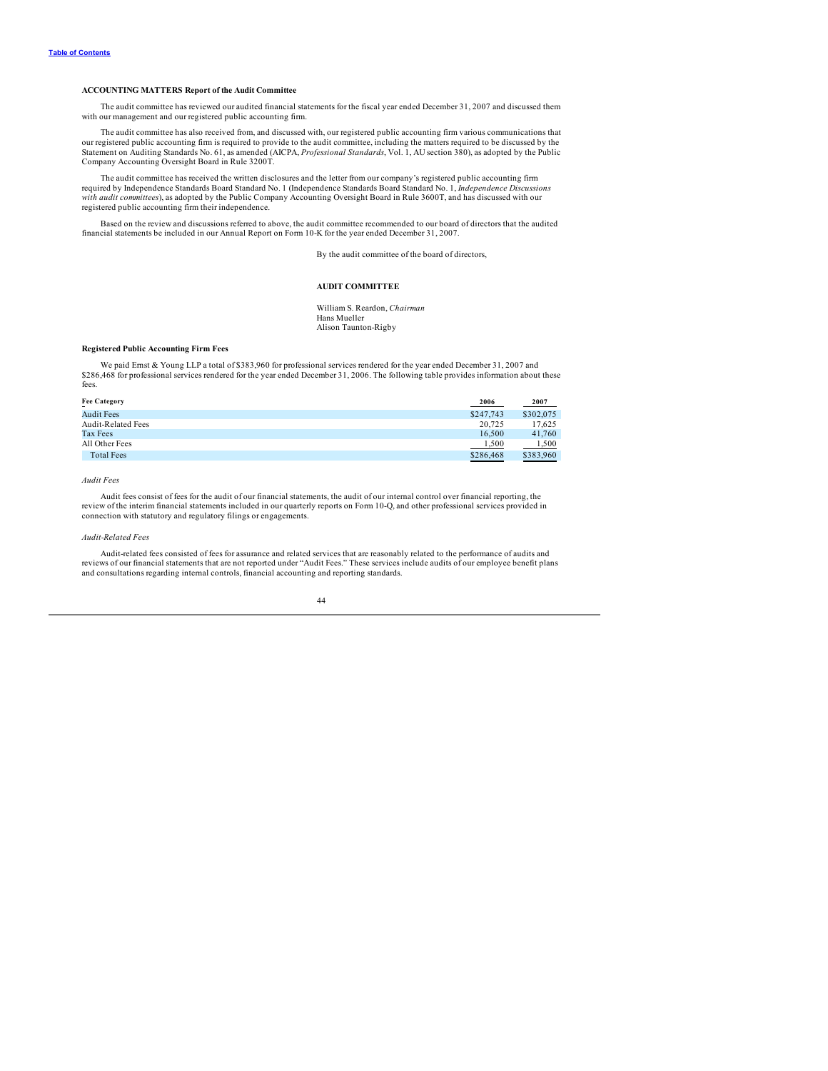### <span id="page-46-0"></span>**ACCOUNTING MATTERS Report of the Audit Committee**

The audit committee has reviewed our audited financial statements for the fiscal year ended December 31, 2007 and discussed them with our management and our registered public accounting firm.

The audit committee has also received from, and discussed with, our registered public accounting firm various communications that<br>our registered public accounting firm is required to provide to the audit committee, includi Statement on Auditing Standards No. 61, as amended (AICPA, *Professional Standards*, Vol. 1, AU section 380), as adopted by the Public Company Accounting Oversight Board in Rule 3200T.

The audit committee has received the written disclosures and the letter from our company's registered public accounting firm required by Independence Standards Board Standard No. 1 (Independence Standards Board Standard No. 1, *Independence Discussions with audit committees*), as adopted by the Public Company Accounting Oversight Board in Rule 3600T, and has discussed with our registered public accounting firm their independence.

Based on the review and discussions referred to above, the audit committee recommended to our board of directors that the audited financial statements be included in our Annual Report on Form 10-K for the year ended December 31, 2007.

By the audit committee of the board of directors,

### **AUDIT COMMITTEE**

William S. Reardon, *Chairman* Hans Mueller Alison Taunton-Rigby

### **Registered Public Accounting Firm Fees**

We paid Emst & Young LLP a total of \$383,960 for professional services rendered for the year ended December 31, 2007 and<br>\$286,468 for professional services rendered for the year ended December 31, 2006. The following table fees.

| <b>Fee Category</b><br>2006<br>-    | 2007                       |
|-------------------------------------|----------------------------|
| <b>Audit Fees</b><br>\$247,743      | \$302,075                  |
| <b>Audit-Related Fees</b><br>20.725 | 17.625                     |
| Tax Fees<br>16.500                  | 41,760                     |
| All Other Fees<br>1.500             | 1.500                      |
| <b>Total Fees</b><br>\$286,468      | \$383,960<br>$\sim$ $\sim$ |

*Audit Fees*

Audit fees consist of fees for the audit of our financial statements, the audit of our internal control over financial reporting, the review of the interim financial statements included in our quarterly reports on Form 10-Q, and other professional services provided in connection with statutory and regulatory filings or engagements.

*Audit-Related Fees*

Audit-related fees consisted of fees for assurance and related services that are reasonably related to the performance of audits and reviews of our financial statements that are not reported under "Audit Fees." These services include audits of our employee benefit plans and consultations regarding internal controls, financial accounting and reporting standards.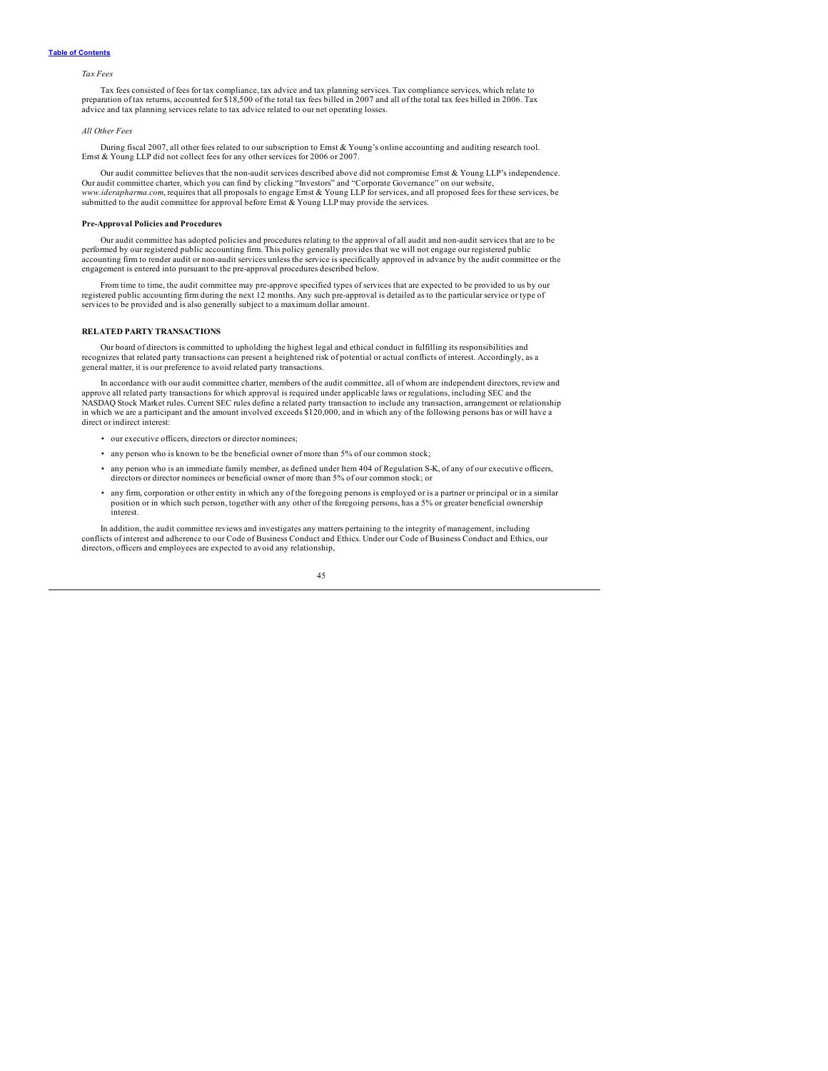### <span id="page-47-0"></span>*Tax Fees*

Tax fees consisted of fees for tax compliance, tax advice and tax planning services. Tax compliance services, which relate to<br>preparation of tax returns, accounted for \$18,500 of the total tax fees billed in 2007 and all o advice and tax planning services relate to tax advice related to our net operating losses.

#### *All Other Fees*

During fiscal 2007, all other fees related to our subscription to Ernst & Young's online accounting and auditing research tool. Ernst & Young LLP did not collect fees for any other services for 2006 or 2007.

Our audit committee believes that the non-audit services described above did not compromise Ernst & Young LLP's independence. Our audit committee charter, which you can find by clicking "Investors" and "Corporate Governance" on our website, *www.iderapharma.com*, requires that all proposals to engage Ernst & Young LLP for services, and all proposed fees for these services, be submitted to the audit committee for approval before Ernst & Young LLP may provide the services.

### **Pre-Approval Policies and Procedures**

Our audit committee has adopted policies and procedures relating to the approval of all audit and non-audit services that are to be performed by our registered public accounting firm. This policy generally provides that we will not engage our registered public accounting firm to render audit or non-audit services unless the service is specifically approved in advance by the audit committee or the engagement is entered into pursuant to the pre-approval procedures described below.

From time to time, the audit committee may pre-approve specified types of services that are expected to be provided to us by our registered public accounting firm during the next 12 months. Any such pre-approval is detailed as to the particular service or type of services to be provided and is also generally subject to a maximum dollar amount.

#### **RELATED PARTY TRANSACTIONS**

Our board of directors is committed to upholding the highest legal and ethical conduct in fulfilling its responsibilities and recognizes that related party transactions can present a heightened risk of potential or actual conflicts of interest. Accordingly, as a general matter, it is our preference to avoid related party transactions.

In accordance with our audit committee charter, members of the audit committee, all of whom are independent directors, review and approve all related party transactions for which approval is required under applicable laws or regulations, including SEC and the approval is required under applicable laws or regulations, including SEC and the NASDAQ Stock Market rules. Current SEC rules define a related party transaction to include any transaction, arrangement or relationship in which we are a participant and the amount involved exceeds \$120,000, and in which any of the following persons has or will have a direct or indirect interest:

- our executive officers, directors or director nominees;
- any person who is known to be the beneficial owner of more than 5% of our common stock;
- any person who is an immediate family member, as defined under Item 404 of Regulation S-K, of any of our executive officers, directors or director nominees or beneficial owner of more than 5% of our common stock; or
- any firm, corporation or other entity in which any of the foregoing persons is employed or is a partner or principal or in a similar position or in which such person, together with any other of the foregoing persons, has a 5% or greater beneficial ownership interest.

In addition, the audit committee reviews and investigates any matters pertaining to the integrity of management, including conflicts of interest and adherence to our Code of Business Conduct and Ethics. Under our Code of Business Conduct and Ethics, our directors, officers and employees are expected to avoid any relationship,

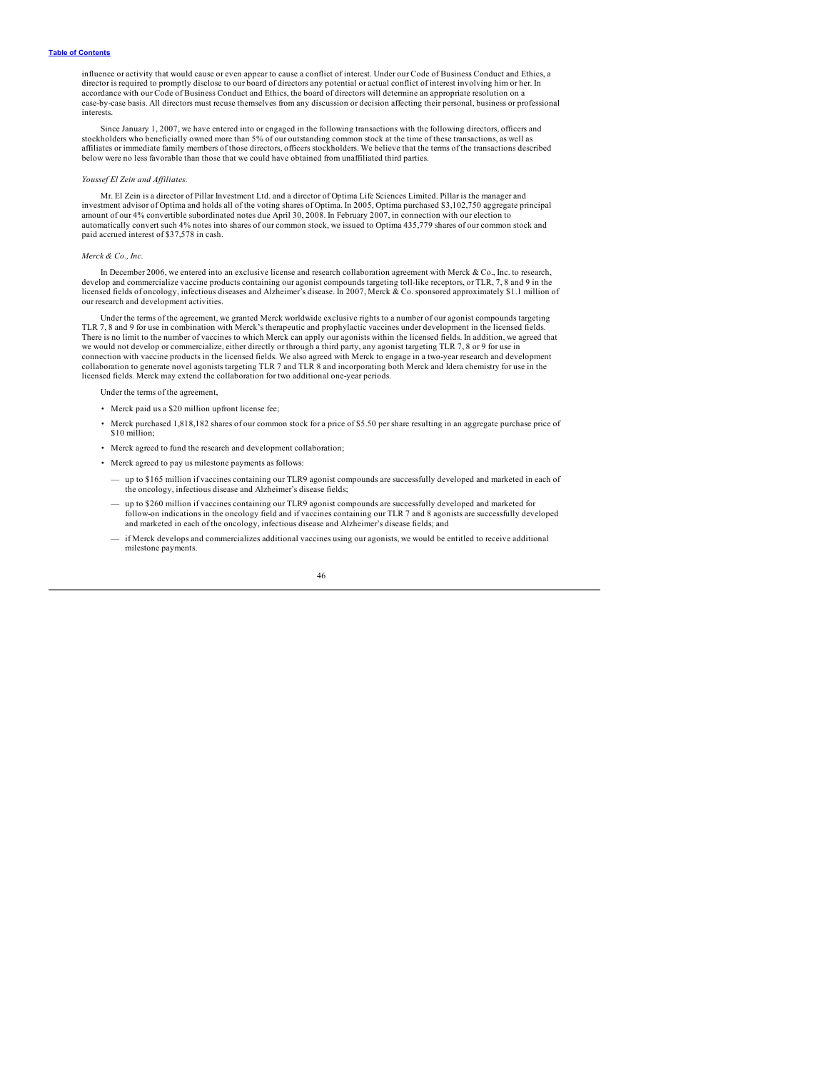influence or activity that would cause or even appear to cause a conflict of interest. Under our Code of Business Conduct and Ethics, a director is required to promptly disclose to our board of directors any potential or actual conflict of interest involving him or her. In<br>accordance with our Code of Business Conduct and Ethics, the board of directors will case-by-case basis. All directors must recuse themselves from any discussion or decision affecting their personal, business or professional interests.

Since January 1, 2007, we have entered into or engaged in the following transactions with the following directors, officers and stockholders who beneficially owned more than 5% of our outstanding common stock at the time of these transactions, as well as<br>affiliates or immediate family members of those directors, officers stockholders. We believe th below were no less favorable than those that we could have obtained from unaffiliated third parties.

#### *Youssef El Zein and Af iliates.*

Mr. El Zein is a director of Pillar Investment Ltd. and a director of Optima Life Sciences Limited. Pillar is the manager and investment advisor of Optima and holds all of the voting shares of Optima. In 2005, Optima purchased \$3,102,750 aggregate principal amount of our 4% convertible subordinated notes due April 30, 2008. In February 2007, in connection with our election to automatically convert such 4% notes into shares of our common stock, we issued to Optima 435,779 shares of our common stock and paid accrued interest of \$37,578 in cash.

#### *Merck & Co., Inc.*

In December 2006, we entered into an exclusive license and research collaboration agreement with Merck & Co., Inc. to research, develop and commercialize vaccine products containing our agonist compounds targeting toll-like receptors, or TLR, 7, 8 and 9 in the licensed fields of oncology, infectious diseases and Alzheimer's disease. In 2007, Merck & Co. sponsored approximately \$1.1 million of our research and development activities.

Under the terms of the agreement, we granted Merck worldwide exclusive rights to a number of our agonist compounds targeting TLR 7, 8 and 9 for use in combination with Merck's therapeutic and prophylactic vaccines under development in the licensed fields. There is no limit to the number of vaccines to which Merck can apply our agonists within the licensed fields. In addition, we agreed that<br>we would not develop or commercialize, either directly or through a third party, any connection with vaccine products in the licensed fields. We also agreed with Merck to engage in a two-year research and development collaboration to generate novel agonists targeting TLR 7 and TLR 8 and incorporating both Merck and Idera chemistry for use in the licensed fields. Merck may extend the collaboration for two additional one-year periods.

nder the terms of the agreement

- Merck paid us a \$20 million upfront license fee;
- Merck purchased 1,818,182 shares of our common stock for a price of \$5.50 per share resulting in an aggregate purchase price of \$10 million;
- Merck agreed to fund the research and development collaboration;
- Merck agreed to pay us milestone payments as follows:
	- up to \$165 million if vaccines containing our TLR9 agonist compounds are successfully developed and marketed in each of the oncology, infectious disease and Alzheimer's disease fields;
	- up to \$260 million if vaccines containing our TLR9 agonist compounds are successfully developed and marketed for<br>follow-on indications in the oncology field and if vaccines containing our TLR 7 and 8 agonists are success and marketed in each of the oncology, infectious disease and Alzheimer's disease fields; and
	- if Merck develops and commercializes additional vaccines using our agonists, we would be entitled to receive additional milestone payments.

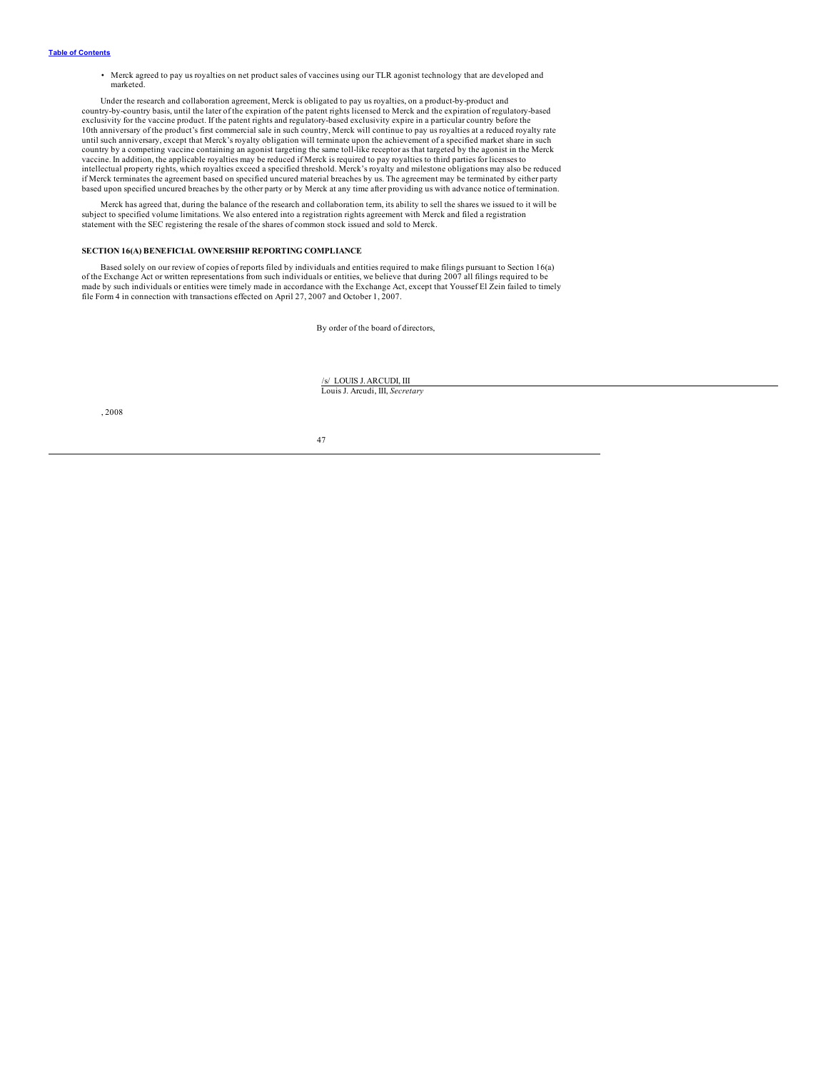<span id="page-49-0"></span>• Merck agreed to pay us royalties on net product sales of vaccines using our TLR agonist technology that are developed and marketed.

Under the research and collaboration agreement, Merck is obligated to pay us royalties, on a product-by-product and country-by-country basis, until the later of the expiration of the patent rights licensed to Merck and the expiration of regulatory-based exclusivity for the vaccine product. If the patent rights and regulatory-based exclusivity expire in a particular country before the 10th anniversary of the product's first commercial sale in such country, Merck will continue to pay us royalties at a reduced royalty rate<br>until such anniversary, except that Merck's royalty obligation will terminate upon country by a competing vaccine containing an agonist targeting the same toll-like receptor as that targeted by the agonist in the Merck vaccine. In addition, the applicable royalties may be reduced if Merck is required to pay royalties to third parties for licenses to intellectual property rights, which royalties exceed a specified threshold. Merck's royalty and milestone obligations may also be reduced<br>if Merck terminates the agreement based on specified uncured material breaches by us based upon specified uncured breaches by the other party or by Merck at any time after providing us with advance notice of termination.

Merck has agreed that, during the balance of the research and collaboration term, its ability to sell the shares we issued to it will be subject to specified volume limitations. We also entered into a registration rights a statement with the SEC registering the resale of the shares of common stock issued and sold to Merck.

### **SECTION 16(A) BENEFICIAL OWNERSHIP REPORTING COMPLIANCE**

Based solely on our review of copies of reports filed by individuals and entities required to make filings pursuant to Section 16(a) of the Exchange Act or written representations from such individuals or entities, we believe that during 2007 all filings required to be<br>made by such individuals or entities were timely made in accordance with the Exchange file Form 4 in connection with transactions effected on April 27, 2007 and October 1, 2007.

By order of the board of directors,

/s/ LOUIS J.ARCUDI, III Louis J. Arcudi, III, *Secretary*

, 2008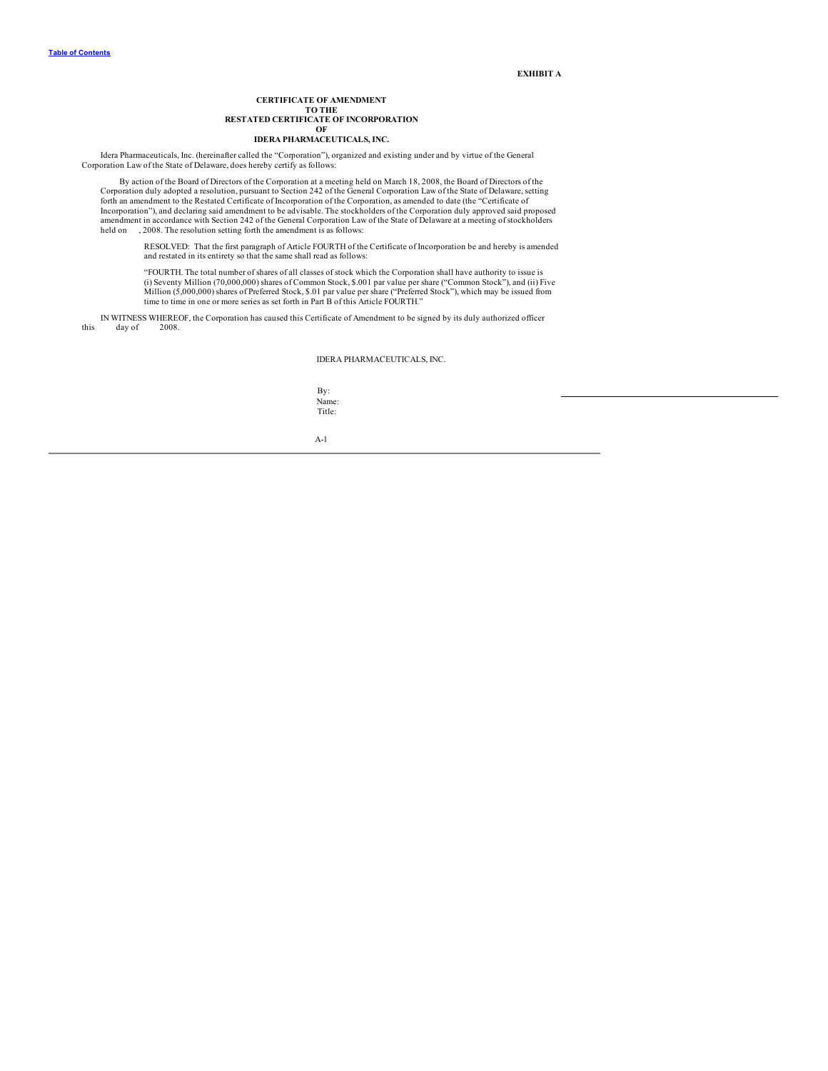**EXHIBIT A**

#### **CERTIFICATE OF AMENDMENT TO THE RESTATED CERTIFICATE OF INCORPORATION OF IDERA PHARMACEUTICALS, INC.**

Idera Pharmaceuticals, Inc. (hereinafter called the "Corporation"), organized and existing under and by virtue of the General Corporation Law of the State of Delaware, does hereby certify as follows:

By action of the Board of Directors of the Corporation at a meeting held on March 18, 2008, the Board of Directors of the<br>Corporation duly adopted a resolution, pursuant to Section 242 of the General Corporation Law of the Incorporation"), and declaring said amendment to be advisable. The stockholders of the Corporation duly approved said proposed amendment in accordance with Section 242 of the General Corporation Law of the State of Delaware at a meeting of stockholders held on , 2008. The resolution setting forth the amendment is as follows:

RESOLVED: That the first paragraph of Article FOURTH of the Certificate of Incorporation be and hereby is amended and restated in its entirety so that the same shall read as follows:

"FOURTH. The total number of shares of all classes of stock which the Corporation shall have authority to issue is (i) Seventy Million (70,000,000) shares of Common Stock, \$.001 par value per share ("Common Stock"), and (ii) Five Million (5,000,000) shares of Preferred Stock, \$.01 par value per share ("Preferred Stock"), which may be issued from time to time in one or more series as set forth in Part B of this Article FOURTH."

IN WITNESS WHEREOF, the Corporation has caused this Certificate of Amendment to be signed by its duly authorized officer this day of

IDERA PHARMACEUTICALS, INC.

By: Name: Title:

A-1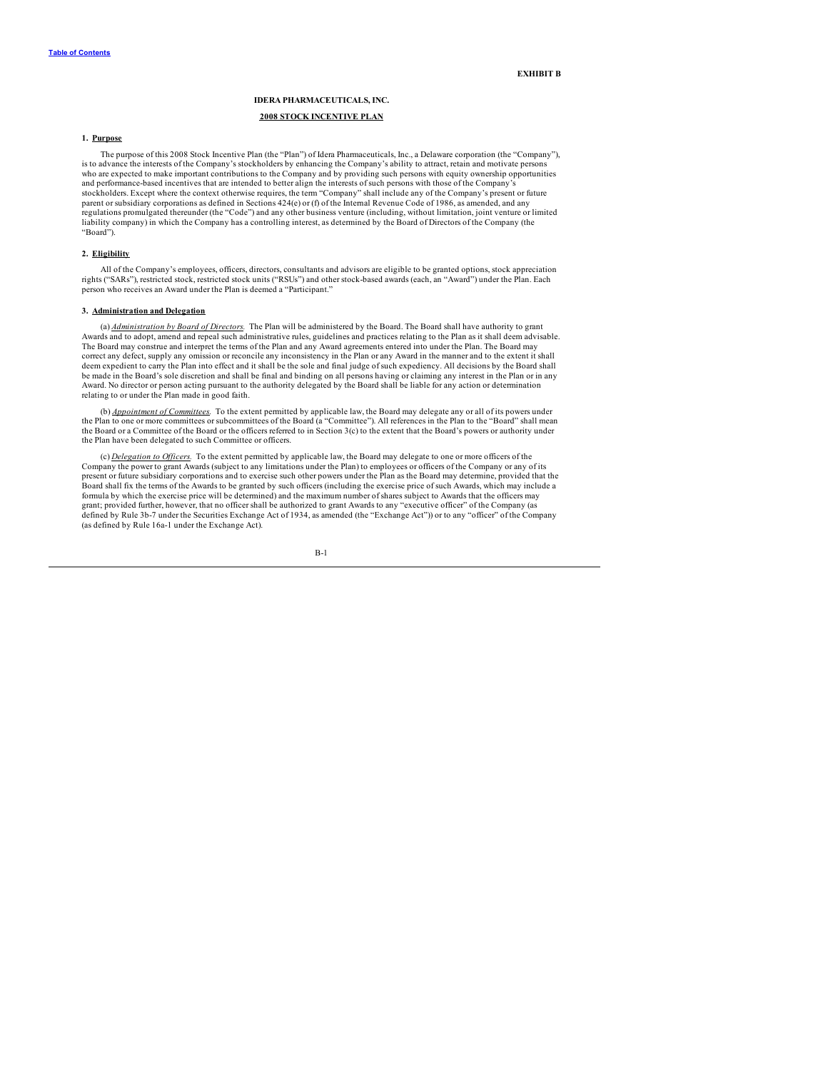**EXHIBIT B**

## **IDERA PHARMACEUTICALS, INC. 2008 STOCK INCENTIVE PLAN**

### **1. Purpose**

The purpose of this 2008 Stock Incentive Plan (the "Plan") of Idera Pharmaceuticals, Inc., a Delaware corporation (the "Company"), is to advance the interests of the Company's stockholders by enhancing the Company's ability to attract, retain and motivate persons who are expected to make important contributions to the Company and by providing such persons with equity ownership opportunities and performance-based incentives that are intended to better align the interests of such persons with those of the Company's stockholders. Except where the context otherwise requires, the term "Company" shall include any of the Company's present or future parent or subsidiary corporations as defined in Sections 424(e) or (f) of the Internal Revenue Code of 1986, as amended, and any regulations promulgated thereunder (the "Code") and any other business venture (including, without limitation, joint venture or limited liability company) in which the Company has a controlling interest, as determined by the Board of Directors of the Company (the "Board").

### **2. Eligibility**

All of the Company's employees, officers, directors, consultants and advisors are eligible to be granted options, stock appreciation<br>rights ("SARs"), restricted stock, restricted stock units ("RSUs") and other stock-based person who receives an Award under the Plan is deemed a "Participant."

### **3. Administration and Delegation**

(a) *Administration by Board of Directors.* The Plan will be administered by the Board. The Board shall have authority to grant Awards and to adopt, amend and repeal such administrative rules, guidelines and practices relating to the Plan as it shall deem advisable.<br>The Board may construe and interpret the terms of the Plan and any Award agreements correct any defect, supply any omission or reconcile any inconsistency in the Plan or any Award in the manner and to the extent it shall deem expedient to carry the Plan into effect and it shall be the sole and final judge of such expediency. All decisions by the Board shall<br>be made in the Board's sole discretion and shall be final and binding on all person Award. No director or person acting pursuant to the authority delegated by the Board shall be liable for any action or determination relating to or under the Plan made in good faith.

(b) *Appointment of Committees.* To the extent permitted by applicable law, the Board may delegate any or all of its powers under the Plan to one or more committees or subcommittees of the Board (a "Committee"). All references in the Plan to the "Board" shall mean the Board or a Committee of the Board or the officers referred to in Section 3(c) to the extent that the Board's powers or authority under the Plan have been delegated to such Committee or officers.

(c) *Delegation to Of icers.* To the extent permitted by applicable law, the Board may delegate to one or more officers of the Company the power to grant Awards (subject to any limitations under the Plan) to employees or officers of the Company or any of its<br>present or future subsidiary corporations and to exercise such other powers under the Plan Board shall fix the terms of the Awards to be granted by such officers (including the exercise price of such Awards, which may include a formula by which the exercise price will be determined) and the maximum number of shares subject to Awards that the officers may grant; provided further, however, that no officer shall be authorized to grant Awards to any "executive officer" of the Company (as defined by Rule 3b-7 under the Securities Exchange Act of 1934, as amended (the "Exchange Act")) or to any "officer" of the Company (as defined by Rule 16a-1 under the Exchange Act).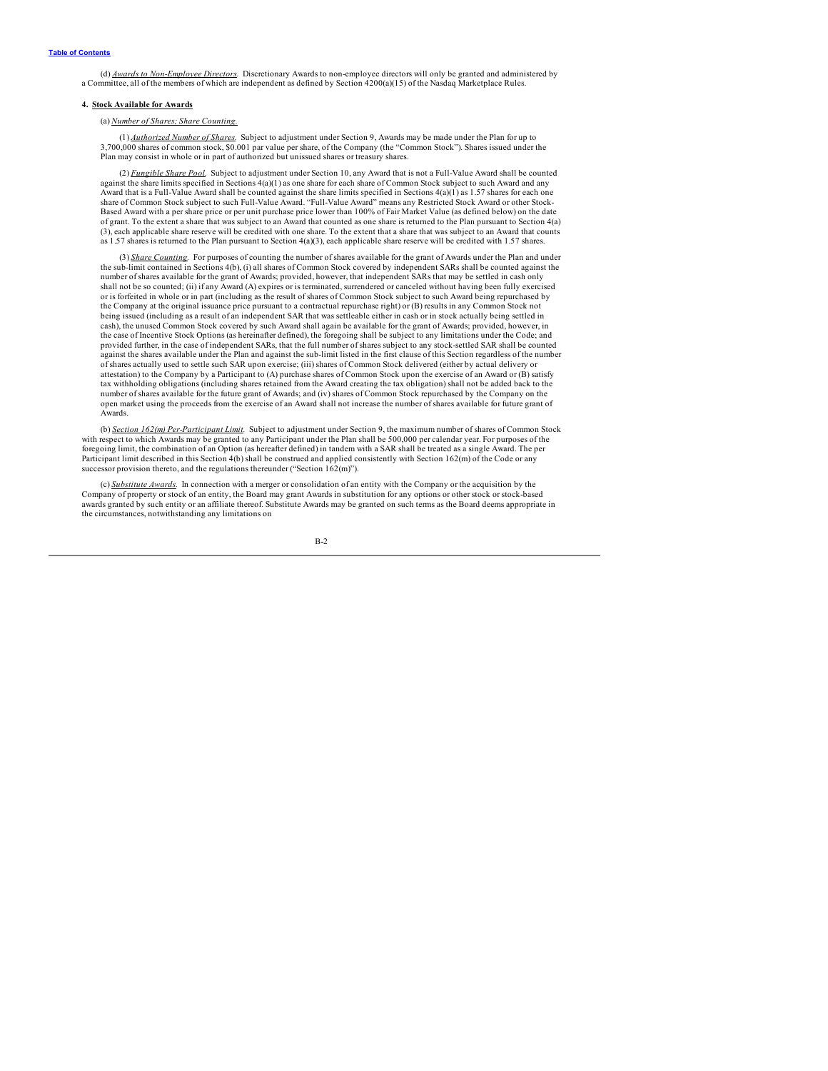(d) *Awards to Non-Employee Directors.* Discretionary Awards to non-employee directors will only be granted and administered by a Committee, all of the members of which are independent as defined by Section 4200(a)(15) of the Nasdaq Marketplace Rules.

### **4. Stock Available for Awards**

(a) *Number of Shares; Share Counting.*

(1) *Authorized Number of Shares.* Subject to adjustment under Section 9, Awards may be made under the Plan for up to 3,700,000 shares of common stock, \$0.001 par value per share, of the Company (the "Common Stock"). Shares issued under the Plan may consist in whole or in part of authorized but unissued shares or treasury shares.

(2) *Fungible Share Pool.* Subject to adjustment under Section 10, any Award that is not a Full-Value Award shall be counted against the share limits specified in Sections 4(a)(1) as one share for each share of Common Stock subject to such Award and any Award that is a Full-Value Award shall be counted against the share limits specified in Sections  $4(a)(1)$  as 1.57 shares for each one share of Common Stock subject to such Full-Value Award. "Full-Value Award" means any Restricted Stock Award or other Stock-Based Award with a per share price or per unit purchase price lower than 100% of Fair Market Value (as defined below) on the date of grant. To the extent a share that was subject to an Award that counted as one share is returned to the Plan pursuant to Section 4(a) (3), each applicable share reserve will be credited with one share. To the extent that a share that was subject to an Award that counts as 1.57 shares is returned to the Plan pursuant to Section 4(a)(3), each applicable share reserve will be credited with 1.57 shares.

(3) *Share Counting.* For purposes of counting the number of shares available for the grant of Awards under the Plan and under the sub-limit contained in Sections 4(b), (i) all shares of Common Stock covered by independent SARs shall be counted against the number of shares available for the grant of Awards; provided, however, that independent SARs that may be settled in cash only shall not be so counted; (ii) if any Award (A) expires or is terminated, surrendered or canceled without having been fully exercised or is forfeited in whole or in part (including as the result of shares of Common Stock subject to such Award being repurchased by the Company at the original issuance price pursuant to a contractual repurchase right) or (B) results in any Common Stock not being issued (including as a result of an independent SAR that was settleable either in cash or in stock actually being settled in cash), the unused Common Stock covered by such Award shall again be available for the grant of Awards; provided, however, in the case of Incentive Stock Options (as hereinafter defined), the foregoing shall be subject to any limitations under the Code; and provided further, in the case of independent SARs, that the full number of shares subject to any stock-settled SAR shall be counted against the shares available under the Plan and against the sub-limit listed in the first clause of this Section regardless of the number of shares actually used to settle such SAR upon exercise; (iii) shares of Common Stock delivered (either by actual delivery or attestation) to the Company by a Participant to (A) purchase shares of Common Stock upon the exercise of an Award or (B) satisfy tax withholding obligations (including shares retained from the Award creating the tax obligation) shall not be added back to the number of shares available for the future grant of Awards; and (iv) shares of Common Stock repurchased by the Company on the open market using the proceeds from the exercise of an Award shall not increase the number of shares available for future grant of Awards.

(b) *Section 162(m) Per-Participant Limit.* Subject to adjustment under Section 9, the maximum number of shares of Common Stock with respect to which Awards may be granted to any Participant under the Plan shall be 500,000 per calendar year. For purposes of the foregoing limit, the combination of an Option (as hereafter defined) in tandem with a SAR shall be treated as a single Award. The per Participant limit described in this Section 4(b) shall be construed and applied consistently with Section 162(m) of the Code or any successor provision thereto, and the regulations thereunder ("Section  $162(m)$ ").

(c) *Substitute Awards.* In connection with a merger or consolidation of an entity with the Company or the acquisition by the Company of property or stock of an entity, the Board may grant Awards in substitution for any options or other stock or stock-based<br>awards granted by such entity or an affiliate thereof. Substitute Awards may be granted on the circumstances, notwithstanding any limitations on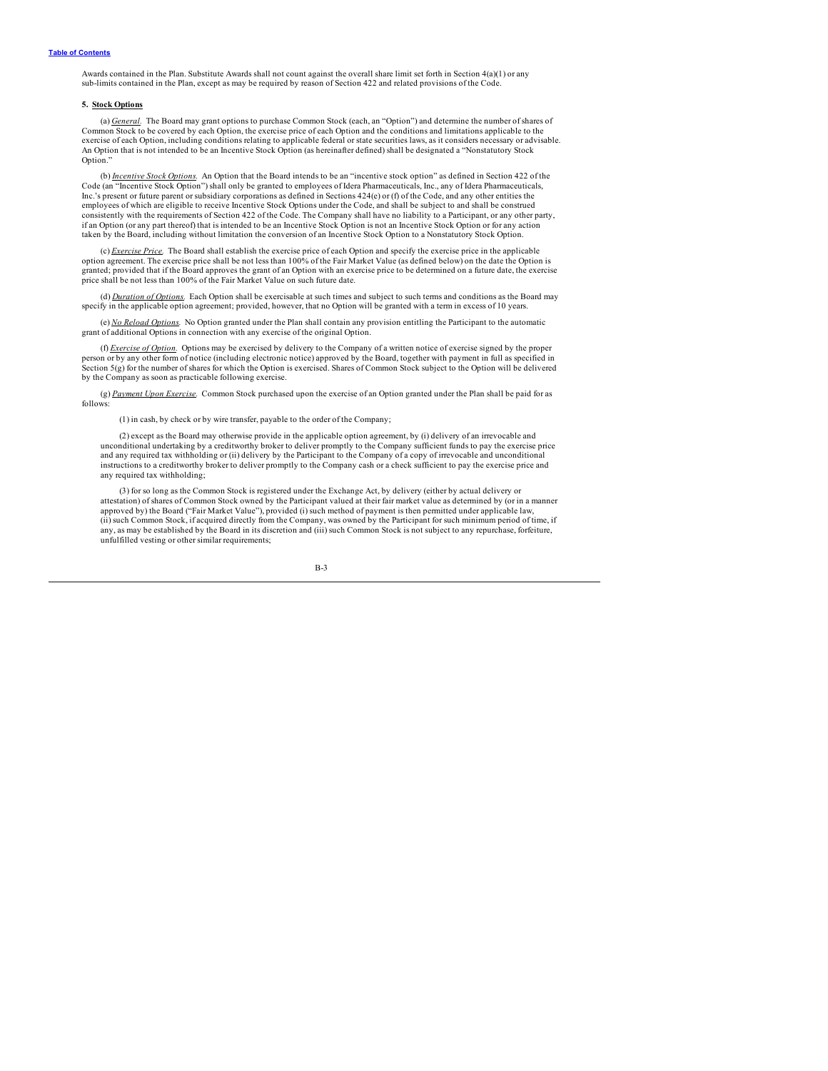Awards contained in the Plan. Substitute Awards shall not count against the overall share limit set forth in Section 4(a)(1) or any sub-limits contained in the Plan, except as may be required by reason of Section 422 and related provisions of the Code.

#### **5. Stock Options**

(a) *General.* The Board may grant options to purchase Common Stock (each, an "Option") and determine the number of shares of Common Stock to be covered by each Option, the exercise price of each Option and the conditions and limitations applicable to the<br>exercise of each Option, including conditions relating to applicable federal or state securi An Option that is not intended to be an Incentive Stock Option (as hereinafter defined) shall be designated a "Nonstatutory Stock Option."

(b) *Incentive Stock Options*. An Option that the Board intends to be an "incentive stock option" as defined in Section 422 of the Code (an "Incentive Stock Option") shall only be granted to employees of Idera Pharmaceutic Inc.'s present or future parent or subsidiary corporations as defined in Sections 424(e) or (f) of the Code, and any other entities the employees of which are eligible to receive Incentive Stock Options under the Code, and shall be subject to and shall be construed consistently with the requirements of Section 422 of the Code. The Company shall have no liability to a Participant, or any other party, if an Option (or any part thereof) that is intended to be an Incentive Stock Option is not an Incentive Stock Option or for any action taken by the Board, including without limitation the conversion of an Incentive Stock Option to a Nonstatutory Stock Option.

(c) *Exercise Price.* The Board shall establish the exercise price of each Option and specify the exercise price in the applicable option agreement. The exercise price shall be not less than 100% of the Fair Market Value (as defined below) on the date the Option is granted; provided that if the Board approves the grant of an Option with an exercise price to be determined on a future date, the exercise price shall be not less than 100% of the Fair Market Value on such future date.

(d) *Duration of Options.* Each Option shall be exercisable at such times and subject to such terms and conditions as the Board may specify in the applicable option agreement; provided, however, that no Option will be granted with a term in excess of 10 years.

(e)  $No$  Reload Options. No Option granted under the Plan shall contain any provision entitling the Participant to the automatic grant of additional Options in connection with any exercise of the original Option.

(f) *Exercise of Option.* Options may be exercised by delivery to the Company of a written notice of exercise signed by the proper person or by any other form of notice (including electronic notice) approved by the Board, together with payment in full as specified in<br>Section 5(g) for the number of shares for which the Option is exercised. Shares of Co by the Company as soon as practicable following exercise.

(g) *Payment Upon Exercise.* Common Stock purchased upon the exercise of an Option granted under the Plan shall be paid for as follows:

(1) in cash, by check or by wire transfer, payable to the order of the Company;

(2) except as the Board may otherwise provide in the applicable option agreement, by (i) delivery of an irrevocable and unconditional undertaking by a creditworthy broker to deliver promptly to the Company sufficient funds to pay the exercise price and any required tax withholding or (ii) delivery by the Participant to the Company of a copy of irrevocable and unconditional<br>instructions to a creditworthy broker to deliver promptly to the Company cash or a check suffic any required tax withholding;

(3) for so long as the Common Stock is registered under the Exchange Act, by delivery (either by actual delivery or attestation) of shares of Common Stock owned by the Participant valued at their fair market value as determined by (or in a manner approved by) the Board ("Fair Market Value"), provided (i) such method of payment is then permitted under applicable law, (ii) such Common Stock, if acquired directly from the Company, was owned by the Participant for such minimum period of time, if any, as may be established by the Board in its discretion and (iii) such Common Stock is not subject to any repurchase, forfeiture, unfulfilled vesting or other similar requirements;

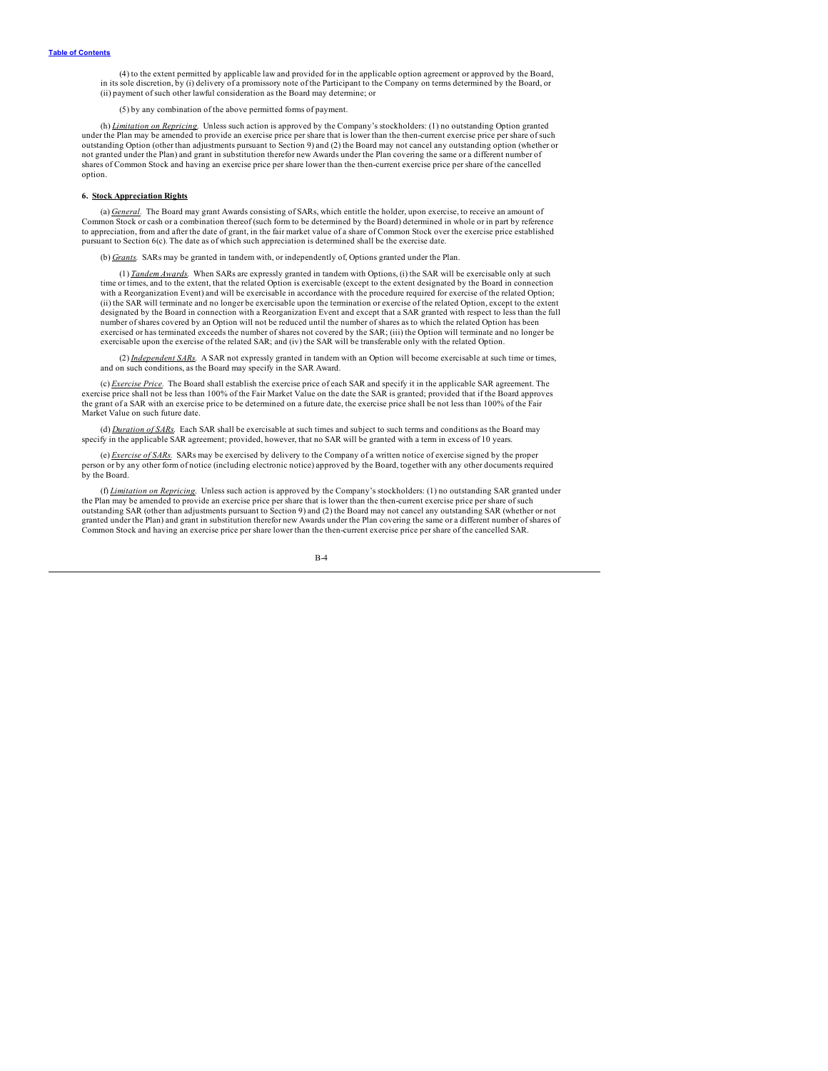(4) to the extent permitted by applicable law and provided for in the applicable option agreement or approved by the Board, in its sole discretion, by (i) delivery of a promissory note of the Participant to the Company on (ii) payment of such other lawful consideration as the Board may determine; or

(5) by any combination of the above permitted forms of payment.

(h) <u>Limitation on Repricing</u>. Unless such action is approved by the Company's stockholders: (1) no outstanding Option granted<br>under the Plan may be amended to provide an exercise price per share that is lower than the the not granted under the Plan) and grant in substitution therefor new Awards under the Plan covering the same or a different number of shares of Common Stock and having an exercise price per share lower than the then-current exercise price per share of the cancelled option.

### **6. Stock Appreciation Rights**

(a) General. The Board may grant Awards consisting of SARs, which entitle the holder, upon exercise, to receive an amount of Common Stock or cash or a combination thereof (such form to be determined by the Board) determine to appreciation, from and after the date of grant, in the fair market value of a share of Common Stock over the exercise price established pursuant to Section 6(c). The date as of which such appreciation is determined shall be the exercise date.

(b) *Grants.* SARs may be granted in tandem with, or independently of, Options granted under the Plan.

(1) *Tandem Awards*. When SARs are expressly granted in tandem with Options, (i) the SAR will be exercisable only at such time or times, and to the extent, that the related Option is exercisable (except to the extent desig with a Reorganization Event) and will be exercisable in accordance with the procedure required for exercise of the related Option; (ii) the SAR will terminate and no longer be exercisable upon the termination or exercise of the related Option, except to the extent designated by the Board in connection with a Reorganization Event and except that a SAR granted with respect to less than the full number of shares covered by an Option will not be reduced until the number of shares as to which the related Option has been exercised or has terminated exceeds the number of shares not covered by the SAR; (iii) the Option will terminate and no longer be exercisable upon the exercise of the related SAR; and (iv) the SAR will be transferable only with the related Option.

(2) *Independent SARs.* A SAR not expressly granted in tandem with an Option will become exercisable at such time or times, and on such conditions, as the Board may specify in the SAR Award.

(c) *Exercise Price.* The Board shall establish the exercise price of each SAR and specify it in the applicable SAR agreement. The exercise price shall not be less than 100% of the Fair Market Value on the date the SAR is granted; provided that if the Board approves the grant of a SAR with an exercise price to be determined on a future date, the exercise price shall be not less than 100% of the Fair Market Value on such future date.

(d) *Duration of SARs.* Each SAR shall be exercisable at such times and subject to such terms and conditions as the Board may specify in the applicable SAR agreement; provided, however, that no SAR will be granted with a term in excess of 10 years.

(e) *Exercise of SARs*. SARs may be exercised by delivery to the Company of a written notice of exercise signed by the proper person or by any other form of notice (including electronic notice) approved by the Board, toget by the Board.

(f) *Limitation on Repricing.* Unless such action is approved by the Company's stockholders: (1) no outstanding SAR granted under the Plan may be amended to provide an exercise price per share that is lower than the then-current exercise price per share of such<br>outstanding SAR (other than adjustments pursuant to Section 9) and (2) the Board may not c granted under the Plan) and grant in substitution therefor new Awards under the Plan covering the same or a different number of shares of Common Stock and having an exercise price per share lower than the then-current exercise price per share of the cancelled SAR.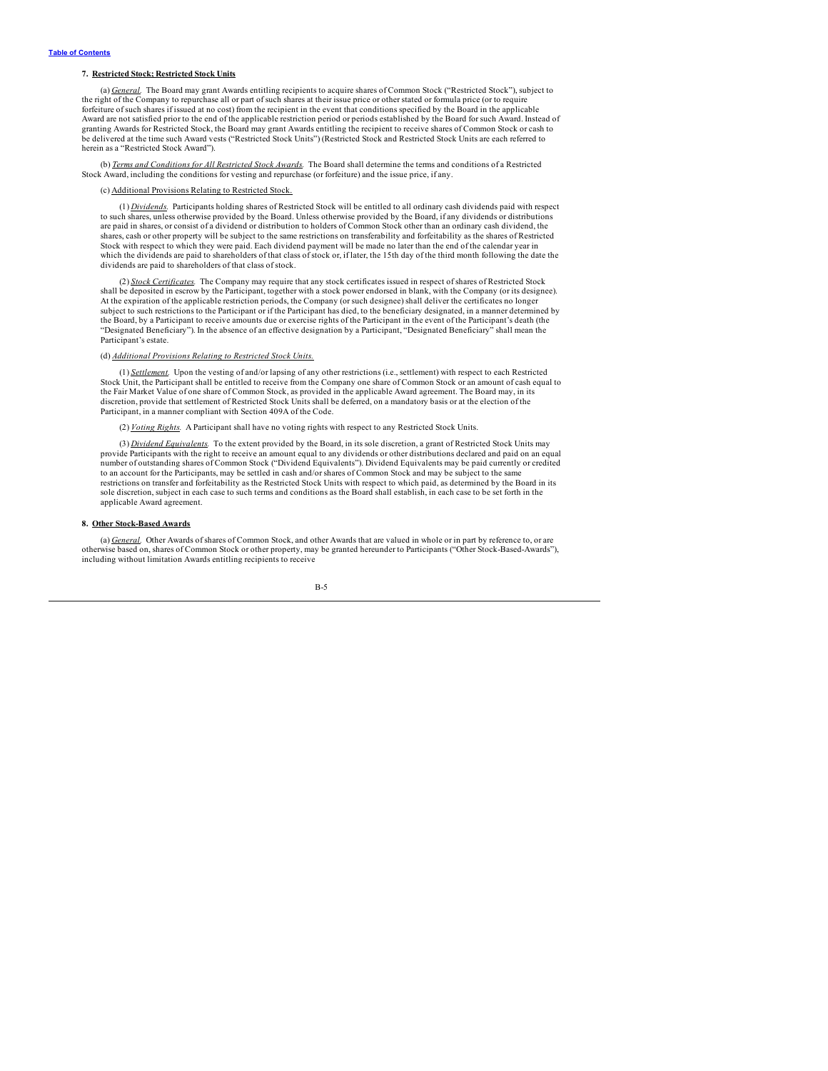### **7. Restricted Stock; Restricted Stock Units**

(a) *General.* The Board may grant Awards entitling recipients to acquire shares of Common Stock ("Restricted Stock"), subject to the right of the Company to repurchase all or part of such shares at their issue price or other stated or formula price (or to require forfeiture of such shares if issued at no cost) from the recipient in the event that conditions specified by the Board in the applicable Award are not satisfied prior to the end of the applicable restriction period or periods established by the Board for such Award. Instead of granting Awards for Restricted Stock, the Board may grant Awards entitling the recipient to receive shares of Common Stock or cash to be delivered at the time such Award vests ("Restricted Stock Units") (Restricted Stock and Restricted Stock Units are each referred to herein as a "Restricted Stock Award").

(b) *Terms and Conditions for All Restricted Stock Awards.* The Board shall determine the terms and conditions of a Restricted Stock Award, including the conditions for vesting and repurchase (or forfeiture) and the issue price, if any.

#### Additional Provisions Relating to Restricted Stock

(1) *Dividends.* Participants holding shares of Restricted Stock will be entitled to all ordinary cash dividends paid with respect to such shares, unless otherwise provided by the Board. Unless otherwise provided by the Board, if any dividends or distributions are paid in shares, or consist of a dividend or distribution to holders of Common Stock other than an ordinary cash dividend, the shares, cash or other property will be subject to the same restrictions on transferability and forfeitability as the shares of Restricted Stock with respect to which they were paid. Each dividend payment will be made no later than the end of the calendar year in which the dividends are paid to shareholders of that class of stock or, if later, the 15th day of the third month following the date the dividends are paid to shareholders of that class of stock.

(2) *Stock Certificates.* The Company may require that any stock certificates issued in respect of shares of Restricted Stock shall be deposited in escrow by the Participant, together with a stock power endorsed in blank, with the Company (or its designee). At the expiration of the applicable restriction periods, the Company (or such designee) shall deliver the certificates no longer<br>subject to such restrictions to the Participant or if the Participant has died, to the benefi the Board, by a Participant to receive amounts due or exercise rights of the Participant in the event of the Participant's death (the "Designated Beneficiary"). In the absence of an effective designation by a Participant, "Designated Beneficiary" shall mean the Participant's estate.

#### (d) *Additional Provisions Relating to Restricted Stock Units.*

(1) *Settlement.* Upon the vesting of and/or lapsing of any other restrictions (i.e., settlement) with respect to each Restricted Stock Unit, the Participant shall be entitled to receive from the Company one share of Common Stock or an amount of cash equal to the Fair Market Value of one share of Common Stock, as provided in the applicable Award agreement. The Board may, in its discretion, provide that settlement of Restricted Stock Units shall be deferred, on a mandatory basis or at the election of the Participant, in a manner compliant with Section 409A of the Code.

(2) *Voting Rights.* A Participant shall have no voting rights with respect to any Restricted Stock Units.

(3) *Dividend Equivalents.* To the extent provided by the Board, in its sole discretion, a grant of Restricted Stock Units may provide Participants with the right to receive an amount equal to any dividends or other distributions declared and paid on an equal number of outstanding shares of Common Stock ("Dividend Equivalents"). Dividend Equivalents may be paid currently or credited to an account for the Participants, may be settled in cash and/or shares of Common Stock and may be subject to the same restrictions on transfer and forfeitability as the Restricted Stock Units with respect to which paid, as determined by the Board in its sole discretion, subject in each case to such terms and conditions as the Board shall establish, in each case to be set forth in the applicable Award agreement.

#### **8. Other Stock-Based Awards**

(a) *General.* Other Awards of shares of Common Stock, and other Awards that are valued in whole or in part by reference to, or are otherwise based on, shares of Common Stock or other property, may be granted hereunder to Participants ("Other Stock-Based-Awards"), including without limitation Awards entitling recipients to receive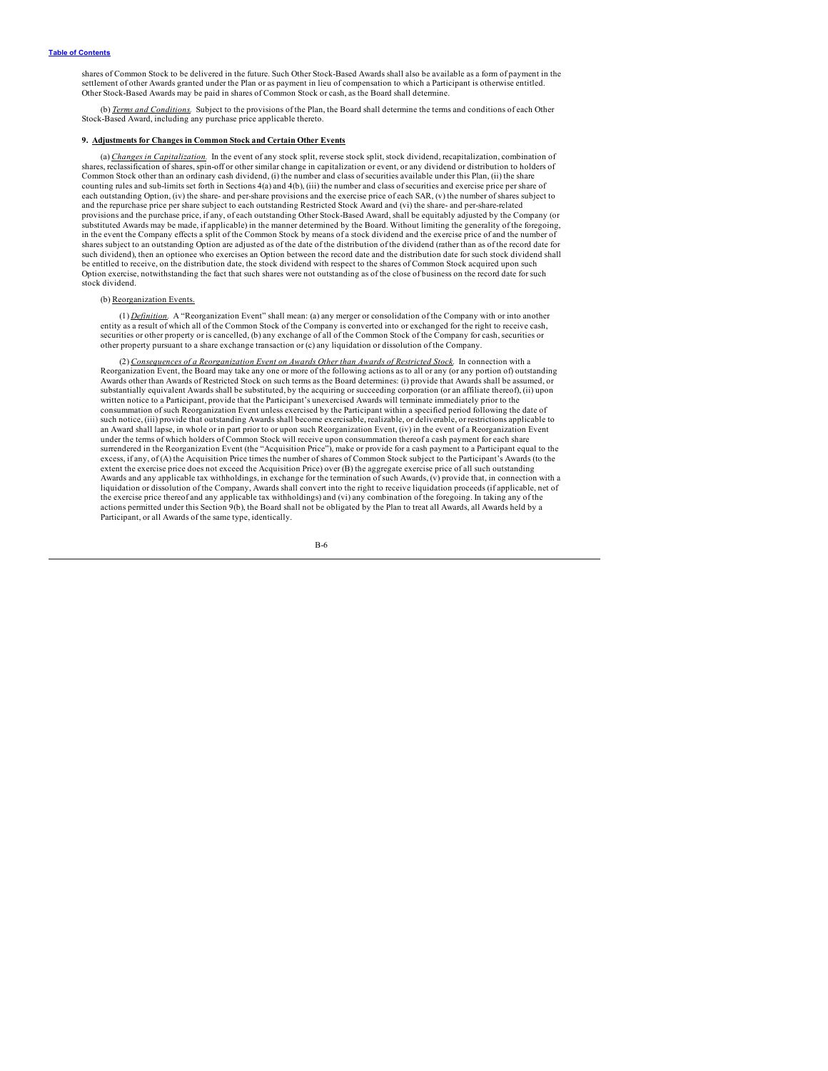shares of Common Stock to be delivered in the future. Such Other Stock-Based Awards shall also be available as a form of payment in the settlement of other Awards granted under the Plan or as payment in lieu of compensation to which a Participant is otherwise entitled. Other Stock-Based Awards may be paid in shares of Common Stock or cash, as the Board shall determine.

(b) *Terms and Conditions.* Subject to the provisions of the Plan, the Board shall determine the terms and conditions of each Other Stock-Based Award, including any purchase price applicable thereto.

### **9. Adjustments for Changes in Common Stock and Certain Other Events**

(a) *Changes in Capitalization.* In the event of any stock split, reverse stock split, stock dividend, recapitalization, combination of shares, reclassification of shares, spin-off or other similar change in capitalization or event, or any dividend or distribution to holders of Common Stock other than an ordinary cash dividend, (i) the number and class of securities available under this Plan, (ii) the share counting rules and sub-limits set forth in Sections 4(a) and 4(b), (iii) the number and class of securities and exercise price per share of each outstanding Option, (iv) the share- and per-share provisions and the exercise price of each SAR, (v) the number of shares subject to and the repurchase price per share subject to each outstanding Restricted Stock Award and (vi) the share- and per-share-related provisions and the purchase price, if any, of each outstanding Other Stock-Based Award, shall be equitably adjusted by the Company (or substituted Awards may be made, if applicable) in the manner determined by the Board. Without limiting the generality of the foregoing, in the event the Company effects a split of the Common Stock by means of a stock dividend and the exercise price of and the number of shares subject to an outstanding Option are adjusted as of the date of the distribution of the dividend (rather than as of the record date for<br>such dividend), then an optionee who exercises an Option between the record dat be entitled to receive, on the distribution date, the stock dividend with respect to the shares of Common Stock acquired upon such Option exercise, notwithstanding the fact that such shares were not outstanding as of the close of business on the record date for such stock dividend.

#### (b) Reorganization Events.

(1) *Definition.* A "Reorganization Event" shall mean: (a) any merger or consolidation of the Company with or into another entity as a result of which all of the Common Stock of the Company is converted into or exchanged for the right to receive cash, securities or other property or is cancelled, (b) any exchange of all of the Common Stock of the Company for cash, securities or other property pursuant to a share exchange transaction or (c) any liquidation or dissolution of the Company.

(2) *Consequences of a Reorganization Event on Awards Other than Awards of Restricted Stock.* In connection with a Reorganization Event, the Board may take any one or more of the following actions as to all or any (or any portion of) outstanding Awards other than Awards of Restricted Stock on such terms as the Board determines: (i) provide that Awards shall be assumed, or substantially equivalent Awards shall be substituted, by the acquiring or succeeding corporation (or an affiliate thereof), (ii) upon<br>written notice to a Participant, provide that the Participant's unexercised Awards will consummation of such Reorganization Event unless exercised by the Participant within a specified period following the date of such notice, (iii) provide that outstanding Awards shall become exercisable, realizable, or deliverable, or restrictions applicable to<br>an Award shall lapse, in whole or in part prior to or upon such Reorganization Event, ( under the terms of which holders of Common Stock will receive upon consummation thereof a cash payment for each share surrendered in the Reorganization Event (the "Acquisition Price"), make or provide for a cash payment to a Participant equal to the excess, if any, of (A) the Acquisition Price times the number of shares of Common Stock subject to the Participant's Awards (to the extent the exercise price does not exceed the Acquisition Price) over (B) the aggregate exercise price of all such outstanding Awards and any applicable tax withholdings, in exchange for the termination of such Awards, (v) provide that, in connection with a liquidation or dissolution of the Company, Awards shall convert into the right to receive liquidation proceeds (if applicable, net of<br>the exercise price thereof and any applicable tax withholdings) and (vi) any combination actions permitted under this Section 9(b), the Board shall not be obligated by the Plan to treat all Awards, all Awards held by a Participant, or all Awards of the same type, identically.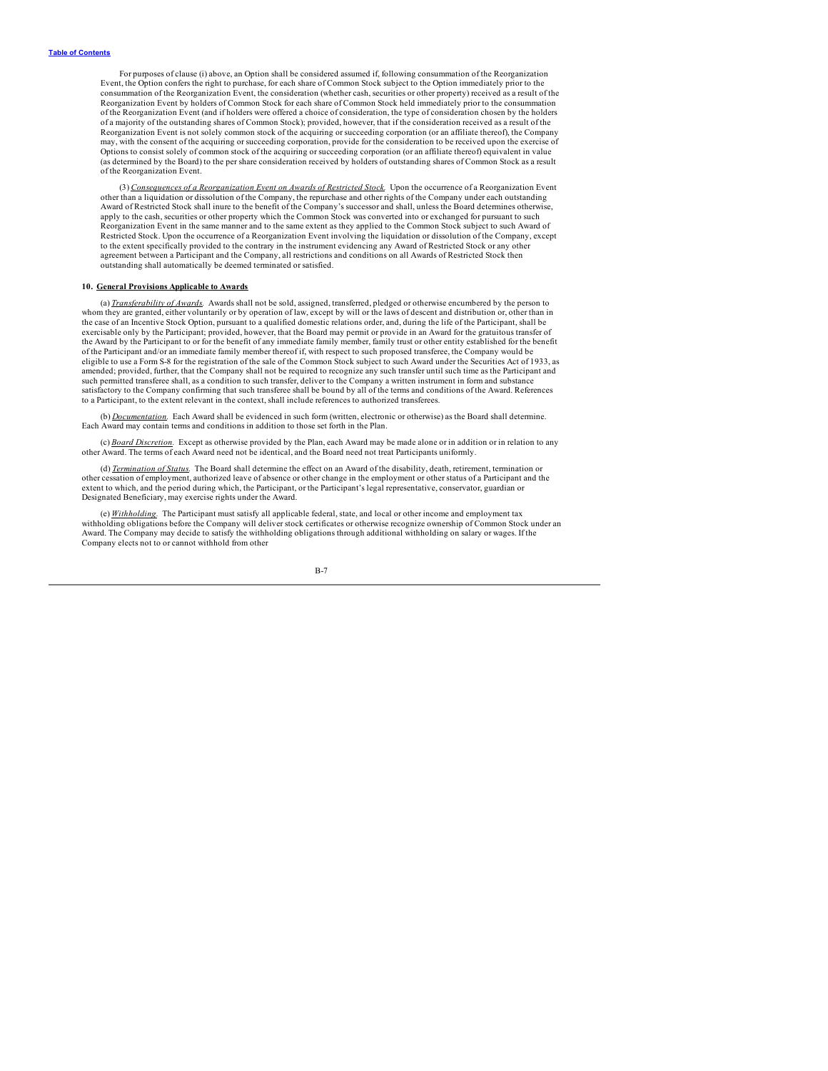For purposes of clause (i) above, an Option shall be considered assumed if, following consummation of the Reorganization Event, the Option confers the right to purchase, for each share of Common Stock subject to the Option immediately prior to the consummation of the Reorganization Event, the consideration (whether cash, securities or other property) received as a result of the Reorganization Event by holders of Common Stock for each share of Common Stock held immediately prior to the consummation of the Reorganization Event (and if holders were offered a choice of consideration, the type of consideration chosen by the holders of a majority of the outstanding shares of Common Stock); provided, however, that if the consideration received as a result of the<br>Reorganization Event is not solely common stock of the acquiring or succeeding corporation may, with the consent of the acquiring or succeeding corporation, provide for the consideration to be received upon the exercise of Options to consist solely of common stock of the acquiring or succeeding corporation (or an affiliate thereof) equivalent in value (as determined by the Board) to the per share consideration received by holders of outstanding shares of Common Stock as a result of the Reorganization Event.

(3) Consequences of a Reorganization Event on Awards of Restricted Stock. Upon the occurrence of a Reorganization Event<br>other than a liquidation or dissolution of the Company, the repurchase and other rights of the Company Award of Restricted Stock shall inure to the benefit of the Company's successor and shall, unless the Board determines otherwise, apply to the cash, securities or other property which the Common Stock was converted into or exchanged for pursuant to such Reorganization Event in the same manner and to the same extent as they applied to the Common Stock subject to such Award of Restricted Stock. Upon the occurrence of a Reorganization Event involving the liquidation or dissolution of the Company, except to the extent specifically provided to the contrary in the instrument evidencing any Award of Restricted Stock or any other agreement between a Participant and the Company, all restrictions and conditions on all Awards of Restricted Stock then outstanding shall automatically be deemed terminated or satisfied.

### **10. General Provisions Applicable to Awards**

(a) *Transferability of Awards.* Awards shall not be sold, assigned, transferred, pledged or otherwise encumbered by the person to whom they are granted, either voluntarily or by operation of law, except by will or the laws of descent and distribution or, other than in the case of an Incentive Stock Option, pursuant to a qualified domestic relations order, and, during the life of the Participant, shall be exercisable only by the Participant; provided, however, that the Board may permit or provide in an Award for the gratuitous transfer of the Award by the Participant to or for the benefit of any immediate family member, family trust or other entity established for the benefit of the Participant and/or an immediate family member thereof if, with respect to such proposed transferee, the Company would be<br>eligible to use a Form S-8 for the registration of the sale of the Common Stock subject to suc amended; provided, further, that the Company shall not be required to recognize any such transfer until such time as the Participant and such permitted transferee shall, as a condition to such transfer, deliver to the Company a written instrument in form and substance<br>satisfactory to the Company confirming that such transferee shall be bound by all of the t to a Participant, to the extent relevant in the context, shall include references to authorized transferees.

(b) *Documentation.* Each Award shall be evidenced in such form (written, electronic or otherwise) as the Board shall determine. Each Award may contain terms and conditions in addition to those set forth in the Plan.

(c) *Board Discretion.* Except as otherwise provided by the Plan, each Award may be made alone or in addition or in relation to any other Award. The terms of each Award need not be identical, and the Board need not treat Participants uniformly.

(d) *Termination of Status.* The Board shall determine the effect on an Award of the disability, death, retirement, termination or other cessation of employment, authorized leave of absence or other change in the employment or other status of a Participant and the extent to which, and the period during which, the Participant, or the Participant's legal representative, conservator, guardian or Designated Beneficiary, may exercise rights under the Award.

(e) *Withholding.* The Participant must satisfy all applicable federal, state, and local or other income and employment tax withholding obligations before the Company will deliver stock certificates or otherwise recognize ownership of Common Stock under an Award. The Company may decide to satisfy the withholding obligations through additional withholding on salary or wages. If the Company elects not to or cannot withhold from other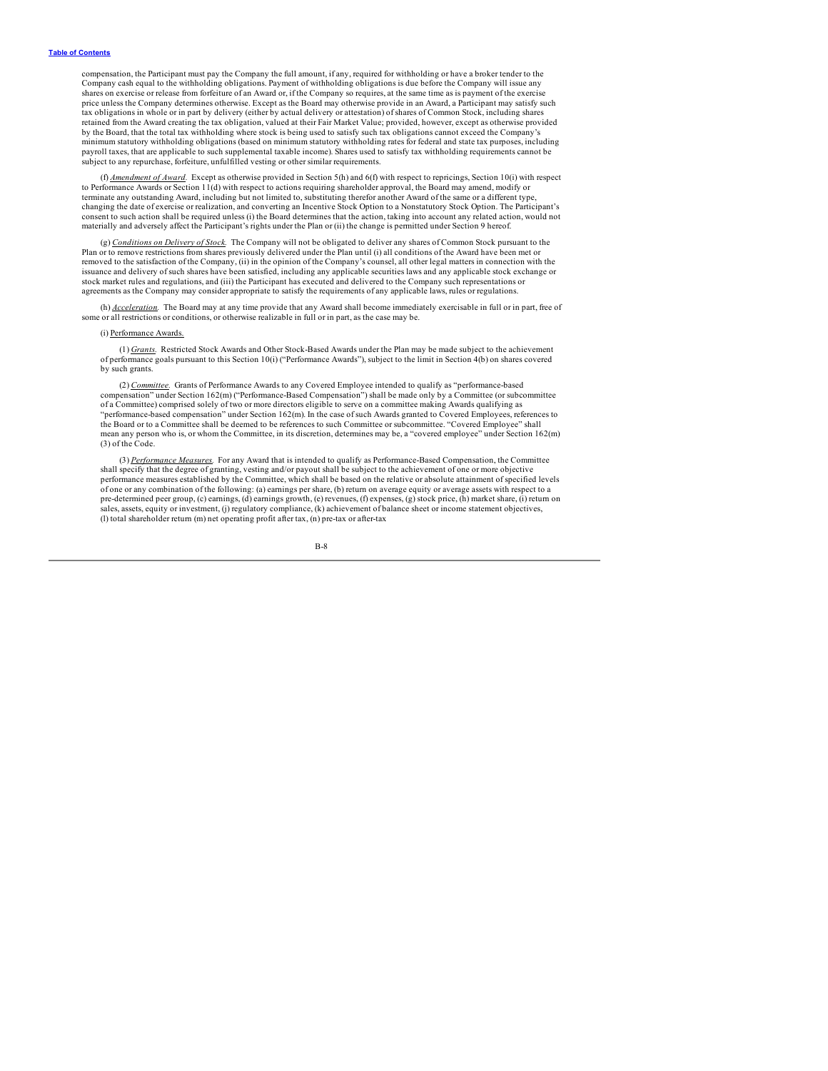compensation, the Participant must pay the Company the full amount, if any, required for withholding or have a broker tender to the<br>Company cash equal to the withholding obligations. Payment of withholding obligations is d shares on exercise or release from forfeiture of an Award or, if the Company so requires, at the same time as is payment of the exercise price unless the Company determines otherwise. Except as the Board may otherwise provide in an Award, a Participant may satisfy such tax obligations in whole or in part by delivery (either by actual delivery or attestation) of shares of Common Stock, including shares retained from the Award creating the tax obligation, valued at their Fair Market Value; provided, however, except as otherwise provided<br>by the Board, that the total tax withholding where stock is being used to satisfy such minimum statutory withholding obligations (based on minimum statutory withholding rates for federal and state tax purposes, including<br>payroll taxes, that are applicable to such supplemental taxable income). Shares used to subject to any repurchase, forfeiture, unfulfilled vesting or other similar requirements.

(f) *Amendment of Award.* Except as otherwise provided in Section 5(h) and 6(f) with respect to repricings, Section 10(i) with respect to Performance Awards or Section 11(d) with respect to actions requiring shareholder approval, the Board may amend, modify or<br>terminate any outstanding Award, including but not limited to, substituting therefor another Awa changing the date of exercise or realization, and converting an Incentive Stock Option to a Nonstatutory Stock Option. The Participant's consent to such action shall be required unless (i) the Board determines that the action, taking into account any related action, would not materially and adversely affect the Participant's rights under the Plan or (ii) the change is permitted under Section 9 hereof.

(g) *Conditions on Delivery of Stock.* The Company will not be obligated to deliver any shares of Common Stock pursuant to the Plan or to remove restrictions from shares previously delivered under the Plan until (i) all conditions of the Award have been met or removed to the satisfaction of the Company, (ii) in the opinion of the Company's counsel, all other legal matters in connection with the issuance and delivery of such shares have been satisfied, including any applicable securities laws and any applicable stock exchange or stock market rules and regulations, and (iii) the Participant has executed and delivered to the Company such representations or agreements as the Company may consider appropriate to satisfy the requirements of any applicable laws, rules or regulations.

(h) *Acceleration.* The Board may at any time provide that any Award shall become immediately exercisable in full or in part, free of some or all restrictions or conditions, or otherwise realizable in full or in part, as the case may be.

#### (i) Performance Awards.

(1) *Grants.* Restricted Stock Awards and Other Stock-Based Awards under the Plan may be made subject to the achievement of performance goals pursuant to this Section 10(i) ("Performance Awards"), subject to the limit in Section 4(b) on shares covered by such grants.

(2) *Committee.* Grants of Performance Awards to any Covered Employee intended to qualify as "performance-based compensation" under Section 162(m) ("Performance-Based Compensation") shall be made only by a Committee (or subcommittee of a Committee) comprised solely of two or more directors eligible to serve on a committee making Awards qualifying as "performance-based compensation" under Section 162(m). In the case of such Awards granted to Covered Employees, references to the Board or to a Committee shall be deemed to be references to such Committee or subcommittee. "Covered Employee" shall mean any person who is, or whom the Committee, in its discretion, determines may be, a "covered employee" under Section 162(m) (3) of the Code.

(3) *Performance Measures.* For any Award that is intended to qualify as Performance-Based Compensation, the Committee shall specify that the degree of granting, vesting and/or payout shall be subject to the achievement of one or more objective performance measures established by the Committee, which shall be based on the relative or absolute attainment of specified levels<br>of one or any combination of the following: (a) earnings per share, (b) return on average e pre-determined peer group, (c) earnings, (d) earnings growth, (e) revenues, (f) expenses, (g) stock price, (h) market share, (i) return on sales, assets, equity or investment, (j) regulatory compliance, (k) achievement of balance sheet or income statement objectives, (l) total shareholder return (m) net operating profit after tax, (n) pre-tax or after-tax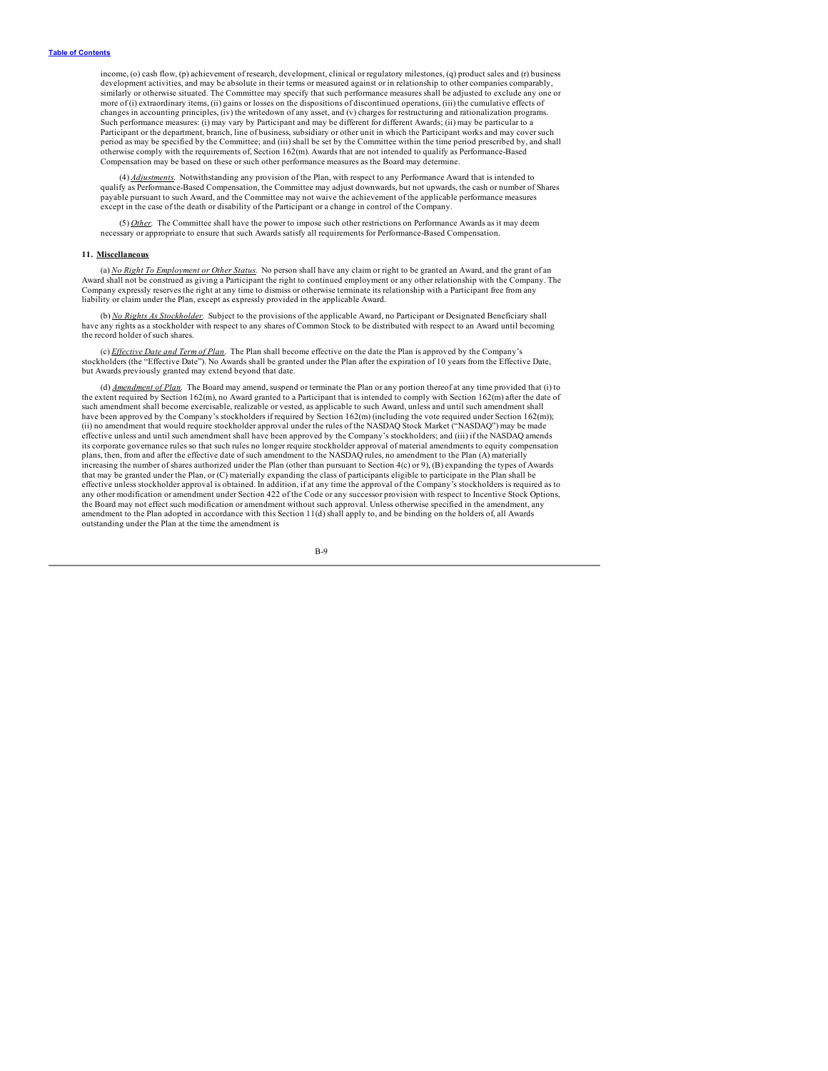income, (o) cash flow, (p) achievement of research, development, clinical or regulatory milestones, (q) product sales and (r) business development activities, and may be absolute in their terms or measured against or in relationship to other companies comparably, similarly or otherwise situated. The Committee may specify that such performance measures shall be adjusted to exclude any one or more of (i) extraordinary items, (ii) gains or losses on the dispositions of discontinued operations, (iii) the cumulative effects of changes in accounting principles, (iv) the writedown of any asset, and (v) charges for restructuring and rationalization programs. Such performance measures: (i) may vary by Participant and may be different for different Awards; (ii) may be particular to a<br>Participant or the department, branch, line of business, subsidiary or other unit in which the P period as may be specified by the Committee; and (iii) shall be set by the Committee within the time period prescribed by, and shall otherwise comply with the requirements of, Section 162(m). Awards that are not intended to qualify as Performance-Based Compensation may be based on these or such other performance measures as the Board may determine.

(4) *Adjustments.* Notwithstanding any provision of the Plan, with respect to any Performance Award that is intended to qualify as Performance-Based Compensation, the Committee may adjust downwards, but not upwards, the cash or number of Shares<br>payable pursuant to such Award, and the Committee may not waive the achievement of the applicable except in the case of the death or disability of the Participant or a change in control of the Company.

(5) Other. The Committee shall have the power to impose such other restrictions on Performance Awards as it may deem necessary or appropriate to ensure that such Awards satisfy all requirements for Performance-Based Compe

#### **11. Miscellaneous**

(a) *No Right To Employment or Other Status.* No person shall have any claim or right to be granted an Award, and the grant of an Award shall not be construed as giving a Participant the right to continued employment or any other relationship with the Company. The Company expressly reserves the right at any time to dismiss or otherwise terminate its relationship with a Participant free from any liability or claim under the Plan, except as expressly provided in the applicable Award.

(b) *No Rights As Stockholder.* Subject to the provisions of the applicable Award, no Participant or Designated Beneficiary shall have any rights as a stockholder with respect to any shares of Common Stock to be distributed with respect to an Award until becoming the record holder of such shares.

(c) *Effective Date and Term of Plan*. The Plan shall become effective on the date the Plan is approved by the Company's stockholders (the "Effective Date"). No Awards shall be granted under the Plan after the expiration o but Awards previously granted may extend beyond that date.

(d) <u>Amendment of Plan</u>. The Board may amend, suspend or terminate the Plan or any portion thereof at any time provided that (i) to the extent required by Section 162(m), no Award granted to a Participant that is intended such amendment shall become exercisable, realizable or vested, as applicable to such Award, unless and until such amendment shall have been approved by the Company's stockholders if required by Section 162(m) (including the vote required under Section 162(m)); (ii) no amendment that would require stockholder approval under the rules of the NASDAQ Stock Market ("NASDAQ") may be made effective unless and until such amendment shall have been approved by the Company's stockholders; and (iii) if the NASDAQ amends its corporate governance rules so that such rules no longer require stockholder approval of material amendments to equity compensation plans, then, from and after the effective date of such amendment to the NASDAQ rules, no amendment to the Plan (A) materially<br>increasing the number of shares authorized under the Plan (other than pursuant to Section 4(c) o that may be granted under the Plan, or (C) materially expanding the class of participants eligible to participate in the Plan shall be effective unless stockholder approval is obtained. In addition, if at any time the approval of the Company's stockholders is required as to any other modification or amendment under Section 422 of the Code or any successor provision with respect to Incentive Stock Options, the Board may not effect such modification or amendment without such approval. Unless otherwise specified in the amendment, any the Board may not effect such modification or amendment without such approval. Unless otherwis amendment to the Plan adopted in accordance with this Section 11(d) shall apply to, and be binding on the holders of, all Awards outstanding under the Plan at the time the amendment is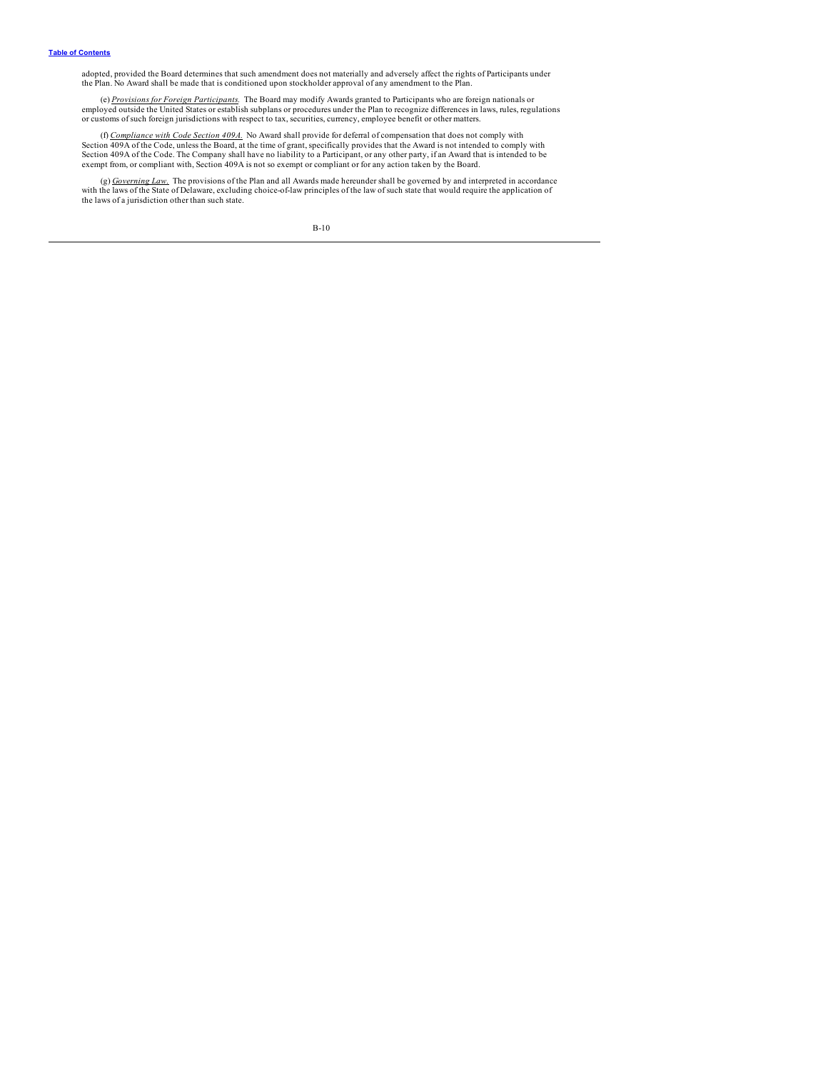adopted, provided the Board determines that such amendment does not materially and adversely affect the rights of Participants under<br>the Plan. No Award shall be made that is conditioned upon stockholder approval of any ame

(e) *Provisions for Foreign Participants.* The Board may modify Awards granted to Participants who are foreign nationals or employed outside the United States or establish subplans or procedures under the Plan to recognize differences in laws, rules, regulations<br>or customs of such foreign jurisdictions with respect to tax, securities, currency,

(f) *Compliance with Code Section 409A.* No Award shall provide for deferral of compensation that does not comply with Section 409A of the Code, unless the Board, at the time of grant, specifically provides that the Award is not intended to comply with Section 409A of the Code. The Company shall have no liability to a Participant, or any other party, if an Award that is intended to be<br>exempt from, or compliant with, Section 409A is not so exempt or compliant or for any a

(g)  $\frac{Government}{Government\_Law}$ . The provisions of the Plan and all Awards made hereunder shall be governed by and interpreted in accordance<br>with the laws of the State of Delaware, excluding choice-of-law principles of the law of such st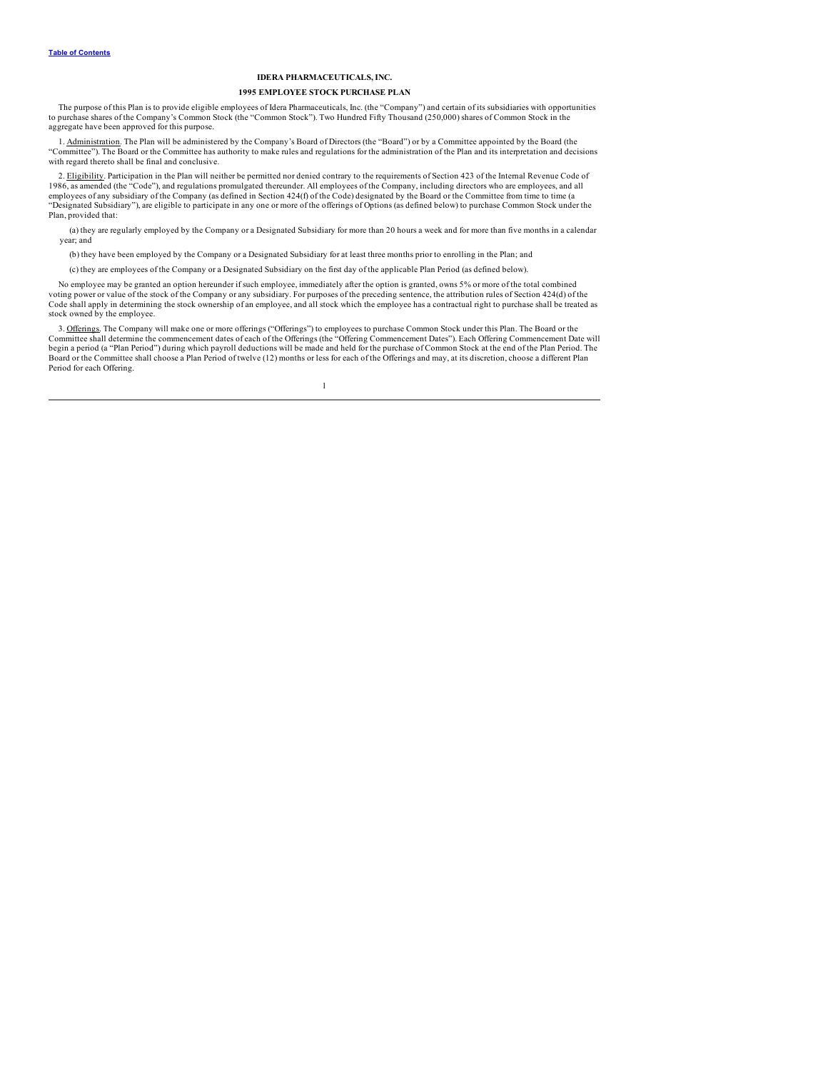### **IDERA PHARMACEUTICALS, INC.**

### **1995 EMPLOYEE STOCK PURCHASE PLAN**

The purpose of this Plan is to provide eligible employees of Idera Pharmaceuticals, Inc. (the "Company") and certain of its subsidiaries with opportunities<br>to purchase shares of the Company's Common Stock (the "Common Stoc aggregate have been approved for this purpose.

1. Administration. The Plan will be administered by the Company's Board of Directors (the "Board") or by a Committee appointed by the Board (the "Committee"). The Board or the Committee has authority to make rules and regulations for the administration of the Plan and its interpretation and decisions with regard thereto shall be final and conclusive.

2. Eligibility. Participation in the Plan will neither be permitted nor denied contrary to the requirements of Section 423 of the Internal Revenue Code of 1986, as amended (the "Code"), and regulations promulgated thereund employees of any subsidiary of the Company (as defined in Section 424(f) of the Code) designated by the Board or the Committee from time to time (a<br>"Designated Subsidiary"), are eligible to participate in any one or more o Plan, provided that:

(a) they are regularly employed by the Company or a Designated Subsidiary for more than 20 hours a week and for more than five months in a calendar year; and

(b) they have been employed by the Company or a Designated Subsidiary for at least three months prior to enrolling in the Plan; and

(c) they are employees of the Company or a Designated Subsidiary on the first day of the applicable Plan Period (as defined below).

No employee may be granted an option hereunder if such employee, immediately after the option is granted, owns 5% or more of the total combined voting power or value of the stock of the Company or any subsidiary. For purposes of the preceding sentence, the attribution rules of Section 424(d) of the<br>Code shall apply in determining the stock ownership of an employee stock owned by the employee.

3. Offerings. The Company will make one or more offerings ("Offerings") to employees to purchase Common Stock under this Plan. The Board or the Committee shall determine the commencement dates of each of the Offerings (the "Offering Commencement Dates"). Each Offering Commencement Date will<br>begin a period (a "Plan Period") during which payroll deductions will be m Period for each Offering.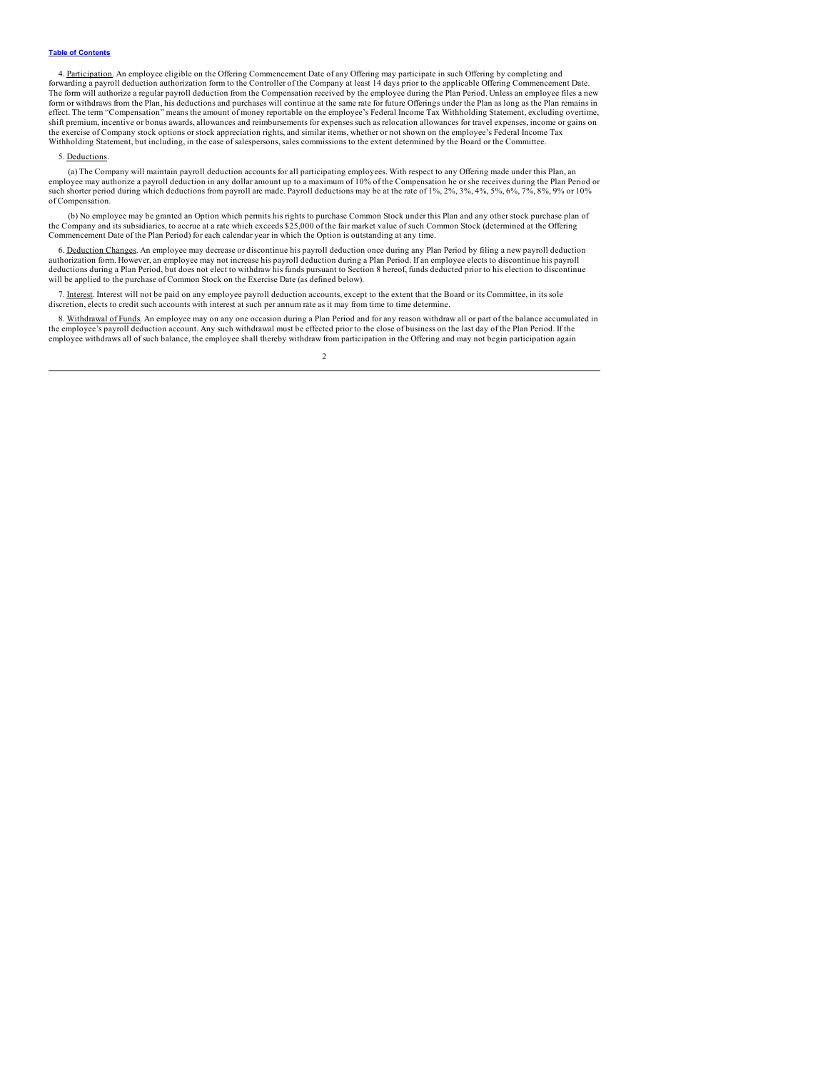4. Participation. An employee eligible on the Offering Commencement Date of any Offering may participate in such Offering by completing and forwarding a payroll deduction authorization form to the Controller of the Company The form will authorize a regular payroll deduction from the Compensation received by the employee during the Plan Period. Unless an employee files a new form or withdraws from the Plan, his deductions and purchases will continue at the same rate for future Offerings under the Plan as long as the Plan remains in effect. The term "Compensation" means the amount of money reportable on the employee's Federal Income Tax Withholding Statement, excluding overtime, shift premium, incentive or bonus awards, allowances and reimbursements for expenses such as relocation allowances for travel expenses, income or gains on<br>the exercise of Company stock options or stock appreciation rights, Withholding Statement, but including, in the case of salespersons, sales commissions to the extent determined by the Board or the Committee.

#### 5. Deductions.

(a) The Company will maintain payroll deduction accounts for all participating employees. With respect to any Offering made under this Plan, an employee may authorize a payroll deduction in any dollar amount up to a maximum of 10% of the Compensation he or she receives during the Plan Period or<br>such shorter period during which deductions from payroll are made. Pay of Compensation.

(b) No employee may be granted an Option which permits his rights to purchase Common Stock under this Plan and any other stock purchase plan of<br>the Company and its subsidiaries, to accrue at a rate which exceeds \$25,000 of Commencement Date of the Plan Period) for each calendar year in which the Option is outstanding at any time.

6. <u>Deduction Changes</u>. An employee may decrease or discontinue his payroll deduction once during any Plan Period by filing a new payroll deduction<br>authorization form. However, an employee may not increase his payroll dedu deductions during a Plan Period, but does not elect to withdraw his funds pursuant to Section 8 hereof, funds deducted prior to his election to discontinue will be applied to the purchase of Common Stock on the Exercise Date (as defined below).

7. Interest. Interest will not be paid on any employee payroll deduction accounts, except to the extent that the Board or its Committee, in its sole discretion, elects to credit such accounts with interest at such per annum rate as it may from time to time determine.

8. Withdrawal of Funds. An employee may on any one occasion during a Plan Period and for any reason withdraw all or part of the balance accumulated in the employee's payroll deduction account. Any such withdrawal must be e employee withdraws all of such balance, the employee shall thereby withdraw from participation in the Offering and may not begin participation again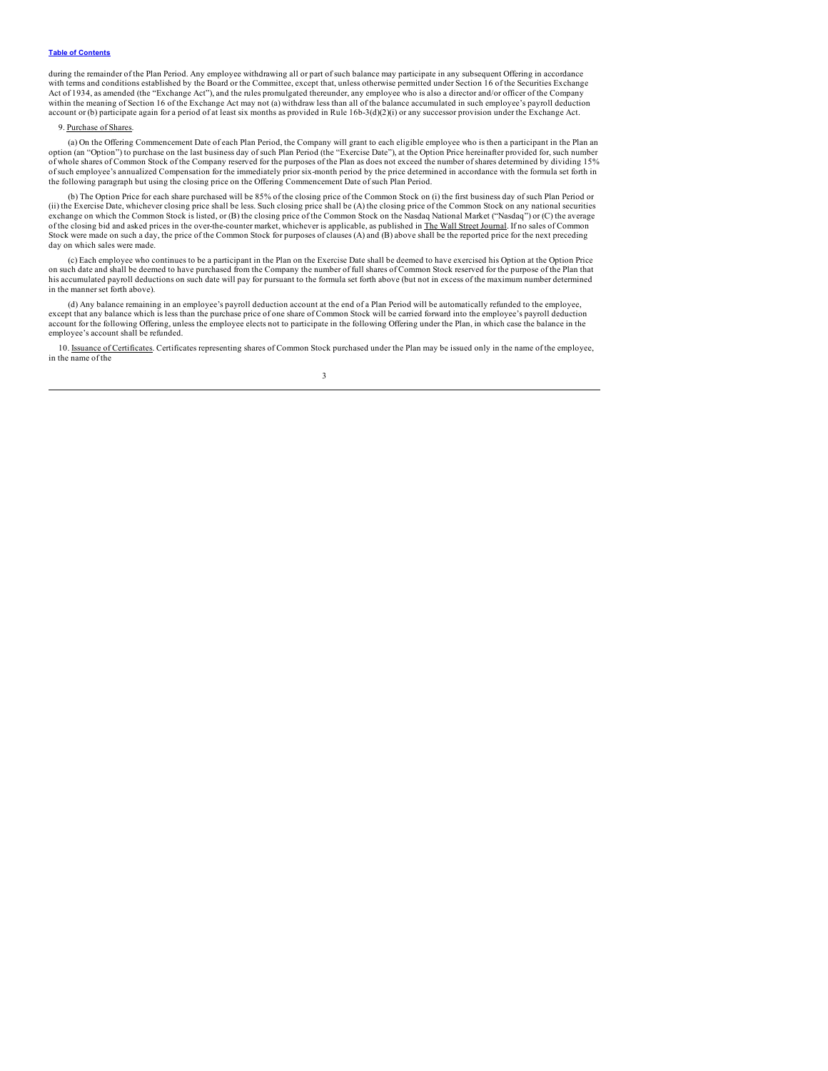#### **Table of [Contents](#page-2-0)**

during the remainder of the Plan Period. Any employee withdrawing all or part of such balance may participate in any subsequent Offering in accordance with terms and conditions established by the Board or the Committee, except that, unless otherwise permitted under Section 16 of the Securities Exchange Act of 1934, as amended (the "Exchange Act"), and the rules promulgated thereunder, any employee who is also a director and/or officer of the Company within the meaning of Section 16 of the Exchange Act may not (a) withdraw less than all of the balance accumulated in such employee's payroll deduction account or (b) participate again for a period of at least six months as provided in Rule 16b-3(d)(2)(i) or any successor provision under the Exchange Act.

#### 9. Purchase of Shares.

(a) On the Offering Commencement Date of each Plan Period, the Company will grant to each eligible employee who is then a participant in the Plan an option (an "Option") to purchase on the last business day of such Plan Period (the "Exercise Date"), at the Option Price hereinafter provided for, such number of whole shares of Common Stock of the Company reserved for the purposes of the Plan as does not exceed the number of shares determined by dividing 15%<br>of such employee's annualized Compensation for the immediately prior s the following paragraph but using the closing price on the Offering Commencement Date of such Plan Period.

(b) The Option Price for each share purchased will be 85% of the closing price of the Common Stock on (i) the first business day of such Plan Period or (ii) the Exercise Date, whichever closing price shall be less. Such closing price shall be (A) the closing price of the Common Stock on any national securities exchange on which the Common Stock is listed, or (B) the closing price of the Common Stock on the Nasdaq National Market ("Nasdaq") or (C) the average<br>of the closing bid and asked prices in the over-the-counter market, whi Stock were made on such a day, the price of the Common Stock for purposes of clauses (A) and (B) above shall be the reported price for the next preceding day on which sales were made.

(c) Each employee who continues to be a participant in the Plan on the Exercise Date shall be deemed to have exercised his Option at the Option Price on such date and shall be deemed to have purchased from the Company the number of full shares of Common Stock reserved for the purpose of the Plan that<br>his accumulated payroll deductions on such date will pay for pursuant in the manner set forth above).

(d) Any balance remaining in an employee's payroll deduction account at the end of a Plan Period will be automatically refunded to the employee, except that any balance which is less than the purchase price of one share of Common Stock will be carried forward into the employee's payroll deduction account for the following Offering, unless the employee elects not to participate in the following Offering under the Plan, in which case the balance in the employee's account shall be refunded.

10. Issuance of Certificates. Certificates representing shares of Common Stock purchased under the Plan may be issued only in the name of the employee, in the name of the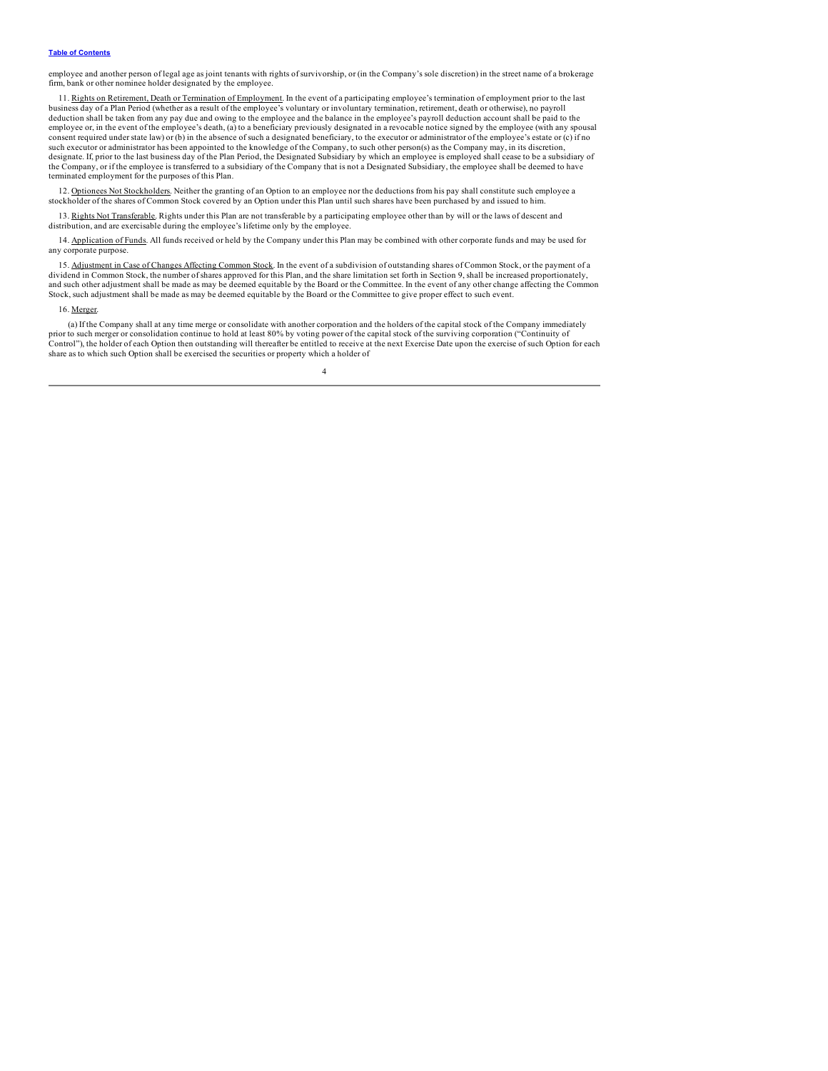#### **Table of [Contents](#page-2-0)**

employee and another person of legal age as joint tenants with rights of survivorship, or (in the Company's sole discretion) in the street name of a brokerage firm, bank or other nominee holder designated by the employee.

11. Rights on Retirement, Death or Termination of Employment. In the event of a participating employee's termination of employment prior to the last business day of a Plan Period (whether as a result of the employee's volu deduction shall be taken from any pay due and owing to the employee and the balance in the employee's payroll deduction account shall be paid to the employee or, in the event of the employee's death, (a) to a beneficiary previously designated in a revocable notice signed by the employee (with any spousal consent required under state law) or (b) in the absence of such a designated beneficiary, to the executor or administrator of the employee's estate or (c) if no such executor or administrator has been appointed to the knowledge of the Company, to such other person(s) as the Company may, in its discretion, designate. If, prior to the last business day of the Plan Period, the Designated Subsidiary by which an employee is employed shall cease to be a subsidiary of the Company, or if the employee is transferred to a subsidiary of the Company that is not a Designated Subsidiary, the employee shall be deemed to have terminated employment for the purposes of this Plan.

12. Optionees Not Stockholders. Neither the granting of an Option to an employee nor the deductions from his pay shall constitute such employee a stockholder of the shares of Common Stock covered by an Option under this Plan until such shares have been purchased by and issued to him.

13. Rights Not Transferable. Rights under this Plan are not transferable by a participating employee other than by will or the laws of descent and distribution, and are exercisable during the employee's lifetime only by th

14. Application of Funds. All funds received or held by the Company under this Plan may be combined with other corporate funds and may be used for any corporate purpose.

15. Adjustment in Case of Changes Affecting Common Stock. In the event of a subdivision of outstanding shares of Common Stock, or the payment of a dividend in Common Stock, the number of shares approved for this Plan, and the share limitation set forth in Section 9, shall be increased proportionately, and such other adjustment shall be made as may be deemed equitable by the Board or the Committee. In the event of any other change affecting the Common Stock, such adjustment shall be made as may be deemed equitable by the Board or the Committee to give proper effect to such event.

### 16. Merger.

(a) If the Company shall at any time merge or consolidate with another corporation and the holders of the capital stock of the Company immediately prior to such merger or consolidation continue to hold at least 80% by voting power of the capital stock of the surviving corporation ("Continuity of Control"), the holder of each Option then outstanding will thereafter be entitled to receive at the next Exercise Date upon the exercise of such Option for each share as to which such Option shall be exercised the securities or property which a holder of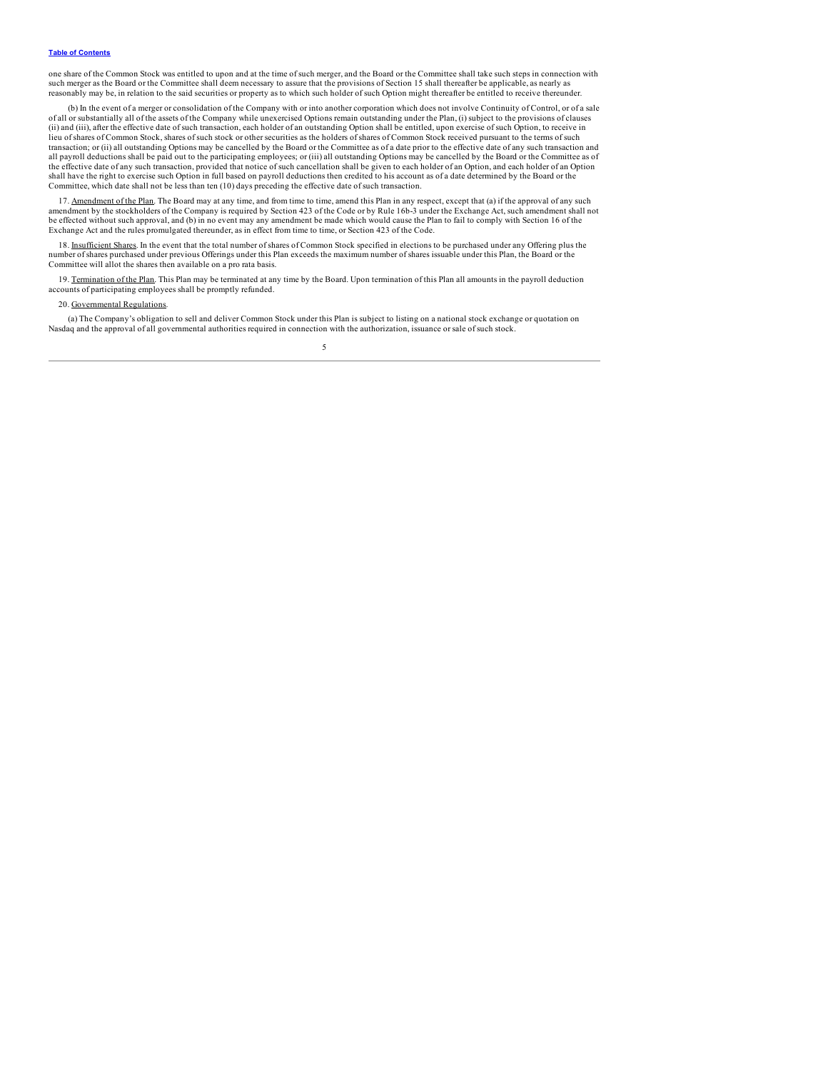one share of the Common Stock was entitled to upon and at the time of such merger, and the Board or the Committee shall take such steps in connection with such merger as the Board or the Committee shall deem necessary to assure that the provisions of Section 15 shall thereafter be applicable, as nearly as reasonably may be, in relation to the said securities or property as to which such holder of such Option might thereafter be entitled to receive thereunder.

(b) In the event of a merger or consolidation of the Company with or into another corporation which does not involve Continuity of Control, or of a sale of all or substantially all of the assets of the Company while unexercised Options remain outstanding under the Plan, (i) subject to the provisions of clauses (ii) and (iii), after the effective date of such transaction, each holder of an outstanding Option shall be entitled, upon exercise of such Option, to receive in lieu of shares of Common Stock, shares of such stock or other securities as the holders of shares of Common Stock received pursuant to the terms of such transaction; or (ii) all outstanding Options may be cancelled by the Board or the Committee as of a date prior to the effective date of any such transaction and all payroll deductions shall be paid out to the participating employees; or (iii) all outstanding Options may be cancelled by the Board or the Committee as of the effective date of any such transaction, provided that notice of such cancellation shall be given to each holder of an Option, and each holder of an Option shall have the right to exercise such Option in full based on payroll deductions then credited to his account as of a date determined by the Board or the Committee, which date shall not be less than ten (10) days preceding the effective date of such transaction.

17. Amendment of the Plan. The Board may at any time, and from time to time, amend this Plan in any respect, except that (a) if the approval of any such amendment by the stockholders of the Company is required by Section 423 of the Code or by Rule 16b-3 under the Exchange Act, such amendment shall not be effected without such approval, and (b) in no event may any amendment be made which would cause the Plan to fail to comply with Section 16 of the Exchange Act and the rules promulgated thereunder, as in effect from time to time, or Section 423 of the Code.

18. Insufficient Shares. In the event that the total number of shares of Common Stock specified in elections to be purchased under any Offering plus the number of shares purchased under previous Offerings under this Plan exceeds the maximum number of shares issuable under this Plan, the Board or the Committee will allot the shares then available on a pro rata basis.

19. Termination of the Plan. This Plan may be terminated at any time by the Board. Upon termination of this Plan all amounts in the payroll deduction accounts of participating employees shall be promptly refunded.

### 20. Governmental Regulations.

(a) The Company's obligation to sell and deliver Common Stock under this Plan is subject to listing on a national stock exchange or quotation on Nasdaq and the approval of all governmental authorities required in connection with the authorization, issuance or sale of such stock.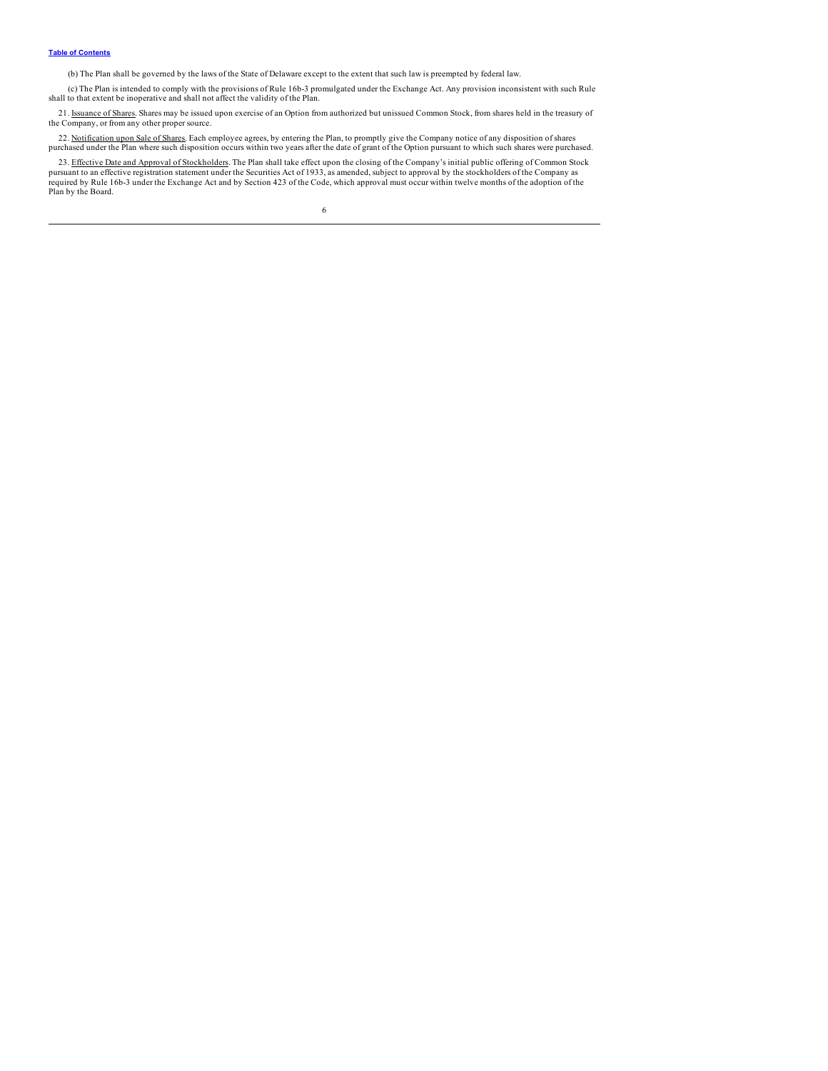(b) The Plan shall be governed by the laws of the State of Delaware except to the extent that such law is preempted by federal law.

(c) The Plan is intended to comply with the provisions of Rule 16b-3 promulgated under the Exchange Act. Any provision inconsistent with such Rule shall to that extent be inoperative and shall not affect the validity of the Plan.

21. Issuance of Shares. Shares may be issued upon exercise of an Option from authorized but unissued Common Stock, from shares held in the treasury of the Company, or from any other proper source.

22. Notification upon Sale of Shares. Each employee agrees, by entering the Plan, to promptly give the Company notice of any disposition of shares<br>purchased under the Plan where such disposition occurs within two years aft

23. <u>Effective Date and Approval of Stockholders</u>. The Plan shall take effect upon the closing of the Company's initial public offering of Common Stock<br>pursuant to an effective registration statement under the Securities A Plan by the Board.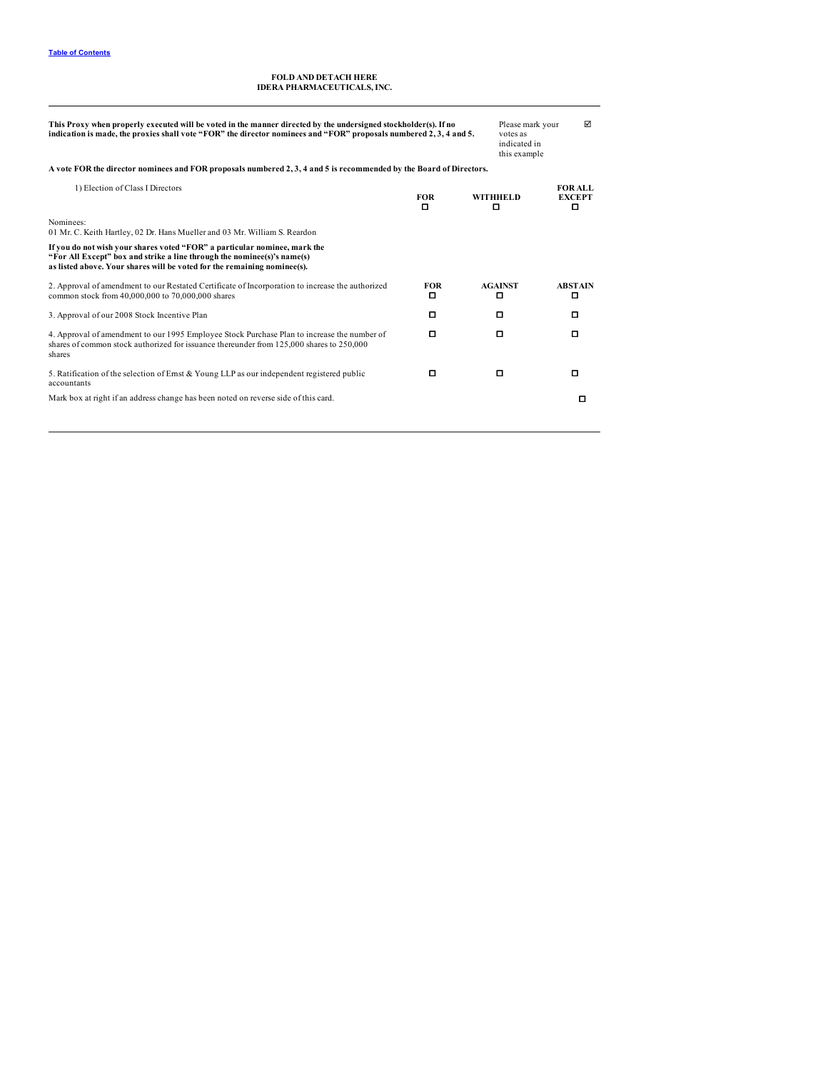# **FOLD AND DETACH HERE IDERA PHARMACEUTICALS, INC.**

| This Proxy when properly executed will be voted in the manner directed by the undersigned stockholder(s). If no<br>indication is made, the proxies shall vote "FOR" the director nominees and "FOR" proposals numbered 2, 3, 4 and 5. |                 | Please mark your<br>votes as<br>indicated in<br>this example | ☑ |                               |
|---------------------------------------------------------------------------------------------------------------------------------------------------------------------------------------------------------------------------------------|-----------------|--------------------------------------------------------------|---|-------------------------------|
| A vote FOR the director nominees and FOR proposals numbered 2, 3, 4 and 5 is recommended by the Board of Directors.                                                                                                                   |                 |                                                              |   |                               |
| 1) Election of Class I Directors                                                                                                                                                                                                      | <b>FOR</b><br>о | <b>WITHHELD</b><br>о                                         |   | FOR ALL<br><b>EXCEPT</b><br>о |
| Nominees:<br>01 Mr. C. Keith Hartley, 02 Dr. Hans Mueller and 03 Mr. William S. Reardon                                                                                                                                               |                 |                                                              |   |                               |
| If you do not wish your shares voted "FOR" a particular nominee, mark the<br>"For All Except" box and strike a line through the nominee(s)'s name(s)<br>as listed above. Your shares will be voted for the remaining nominee(s).      |                 |                                                              |   |                               |
| 2. Approval of amendment to our Restated Certificate of Incorporation to increase the authorized<br>common stock from 40,000,000 to 70,000,000 shares                                                                                 | <b>FOR</b><br>о | <b>AGAINST</b><br>о                                          |   | <b>ABSTAIN</b><br>о           |
| 3. Approval of our 2008 Stock Incentive Plan                                                                                                                                                                                          | о               | о                                                            |   | о                             |
| 4. Approval of amendment to our 1995 Employee Stock Purchase Plan to increase the number of<br>shares of common stock authorized for issuance thereunder from 125,000 shares to 250,000<br>shares                                     | о               | о                                                            |   | о                             |
| 5. Ratification of the selection of Ernst & Young LLP as our independent registered public<br>accountants                                                                                                                             | о               | о                                                            |   | о                             |
| Mark box at right if an address change has been noted on reverse side of this card.                                                                                                                                                   |                 |                                                              |   | ▫                             |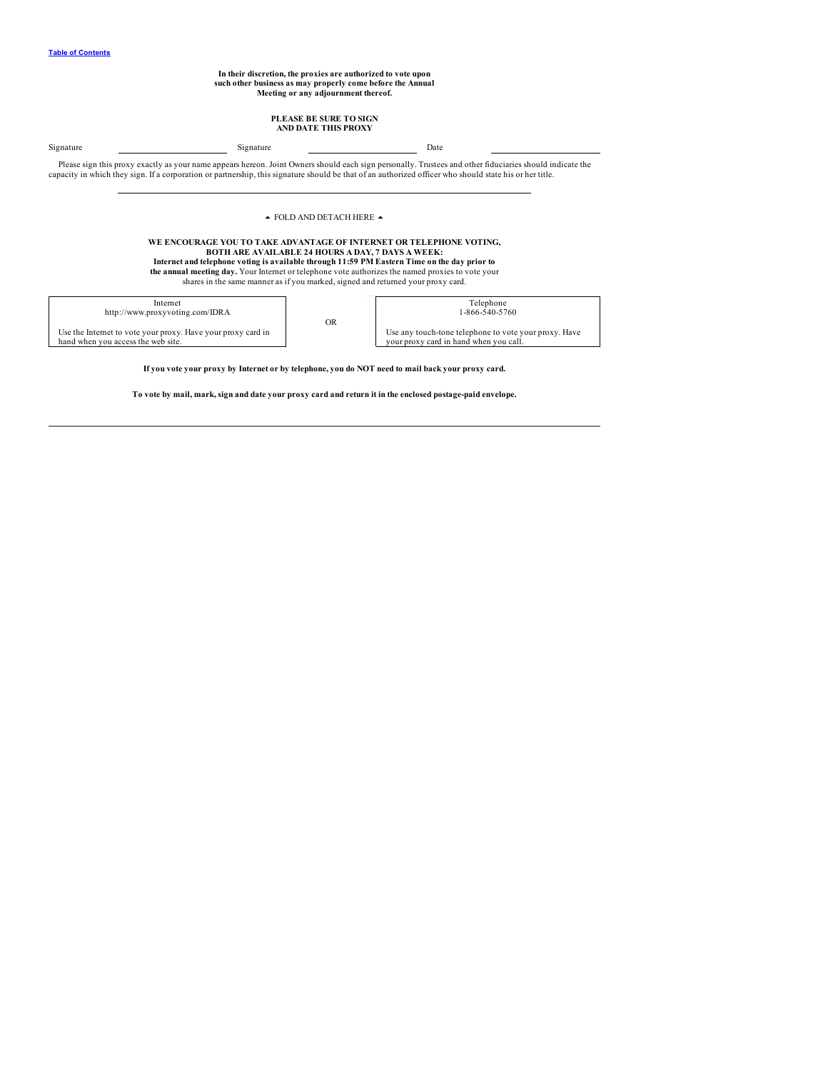**In their discretion, the proxies are authorized to vote upon such other business as may properly come before the Annual Meeting or any adjournment thereof.**

# **PLEASE BE SURE TO SIGN AND DATE THIS PROXY**

Signature Date Date Date Signature Date Date Please sign this proxy exactly as your name appears hereon. Joint Owners should each sign personally. Trustees and other fiduciaries should indicate the capacity in which they sign. If a corporation or partnership, this signature should be that of an authorized officer who should state his or her title.

### $\blacktriangle$  FOLD AND DETACH HERE  $\blacktriangle$

**WE ENCOURAGE YOU TO TAKE ADVANTAGE OF INTERNET OR TELEPHONE VOTING,** BOTH ARE AVAILABLE 24 HOURS A DAY, 7 DAYS A WEEK:<br>Internet and telephone voting is available through 11:59 PM Eastern Time on the day prior to **the annual meeting day.** Your Internet or telephone vote authorizes the named proxies to vote your shares in the same manner as if you marked, signed and returned your proxy card.

Internet http://www.proxyvoting.com/IDRA

Use the Internet to vote your proxy. Have your proxy card in hand when you access the web site.

OR

| Telephone                                             |
|-------------------------------------------------------|
| 1-866-540-5760                                        |
|                                                       |
| Use any touch-tone telephone to vote your proxy. Have |
| your proxy card in hand when you call.                |
|                                                       |

If you vote your proxy by Internet or by telephone, you do NOT need to mail back your proxy card.

To vote by mail, mark, sign and date your proxy card and return it in the enclosed postage-paid envelope.